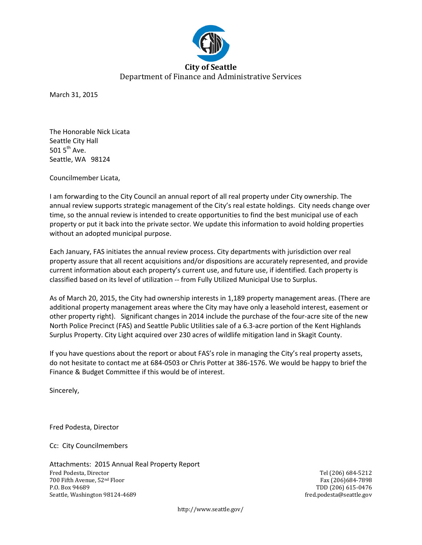

March 31, 2015

The Honorable Nick Licata Seattle City Hall 501  $5<sup>th</sup>$  Ave. Seattle, WA 98124

Councilmember Licata,

I am forwarding to the City Council an annual report of all real property under City ownership. The annual review supports strategic management of the City's real estate holdings. City needs change over time, so the annual review is intended to create opportunities to find the best municipal use of each property or put it back into the private sector. We update this information to avoid holding properties without an adopted municipal purpose.

Each January, FAS initiates the annual review process. City departments with jurisdiction over real property assure that all recent acquisitions and/or dispositions are accurately represented, and provide current information about each property's current use, and future use, if identified. Each property is classified based on its level of utilization -- from Fully Utilized Municipal Use to Surplus.

As of March 20, 2015, the City had ownership interests in 1,189 property management areas. (There are additional property management areas where the City may have only a leasehold interest, easement or other property right). Significant changes in 2014 include the purchase of the four-acre site of the new North Police Precinct (FAS) and Seattle Public Utilities sale of a 6.3-acre portion of the Kent Highlands Surplus Property. City Light acquired over 230 acres of wildlife mitigation land in Skagit County.

If you have questions about the report or about FAS's role in managing the City's real property assets, do not hesitate to contact me at 684-0503 or Chris Potter at 386-1576. We would be happy to brief the Finance & Budget Committee if this would be of interest.

Sincerely,

Fred Podesta, Director

Cc: City Councilmembers

Attachments: 2015 Annual Real Property Report Fred Podesta, Director and Tel (206) 684-5212<br>
700 Fifth Avenue, 52<sup>nd</sup> Floor and Tel (206) 684-5212<br>
Fax (206) 684-7898 700 Fifth Avenue, 52<sup>nd</sup> Floor<br>P.O. Box 94689 Seattle, Washington 98124-4689

TDD (206) 615-0476<br>fred.podesta@seattle.gov

http://www.seattle.gov/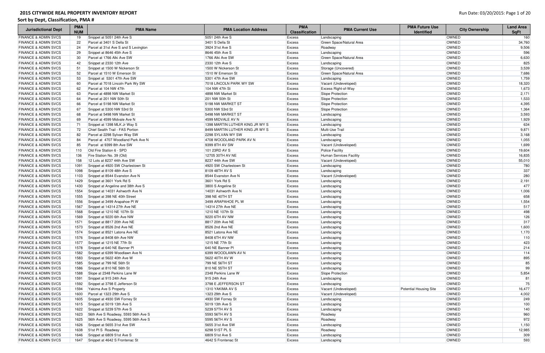| <b>Jurisdictional Dept</b>      | <b>PMA</b><br><b>NUM</b> | <b>PMA Name</b>                      | <b>PMA Location Address</b>     | <b>PMA</b><br><b>Classification</b> | <b>PMA Current Use</b>   | <b>PMA Future Use</b><br><b>Identified</b> | <b>City Ownership</b> | <b>Land Area</b><br><b>SqFt</b> |
|---------------------------------|--------------------------|--------------------------------------|---------------------------------|-------------------------------------|--------------------------|--------------------------------------------|-----------------------|---------------------------------|
| <b>FINANCE &amp; ADMIN SVCS</b> | 19                       | Snippet at 5051 24th Ave S           | 5051 24th Ave S                 | <b>Excess</b>                       | Landscaping              |                                            | <b>OWNED</b>          | 160                             |
| <b>FINANCE &amp; ADMIN SVCS</b> | 22                       | Parcel at 3401 S Della St            | 3401 S Della St                 | <b>Excess</b>                       | Green Space/Natural Area |                                            | OWNED                 | 34,760                          |
| <b>FINANCE &amp; ADMIN SVCS</b> | 24                       | Parcel at 31st Ave S and S Lexington | 3924 31st Ave S                 | Excess                              | Roadway                  |                                            | OWNED                 | 9,506                           |
| <b>FINANCE &amp; ADMIN SVCS</b> | 29                       | Snippet at 8646 45th Ave S           | 8646 45th Ave S                 | <b>Excess</b>                       | Landscaping              |                                            | OWNED                 | 596                             |
| <b>FINANCE &amp; ADMIN SVCS</b> | 30                       | Parcel at 1766 Alki Ave SW           | 1766 Alki Ave SW                | Excess                              | Green Space/Natural Area |                                            | <b>OWNED</b>          | 6,630                           |
| <b>FINANCE &amp; ADMIN SVCS</b> | 42                       | Snippet at 2330 12th Ave             | 2330 12th Ave S                 | Excess                              | Landscaping              |                                            | OWNED                 | 825                             |
| <b>FINANCE &amp; ADMIN SVCS</b> | 51                       | Snippet at 1500 W Nickerson St       | 1500 W Nickerson St             | Excess                              | Storage (Uncovered)      |                                            | OWNED                 | 3,539                           |
| <b>FINANCE &amp; ADMIN SVCS</b> | 52                       | Parcel at 1510 W Emerson St          | 1510 W Emerson St               | Excess                              | Green Space/Natural Area |                                            | OWNED                 | 7,686                           |
| <b>FINANCE &amp; ADMIN SVCS</b> | 53                       | Snippet at 5301 47th Ave SW          | 5301 47th Ave SW                | Excess                              | Landscaping              |                                            | OWNED                 | 1,759                           |
| <b>FINANCE &amp; ADMIN SVCS</b> | 60                       | Parcel at 7018 Lincoln Park Wy SW    | 7018 LINCOLN PARK WY SW         | Excess                              | Vacant (Undeveloped)     |                                            | OWNED                 | 18,320                          |
| <b>FINANCE &amp; ADMIN SVCS</b> | 62                       | Parcel at 104 NW 47th                | 104 NW 47th St                  | Excess                              | Excess Right-of-Way      |                                            | OWNED                 | 1,673                           |
| <b>FINANCE &amp; ADMIN SVCS</b> | 63                       | Parcel at 4898 NW Market St          | 4898 NW Market St               | <b>Excess</b>                       | Slope Protection         |                                            | OWNED                 | 2,171                           |
| <b>FINANCE &amp; ADMIN SVCS</b> | 64                       | Parcel at 201 NW 50th St             | 201 NW 50th St                  | Excess                              | Slope Protection         |                                            | OWNED                 | 1,533                           |
| <b>FINANCE &amp; ADMIN SVCS</b> | 66                       | Parcel at 5198 NW Market St          | 5198 NW MARKET ST               | Excess                              | Slope Protection         |                                            | OWNED                 | 4,395                           |
| <b>FINANCE &amp; ADMIN SVCS</b> | 67                       | Snippet at 5300 NW 53rd St           | 5300 NW 53rd St                 | Excess                              | Slope Protection         |                                            | OWNED                 | 1,364                           |
| <b>FINANCE &amp; ADMIN SVCS</b> | 68                       | Parcel at 5498 NW Market St          | 5498 NW MARKET ST               | Excess                              | Landscaping              |                                            | OWNED                 | 3,593                           |
| <b>FINANCE &amp; ADMIN SVCS</b> | 69                       | Parcel at 4599 Midvale Ave N         | 4599 MIDVALE AV N               | Excess                              | Landscaping              |                                            | <b>OWNED</b>          | 1,929                           |
| <b>FINANCE &amp; ADMIN SVCS</b> | 71                       | Snippet at 1398 MLK Jr Way S         | 1398 MARTIN LUTHER KING JR WY S | Excess                              | Landscaping              |                                            | <b>OWNED</b>          | 634                             |
| <b>FINANCE &amp; ADMIN SVCS</b> | 72                       | Chief Sealth Trail - FAS Portion     | 8499 MARTIN LUTHER KING JR WY S | Excess                              | Multi-Use Trail          |                                            | <b>OWNED</b>          | 9,871                           |
| <b>FINANCE &amp; ADMIN SVCS</b> | 82                       | Parcel at 2298 Sylvan Way SW         | 2298 SYLVAN WY SW               | Excess                              | Landscaping              |                                            | OWNED                 | 3,168                           |
| <b>FINANCE &amp; ADMIN SVCS</b> | 84                       | Parcel at 4707 Woodland Park Ave N   | 4708 WOODLAND PARK AV N         | Excess                              | Landscaping              |                                            | OWNED                 | 1,055                           |
| <b>FINANCE &amp; ADMIN SVCS</b> | 85                       | Parcel at 9399 8th Ave SW            | 9399 8TH AV SW                  | Excess                              | Vacant (Undeveloped)     |                                            | OWNED                 | 1,699                           |
| <b>FINANCE &amp; ADMIN SVCS</b> | 110                      | Old Fire Station 6 - SPD             | 101 23RD AV S                   | Excess                              | <b>Police Facility</b>   |                                            | OWNED                 | 19,604                          |
| <b>FINANCE &amp; ADMIN SVCS</b> | 136                      | Fire Station No. 39 (Old)            | 12705 30TH AV NE                | <b>Excess</b>                       | Human Services Facility  |                                            | OWNED                 | 16,835                          |
| <b>FINANCE &amp; ADMIN SVCS</b> | 158                      | 12 Lots at 8237 44th Ave SW          | 8237 44th Ave SW                | Excess                              | Vacant (Undeveloped)     |                                            | OWNED                 | 55,010                          |
| <b>FINANCE &amp; ADMIN SVCS</b> | 1091                     | Snippet at 4920 SW Charlestown St    | 4920 SW Charlestown St          | Excess                              | Landscaping              |                                            | OWNED                 | 780                             |
| <b>FINANCE &amp; ADMIN SVCS</b> | 1098                     | Snippet at 8109 48th Ave S           | 8109 48TH AV S                  | Excess                              | Landscaping              |                                            | OWNED                 | 337                             |
| <b>FINANCE &amp; ADMIN SVCS</b> | 1103                     | Snippet at 8544 Evanston Ave N       | 8544 Evanston Ave N             | Excess                              | Vacant (Undeveloped)     |                                            | OWNED                 | 280                             |
| <b>FINANCE &amp; ADMIN SVCS</b> | 1429                     | Snippet at 3601 York Rd S            | 3601 York Rd S                  | Excess                              | Landscaping              |                                            | OWNED                 | 2,191                           |
| <b>FINANCE &amp; ADMIN SVCS</b> | 1430                     | Snippet at Angeline and 38th Ave S   | 3800 S Angeline St              | <b>Excess</b>                       | Landscaping              |                                            | <b>OWNED</b>          | 477                             |
| <b>FINANCE &amp; ADMIN SVCS</b> | 1554                     | Snippet at 14031 Ashworth Ave N      | 14031 Ashworth Ave N            | Excess                              | Landscaping              |                                            | OWNED                 | 1,006                           |
| <b>FINANCE &amp; ADMIN SVCS</b> | 1555                     | Snippet at 398 NE 40th Street        | 398 NE 40TH ST                  | Excess                              | Landscaping              |                                            | OWNED                 | 658                             |
| <b>FINANCE &amp; ADMIN SVCS</b> | 1556                     | Snippet at 3499 Arapahoe PI W        | 3499 ARAPAHOE PL W              | Excess                              | Landscaping              |                                            | OWNED                 | 1,554                           |
| <b>FINANCE &amp; ADMIN SVCS</b> | 1567                     | Snippet at 14314 27th Ave NE         | 14314 27th Ave NE               | Excess                              | Landscaping              |                                            | OWNED                 | 517                             |
| <b>FINANCE &amp; ADMIN SVCS</b> | 1568                     | Snippet at 1210 NE 107th St          | 1210 NE 107th St                | Excess                              | Landscaping              |                                            | OWNED                 | 498                             |
| <b>FINANCE &amp; ADMIN SVCS</b> | 1569                     | Snippet at 9220 6th Ave NW           | 9220 6TH AV NW                  | <b>Excess</b>                       | Landscaping              |                                            | OWNED                 | 126                             |
| <b>FINANCE &amp; ADMIN SVCS</b> |                          | 1571 Snippet at 8817 20th Ave NE     | 8817 20th Ave NE                | Excess                              | Landscaping              |                                            | OWNED                 | 317                             |
| <b>FINANCE &amp; ADMIN SVCS</b> |                          | 1573 Snippet at 8526 2nd Ave NE      | 8526 2nd Ave NE                 | <b>Excess</b>                       | Landscaping              |                                            | <b>OWNED</b>          | 1,600                           |
| <b>FINANCE &amp; ADMIN SVCS</b> | 1574                     | Snippet at 8521 Latona Ave NE        | 8521 Latona Ave NE              | <b>Excess</b>                       | Landscaping              |                                            | OWNED                 | 1,170                           |
| <b>FINANCE &amp; ADMIN SVCS</b> |                          | 1576 Snippet at 8408 6th Ave NW      | 8408 6TH AV NW                  | <b>Excess</b>                       | Landscaping              |                                            | <b>OWNED</b>          | 110                             |
| <b>FINANCE &amp; ADMIN SVCS</b> | 1577                     | Snippet at 1215 NE 77th St           | 1215 NE 77th St                 | Excess                              | Landscaping              |                                            | OWNED                 | 423                             |
| <b>FINANCE &amp; ADMIN SVCS</b> | 1578                     | Snippet at 640 NE Banner PI          | 640 NE Banner PI                | Excess                              | Landscaping              |                                            | <b>OWNED</b>          | 214                             |
| <b>FINANCE &amp; ADMIN SVCS</b> | 1582                     | Snippet at 6399 Woodlawn Ave N       | 6399 WOODLAWN AV N              | <b>Excess</b>                       | Landscaping              |                                            | <b>OWNED</b>          | 114                             |
| <b>FINANCE &amp; ADMIN SVCS</b> | 1583                     | Snippet at 5622 40th Ave W           | 5622 40TH AV W                  | <b>Excess</b>                       | Landscaping              |                                            | OWNED                 | 895                             |
| <b>FINANCE &amp; ADMIN SVCS</b> | 1585                     | Snippet at 799 NE 56th St            | 799 NE 56TH ST                  | Excess                              | Landscaping              |                                            | OWNED                 | 85                              |
| <b>FINANCE &amp; ADMIN SVCS</b> | 1586                     | Snippet at 810 NE 56th St            | 810 NE 55TH ST                  | Excess                              | Landscaping              |                                            | <b>OWNED</b>          | 99                              |
| <b>FINANCE &amp; ADMIN SVCS</b> | 1588                     | Slope at 2348 Perkins Lane W         | 2348 Perkins Lane W             | <b>Excess</b>                       | Slope Protection         |                                            | OWNED                 | 5,854                           |
| <b>FINANCE &amp; ADMIN SVCS</b> | 1591                     | Snippet at 915 24th Ave              | 915 24th Ave                    | Excess                              | Landscaping              |                                            | OWNED                 | 81                              |
| <b>FINANCE &amp; ADMIN SVCS</b> | 1592                     | Snippet at 3798 E Jefferson St       | 3798 E JEFFERSON ST             | <b>Excess</b>                       | Landscaping              |                                            | <b>OWNED</b>          | 75                              |
| <b>FINANCE &amp; ADMIN SVCS</b> | 1594                     | Yakima Ave S Property                | 1310 YAKIMA AV S                | <b>Excess</b>                       | Vacant (Undeveloped)     | <b>Potential Housing Site</b>              | OWNED                 | 16,477                          |
| <b>FINANCE &amp; ADMIN SVCS</b> | 1600                     | Parcel at 1323 29th Ave S            | 1323 29th Ave S                 | <b>Excess</b>                       | Vacant (Undeveloped)     |                                            | OWNED                 | 4,002                           |
| <b>FINANCE &amp; ADMIN SVCS</b> | 1605                     | Snippet at 4930 SW Forney St         | 4930 SW Forney St               | <b>Excess</b>                       | Landscaping              |                                            | OWNED                 | 249                             |
| <b>FINANCE &amp; ADMIN SVCS</b> | 1615                     | Snippet at 5019 13th Ave S           | 5019 13th Ave S                 | <b>Excess</b>                       | Landscaping              |                                            | OWNED                 | 100                             |
| <b>FINANCE &amp; ADMIN SVCS</b> | 1622                     | Snippet at 5239 57th Ave S           | 5239 57TH AV S                  | Excess                              | Landscaping              |                                            | OWNED                 | 140                             |
| <b>FINANCE &amp; ADMIN SVCS</b> | 1623                     | 56th Ave S Roadway, 5593 56th Ave S  | 5593 56TH AV S                  | <b>Excess</b>                       | Roadway                  |                                            | OWNED                 | 960                             |
| <b>FINANCE &amp; ADMIN SVCS</b> | 1625                     | 56th Ave S Roadway, 5595 56th Ave S  | 5595 56TH AV S                  | <b>Excess</b>                       | Roadway                  |                                            | OWNED                 | 972                             |
| <b>FINANCE &amp; ADMIN SVCS</b> | 1626                     | Snippet at 5655 31st Ave SW          | 5655 31st Ave SW                | Excess                              | Landscaping              |                                            | OWNED                 | 1,150                           |
| <b>FINANCE &amp; ADMIN SVCS</b> | 1638                     | 51st PIS Roadway                     | 6298 51ST PL S                  | Excess                              | Roadway                  |                                            | OWNED                 | 12,985                          |
| <b>FINANCE &amp; ADMIN SVCS</b> | 1646                     | Snippet at 6809 51st Ave S           | 6809 51st Ave S                 | Excess                              | Landscaping              |                                            | OWNED                 | 309                             |
| <b>FINANCE &amp; ADMIN SVCS</b> | 1647                     | Snippet at 4642 S Frontenac St       | 4642 S Frontenac St             | Excess                              | Landscaping              |                                            | <b>OWNED</b>          | 593                             |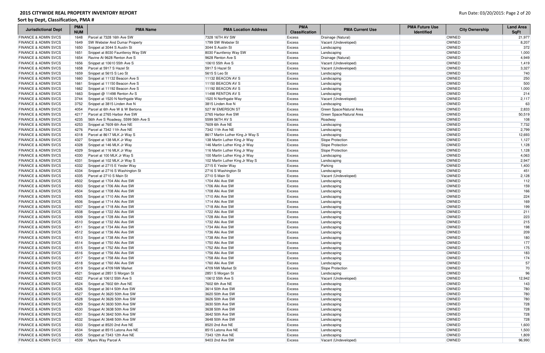| <b>Jurisdictional Dept</b>      | <b>PMA</b><br><b>NUM</b> | <b>PMA Name</b>                      | <b>PMA Location Address</b>      | <b>PMA</b><br><b>Classification</b> | <b>PMA Current Use</b>   | <b>PMA Future Use</b><br><b>Identified</b> | <b>City Ownership</b> | <b>Land Area</b><br><b>SqFt</b> |
|---------------------------------|--------------------------|--------------------------------------|----------------------------------|-------------------------------------|--------------------------|--------------------------------------------|-----------------------|---------------------------------|
| <b>FINANCE &amp; ADMIN SVCS</b> | 1648                     | Parcel at 7328 16th Ave SW           | 7328 16TH AV SW                  | <b>Excess</b>                       | Drainage (Natural)       |                                            | <b>OWNED</b>          | 21,977                          |
| <b>FINANCE &amp; ADMIN SVCS</b> | 1649                     | <b>SW Webster And Dumar Property</b> | 1799 SW Webster St               | Excess                              | Vacant (Undeveloped)     |                                            | <b>OWNED</b>          | 8,207                           |
| <b>FINANCE &amp; ADMIN SVCS</b> | 1650                     | Snippet at 3044 S Austin St          | 3044 S Austin St                 | <b>Excess</b>                       | Landscaping              |                                            | <b>OWNED</b>          | 372                             |
| <b>FINANCE &amp; ADMIN SVCS</b> | 1651                     | Snippet at 8030 Fauntleroy Way SW    | 8030 Fauntleroy Way SW           | <b>Excess</b>                       | Landscaping              |                                            | <b>OWNED</b>          | 1,000                           |
| <b>FINANCE &amp; ADMIN SVCS</b> | 1654                     | Ravine At 9628 Renton Ave S          | 9628 Renton Ave S                | <b>Excess</b>                       | Drainage (Natural)       |                                            | <b>OWNED</b>          | 4,949                           |
| <b>FINANCE &amp; ADMIN SVCS</b> | 1656                     | Snippet at 10610 55th Ave S          | 10610 55th Ave S                 | Excess                              | Vacant (Undeveloped)     |                                            | <b>OWNED</b>          | 1,419                           |
| <b>FINANCE &amp; ADMIN SVCS</b> | 1658                     | Parcel at 5917 S Hazel St            | 5917 S Hazel St                  | Excess                              | Vacant (Undeveloped)     |                                            | <b>OWNED</b>          | 3,327                           |
| <b>FINANCE &amp; ADMIN SVCS</b> | 1659                     | Snippet at 5615 S Leo St             | 5615 S Leo St                    | Excess                              | Landscaping              |                                            | OWNED                 | 740                             |
| <b>FINANCE &amp; ADMIN SVCS</b> | 1660                     | Snippet at 11132 Beacon Ave S        | 11132 BEACON AV S                | Excess                              | Landscaping              |                                            | <b>OWNED</b>          | 250                             |
| <b>FINANCE &amp; ADMIN SVCS</b> | 1661                     | Snippet at 11150 Beacon Ave S        | 11150 BEACON AV S                | <b>Excess</b>                       | Landscaping              |                                            | <b>OWNED</b>          | 500                             |
| <b>FINANCE &amp; ADMIN SVCS</b> | 1662                     | Snippet at 11192 Beacon Ave S        | 11192 BEACON AV S                | Excess                              | Landscaping              |                                            | OWNED                 | 1,000                           |
| <b>FINANCE &amp; ADMIN SVCS</b> | 1663                     | Snippet @ 11498 Renton Av S          | 11498 RENTON AV S                | Excess                              | Landscaping              |                                            | OWNED                 | 214                             |
| <b>FINANCE &amp; ADMIN SVCS</b> | 3744                     | Snippet at 1520 N Northgate Way      | 1520 N Northgate Way             | <b>Excess</b>                       | Vacant (Undeveloped)     |                                            | OWNED                 | 2,117                           |
| <b>FINANCE &amp; ADMIN SVCS</b> | 3752                     | Snippet at 3815 Linden Ave N         | 3815 Linden Ave N                | <b>Excess</b>                       | Landscaping              |                                            | OWNED                 | 63                              |
| <b>FINANCE &amp; ADMIN SVCS</b> | 4054                     | Parcel at 6th Ave W & W Bertona      | 527 W EMERSON ST                 | Excess                              | Green Space/Natural Area |                                            | OWNED                 | 2,833                           |
| <b>FINANCE &amp; ADMIN SVCS</b> | 4217                     | Parcel at 2765 Harbor Ave SW         | 2765 Harbor Ave SW               | <b>Excess</b>                       | Green Space/Natural Area |                                            | <b>OWNED</b>          | 50,519                          |
| <b>FINANCE &amp; ADMIN SVCS</b> | 4235                     | 56th Ave S Roadway, 5599 56th Ave S  | 5599 56TH AV S                   | <b>Excess</b>                       | Roadway                  |                                            | OWNED                 | 108                             |
| <b>FINANCE &amp; ADMIN SVCS</b> | 4253                     | Snippet at 7609 6th Ave NE           | 7609 6th Ave NE                  | Excess                              | Landscaping              |                                            | OWNED                 | 7,732                           |
| <b>FINANCE &amp; ADMIN SVCS</b> | 4276                     | Parcel at 7342 11th Ave NE           | 7342 11th Ave NE                 | Excess                              | Landscaping              |                                            | <b>OWNED</b>          | 2,799                           |
| <b>FINANCE &amp; ADMIN SVCS</b> | 4318                     | Parcel at 8617 MLK Jr Way S          | 8617 Martin Luther King Jr Way S | Excess                              | Landscaping              |                                            | OWNED                 | 12,693                          |
| <b>FINANCE &amp; ADMIN SVCS</b> | 4327                     | Snippet at 138 MLK Jr Way            | 138 Martin Luther King Jr Way    | Excess                              | Slope Protection         |                                            | OWNED                 | 1,127                           |
| <b>FINANCE &amp; ADMIN SVCS</b> | 4328                     | Snippet at 146 MLK Jr Way            | 146 Martin Luther King Jr Way    | Excess                              | Slope Protection         |                                            | <b>OWNED</b>          | 1,128                           |
| <b>FINANCE &amp; ADMIN SVCS</b> | 4329                     | Snippet at 116 MLK Jr Way            | 116 Martin Luther King Jr Way    | <b>Excess</b>                       | Slope Protection         |                                            | <b>OWNED</b>          | 1,128                           |
| <b>FINANCE &amp; ADMIN SVCS</b> | 4330                     | Parcel at 100 MLK Jr Way S           | 100 Martin Luther King Jr Way    | Excess                              | Landscaping              |                                            | OWNED                 | 4,063                           |
| <b>FINANCE &amp; ADMIN SVCS</b> | 4331                     | Snippet at 102 MLK Jr Way S          | 102 Martin Luther King Jr Way S  | Excess                              | Landscaping              |                                            | <b>OWNED</b>          | 2,947                           |
| <b>FINANCE &amp; ADMIN SVCS</b> | 4332                     | Snippet at 2715 E Yesler Way         | 2715 E Yesler Way                | <b>Excess</b>                       | Parking                  |                                            | <b>OWNED</b>          | 1,400                           |
| <b>FINANCE &amp; ADMIN SVCS</b> | 4334                     | Snippet at 2716 S Washington St      | 2716 S Washington St             | <b>Excess</b>                       | Landscaping              |                                            | OWNED                 | 451                             |
| <b>FINANCE &amp; ADMIN SVCS</b> | 4335                     | Parcel at 2710 S Main St             | 2710 S Main St                   | <b>Excess</b>                       | Vacant (Undeveloped)     |                                            | <b>OWNED</b>          | 2,128                           |
| <b>FINANCE &amp; ADMIN SVCS</b> | 4502                     | Snippet at 1704 Alki Ave SW          | 1704 Alki Ave SW                 | <b>Excess</b>                       | Landscaping              |                                            | <b>OWNED</b>          | 112                             |
| <b>FINANCE &amp; ADMIN SVCS</b> | 4503                     | Snippet at 1706 Alki Ave SW          | 1706 Alki Ave SW                 | Excess                              | Landscaping              |                                            | <b>OWNED</b>          | 159                             |
| <b>FINANCE &amp; ADMIN SVCS</b> | 4504                     | Snippet at 1708 Alki Ave SW          | 1708 Alki Ave SW                 | Excess                              | Landscaping              |                                            | <b>OWNED</b>          | 166                             |
| <b>FINANCE &amp; ADMIN SVCS</b> | 4505                     | Snippet at 1710 Alki Ave SW          | 1710 Alki Ave SW                 | Excess                              | Landscaping              |                                            | <b>OWNED</b>          | 224                             |
| <b>FINANCE &amp; ADMIN SVCS</b> | 4506                     | Snippet at 1714 Alki Ave SW          | 1714 Alki Ave SW                 | Excess                              | Landscaping              |                                            | OWNED                 | 169                             |
| <b>FINANCE &amp; ADMIN SVCS</b> | 4507                     | Snippet at 1718 Alki Ave SW          | 1718 Alki Ave SW                 | Excess                              | Landscaping              |                                            | <b>OWNED</b>          | 199                             |
| <b>FINANCE &amp; ADMIN SVCS</b> | 4508                     | Snippet at 1722 Alki Ave SW          | 1722 Alki Ave SW                 | <b>Excess</b>                       | Landscaping              |                                            | <b>OWNED</b>          | 211                             |
| <b>FINANCE &amp; ADMIN SVCS</b> | 4509                     | Snippet at 1728 Alki Ave SW          | 1728 Alki Ave SW                 | <b>Excess</b>                       | Landscaping              |                                            | OWNED                 | 223                             |
| <b>FINANCE &amp; ADMIN SVCS</b> |                          | 4510 Snippet at 1732 Alki Ave SW     | 1732 Alki Ave SW                 | Excess                              | Landscaping              |                                            | OWNED                 | 215                             |
| <b>FINANCE &amp; ADMIN SVCS</b> |                          | 4511 Snippet at 1734 Alki Ave SW     | 1734 Alki Ave SW                 | Excess                              | Landscaping              |                                            | OWNED                 | 198                             |
| <b>FINANCE &amp; ADMIN SVCS</b> | 4512                     | Snippet at 1736 Alki Ave SW          | 1736 Alki Ave SW                 | <b>Excess</b>                       | Landscaping              |                                            | OWNED                 | 209                             |
| <b>FINANCE &amp; ADMIN SVCS</b> | 4513                     | Snippet at 1738 Alki Ave SW          | 1738 Alki Ave SW                 | Excess                              | Landscaping              |                                            | OWNED                 | 180                             |
| <b>FINANCE &amp; ADMIN SVCS</b> | 4514                     | Snippet at 1750 Alki Ave SW          | 1750 Alki Ave SW                 | <b>Excess</b>                       | Landscaping              |                                            | <b>OWNED</b>          | 177                             |
| <b>FINANCE &amp; ADMIN SVCS</b> | 4515                     | Snippet at 1752 Alki Ave SW          | 1752 Alki Ave SW                 | <b>Excess</b>                       | Landscaping              |                                            | OWNED                 | 175                             |
| <b>FINANCE &amp; ADMIN SVCS</b> | 4516                     | Snippet at 1756 Alki Ave SW          | 1756 Alki Ave SW                 | Excess                              | Landscaping              |                                            | OWNED                 | 183                             |
| <b>FINANCE &amp; ADMIN SVCS</b> | 4517                     | Snippet at 1758 Alki Ave SW          | 1758 Alki Ave SW                 | Excess                              | Landscaping              |                                            | OWNED                 | 174                             |
| <b>FINANCE &amp; ADMIN SVCS</b> | 4518                     | Snippet at 1760 Alki Ave SW          | 1760 Alki Ave SW                 | <b>Excess</b>                       | Landscaping              |                                            | OWNED                 | 57                              |
| <b>FINANCE &amp; ADMIN SVCS</b> | 4519                     | Snippet at 4709 NW Market            | 4709 NW Market St                | <b>Excess</b>                       | Slope Protection         |                                            | OWNED                 | 70                              |
| <b>FINANCE &amp; ADMIN SVCS</b> | 4521                     | Snippet at 2851 S Morgan St          | 2851 S Morgan St                 | Excess                              | Landscaping              |                                            | <b>OWNED</b>          | 96                              |
| <b>FINANCE &amp; ADMIN SVCS</b> | 4522                     | Parcel at 10612 55th Ave S           | 10612 55th Ave S                 | <b>Excess</b>                       | Vacant (Undeveloped)     |                                            | <b>OWNED</b>          | 12,942                          |
| <b>FINANCE &amp; ADMIN SVCS</b> | 4524                     | Snippet at 7602 6th Ave NE           | 7602 6th Ave NE                  | <b>Excess</b>                       | Landscaping              |                                            | OWNED                 | 143                             |
| <b>FINANCE &amp; ADMIN SVCS</b> | 4526                     | Snippet at 3614 50th Ave SW          | 3614 50th Ave SW                 | <b>Excess</b>                       | Landscaping              |                                            | OWNED                 | 780                             |
| <b>FINANCE &amp; ADMIN SVCS</b> | 4527                     | Snippet At 3620 50th Ave SW          | 3620 50th Ave SW                 | <b>Excess</b>                       | Landscaping              |                                            | <b>OWNED</b>          | 780                             |
| <b>FINANCE &amp; ADMIN SVCS</b> | 4528                     | Snippet At 3626 50th Ave SW          | 3626 50th Ave SW                 | Excess                              | Landscaping              |                                            | OWNED                 | 780                             |
| <b>FINANCE &amp; ADMIN SVCS</b> | 4529                     | Snippet At 3630 50th Ave SW          | 3630 50th Ave SW                 | <b>Excess</b>                       | Landscaping              |                                            | OWNED                 | 728                             |
| <b>FINANCE &amp; ADMIN SVCS</b> | 4530                     | Snippet At 3638 50th Ave SW          | 3638 50th Ave SW                 | <b>Excess</b>                       | Landscaping              |                                            | OWNED                 | 728                             |
| <b>FINANCE &amp; ADMIN SVCS</b> | 4531                     | Snippet At 3642 50th Ave SW          | 3642 50th Ave SW                 | Excess                              | Landscaping              |                                            | OWNED                 | 728                             |
| <b>FINANCE &amp; ADMIN SVCS</b> | 4532                     | Snippet At 3648 50th Ave SW          | 3648 50th Ave SW                 | Excess                              | Landscaping              |                                            | OWNED                 | 728                             |
| <b>FINANCE &amp; ADMIN SVCS</b> | 4533                     | Snippet at 8520 2nd Ave NE           | 8520 2nd Ave NE                  | Excess                              | Landscaping              |                                            | OWNED                 | 1,600                           |
| <b>FINANCE &amp; ADMIN SVCS</b> | 4534                     | Snippet at 8515 Latona Ave NE        | 8515 Latona Ave NE               | Excess                              | Landscaping              |                                            | OWNED                 | 1,500                           |
| <b>FINANCE &amp; ADMIN SVCS</b> | 4535                     | Snippet at 7343 12th Ave NE          | 7343 12th Ave NE                 | Excess                              | Landscaping              |                                            | OWNED                 | 1,809                           |
| <b>FINANCE &amp; ADMIN SVCS</b> | 4539                     | Myers Way Parcel A                   | 9403 2nd Ave SW                  | <b>Excess</b>                       | Vacant (Undeveloped)     |                                            | OWNED                 | 96,990                          |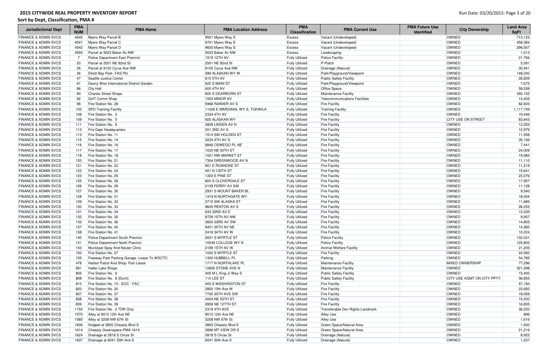| <b>PMA</b><br><b>PMA</b><br><b>PMA Name</b><br><b>PMA Current Use</b><br><b>Jurisdictional Dept</b><br><b>PMA Location Address</b><br><b>NUM</b><br><b>Classification</b> | <b>PMA Future Use</b><br><b>City Ownership</b><br><b>Identified</b> | <b>Land Area</b><br><b>SqFt</b> |
|---------------------------------------------------------------------------------------------------------------------------------------------------------------------------|---------------------------------------------------------------------|---------------------------------|
| <b>FINANCE &amp; ADMIN SVCS</b><br>4540<br>Myers Way Parcel B<br>9501 Myers Way S<br><b>Excess</b><br>Vacant (Undeveloped)                                                | OWNED                                                               | 713,123                         |
| 4541<br>Myers Way Parcel C<br><b>FINANCE &amp; ADMIN SVCS</b><br>9701 Myers Way S<br>Excess<br>Vacant (Undeveloped)                                                       | OWNED                                                               | 458,384                         |
| <b>FINANCE &amp; ADMIN SVCS</b><br>4542<br>Myers Way Parcel D<br>Vacant (Undeveloped)<br>9600 Myers Way S<br>Excess                                                       | <b>OWNED</b>                                                        | 296,507                         |
| <b>FINANCE &amp; ADMIN SVCS</b><br>4593<br>Parcel at 5023 Baker Av NW<br>5023 Baker Av NW<br>Excess<br>Landscaping                                                        | <b>OWNED</b>                                                        | 1,013                           |
| <b>FINANCE &amp; ADMIN SVCS</b><br>1519 12TH AV<br><b>Fully Utilized</b><br>Police Facility<br>Police Department East Precinct<br>7                                       | OWNED                                                               | 21,794                          |
| P-Patch<br><b>FINANCE &amp; ADMIN SVCS</b><br>Parcel at 2501 NE 82nd St<br>2501 NE 82nd St<br>20<br><b>Fully Utilized</b>                                                 | OWNED                                                               | 5,091                           |
| <b>FINANCE &amp; ADMIN SVCS</b><br>26<br>Parcel at 9100 Cyrus Ave NW<br>9100 Cyrus Ave NW<br><b>Fully Utilized</b><br>Drainage (Natural)                                  | OWNED                                                               | 30,941                          |
| <b>FINANCE &amp; ADMIN SVCS</b><br>36<br>Elliott Bay Park- FAS Ptn<br>399 ALASKAN WY W<br>Park/Playground/Viewpoint<br><b>Fully Utilized</b>                              | OWNED                                                               | 148,040                         |
| <b>FINANCE &amp; ADMIN SVCS</b><br>47<br>Seattle Justice Center<br>610 5TH AV<br><b>Fully Utilized</b><br><b>Public Safety Facility</b>                                   | OWNED                                                               | 28,839                          |
| <b>FINANCE &amp; ADMIN SVCS</b><br>620 S MAIN ST<br>Park/Playground/Viewpoint<br>61<br>Danny Woo International District Garden<br><b>Fully Utilized</b>                   | OWNED                                                               | 7,672                           |
| 600 4TH AV<br><b>FINANCE &amp; ADMIN SVCS</b><br>86<br>City Hall<br><b>Fully Utilized</b><br><b>Office Space</b>                                                          | OWNED                                                               | 59,538                          |
| 805 S DEARBORN ST<br><b>FINANCE &amp; ADMIN SVCS</b><br>90<br><b>Charles Street Shops</b><br><b>Fully Utilized</b><br>Maintenance Facility                                | OWNED                                                               | 450,152                         |
| 92<br>DolT Comm Shop<br>1933 MINOR AV<br><b>Telecommunications Facilities</b><br><b>FINANCE &amp; ADMIN SVCS</b><br><b>Fully Utilized</b>                                 | OWNED                                                               | 14,405                          |
| <b>FINANCE &amp; ADMIN SVCS</b><br>98<br>Fire Station No. 28<br>5968 RAINIER AV S<br><b>Fully Utilized</b><br><b>Fire Facility</b>                                        | OWNED                                                               | 82,605                          |
| <b>SPD Training Facility</b><br>11026 E MARGINAL WY S, TUKWILA<br><b>FINANCE &amp; ADMIN SVCS</b><br>102<br><b>Fully Utilized</b><br><b>Training Facility</b>             | OWNED                                                               | 1,117,749                       |
| 2334 4TH AV<br><b>FINANCE &amp; ADMIN SVCS</b><br>108<br>Fire Station No. 2<br><b>Fully Utilized</b><br><b>Fire Facility</b>                                              | <b>OWNED</b>                                                        | 19,446                          |
| Fire Station No. 5<br>925 ALASKAN WY<br><b>FINANCE &amp; ADMIN SVCS</b><br>109<br><b>Fully Utilized</b><br><b>Fire Facility</b>                                           | <b>CITY USE ON STREET</b>                                           | 83,643                          |
| <b>FINANCE &amp; ADMIN SVCS</b><br>Fire Station No. 9<br>3829 LINDEN AV N<br><b>Fire Facility</b><br>111<br><b>Fully Utilized</b>                                         | OWNED                                                               | 13,355                          |
| <b>Fire Dept Headquarters</b><br>301 2ND AV S<br><b>FINANCE &amp; ADMIN SVCS</b><br>112<br><b>Fully Utilized</b><br><b>Fire Facility</b>                                  | OWNED                                                               | 12,979                          |
| <b>FINANCE &amp; ADMIN SVCS</b><br>Fire Station No. 11<br>1514 SW HOLDEN ST<br>113<br><b>Fully Utilized</b><br><b>Fire Facility</b>                                       | OWNED                                                               | 11,558                          |
| 115<br>Fire Station No. 14<br>3224 4TH AV S<br><b>FINANCE &amp; ADMIN SVCS</b><br><b>Fully Utilized</b><br><b>Fire Facility</b>                                           | OWNED                                                               | 35,106                          |
| Fire Station No. 16<br>6846 OSWEGO PL NE<br><b>FINANCE &amp; ADMIN SVCS</b><br>116<br><b>Fully Utilized</b><br><b>Fire Facility</b>                                       | <b>OWNED</b>                                                        | 7,441                           |
| <b>FINANCE &amp; ADMIN SVCS</b><br>Fire Station No. 17<br>1020 NE 50TH ST<br>117<br><b>Fully Utilized</b><br><b>Fire Facility</b>                                         | OWNED                                                               | 24,009                          |
| <b>FINANCE &amp; ADMIN SVCS</b><br>Fire Station No. 18<br>1521 NW MARKET ST<br><b>Fire Facility</b><br>118<br><b>Fully Utilized</b>                                       | OWNED                                                               | 19,982                          |
| Fire Station No. 21<br><b>FINANCE &amp; ADMIN SVCS</b><br>120<br>7304 GREENWOOD AV N<br><b>Fully Utilized</b><br><b>Fire Facility</b>                                     | <b>OWNED</b>                                                        | 11,110                          |
| Fire Station No. 22<br>901 E ROANOKE ST<br><b>FINANCE &amp; ADMIN SVCS</b><br>121<br><b>Fully Utilized</b><br><b>Fire Facility</b>                                        | <b>OWNED</b>                                                        | 11,219                          |
| Fire Station No. 24<br><b>FINANCE &amp; ADMIN SVCS</b><br>122<br>401 N 130TH ST<br><b>Fully Utilized</b><br><b>Fire Facility</b>                                          | OWNED                                                               | 15,641                          |
| <b>FINANCE &amp; ADMIN SVCS</b><br>Fire Station No. 25<br><b>1300 E PINE ST</b><br>123<br><b>Fully Utilized</b><br><b>Fire Facility</b>                                   | <b>OWNED</b>                                                        | 23,076                          |
| <b>FINANCE &amp; ADMIN SVCS</b><br>Fire Station No. 26<br>800 S CLOVERDALE ST<br>125<br><b>Fully Utilized</b><br><b>Fire Facility</b>                                     | <b>OWNED</b>                                                        | 17,957                          |
| <b>FINANCE &amp; ADMIN SVCS</b><br>Fire Station No. 29<br>2139 FERRY AV SW<br><b>Fire Facility</b><br>126<br><b>Fully Utilized</b>                                        | OWNED                                                               | 11,128                          |
| <b>FINANCE &amp; ADMIN SVCS</b><br>127<br>Fire Station No. 30<br>2931 S MOUNT BAKER BL<br><b>Fully Utilized</b><br><b>Fire Facility</b>                                   | OWNED                                                               | 9,540                           |
| 1319 N NORTHGATE WY<br><b>FINANCE &amp; ADMIN SVCS</b><br>Fire Station No. 31<br>128<br><b>Fully Utilized</b><br><b>Fire Facility</b>                                     | OWNED                                                               | 18,004                          |
| <b>FINANCE &amp; ADMIN SVCS</b><br>129<br>Fire Station No. 32<br>3715 SW ALASKA ST<br><b>Fully Utilized</b><br><b>Fire Facility</b>                                       | OWNED                                                               | 11,685                          |
| 130<br>Fire Station No. 33<br>9645 RENTON AV S<br><b>FINANCE &amp; ADMIN SVCS</b><br><b>Fully Utilized</b><br><b>Fire Facility</b>                                        | OWNED                                                               | 28,253                          |
| <b>FINANCE &amp; ADMIN SVCS</b><br>Fire Station No. 34<br>633 32ND AV E<br>131<br><b>Fully Utilized</b><br><b>Fire Facility</b>                                           | OWNED                                                               | 12,335                          |
| <b>FINANCE &amp; ADMIN SVCS</b><br>132<br>Fire Station No. 35<br>8729 15TH AV NW<br><b>Fully Utilized</b><br><b>Fire Facility</b>                                         | OWNED                                                               | 9,957                           |
| <b>FINANCE &amp; ADMIN SVCS</b><br>3600 23RD AV SW<br>133<br>Fire Station No. 36<br><b>Fully Utilized</b><br><b>Fire Facility</b>                                         | OWNED                                                               | 14,855                          |
| 9401 35TH AV NE<br><b>FINANCE &amp; ADMIN SVCS</b><br>Fire Station No. 40<br><b>Fully Utilized</b><br><b>Fire Facility</b><br>137                                         | OWNED                                                               | 14,382                          |
| Fire Station No. 41<br>2416 34TH AV W<br><b>Fire Facility</b><br><b>FINANCE &amp; ADMIN SVCS</b><br>138<br><b>Fully Utilized</b>                                          | OWNED                                                               | 10,224                          |
| <b>FINANCE &amp; ADMIN SVCS</b><br>3001 S MYRTLE ST<br>140<br>Police Department South Precinct<br><b>Fully Utilized</b><br><b>Police Facility</b>                         | OWNED                                                               | 132,021                         |
| <b>FINANCE &amp; ADMIN SVCS</b><br>141<br>Police Department North Precinct<br>10049 COLLEGE WY N<br><b>Fully Utilized</b><br><b>Police Facility</b>                       | OWNED                                                               | 125,802                         |
| <b>FINANCE &amp; ADMIN SVCS</b><br>Animal Welfare Facility<br>143<br>Municipal Spay And Neuter Clinic<br>2189 15TH AV W<br><b>Fully Utilized</b>                          | OWNED                                                               | 21,205                          |
| <b>FINANCE &amp; ADMIN SVCS</b><br>150<br>Fire Station No. 27<br>1000 S MYRTLE ST<br><b>Fully Utilized</b><br><b>Fire Facility</b>                                        | OWNED                                                               | 24,592                          |
| <b>FINANCE &amp; ADMIN SVCS</b><br>Freeway Park Parking Garage- Lease To WSCTC<br>1300 HUBBELL PL<br>Parking<br>155<br><b>Fully Utilized</b>                              | OWNED                                                               | 54,785                          |
| <b>FINANCE &amp; ADMIN SVCS</b><br>1717 N NORTHLAKE PL<br>Maintenance Facility<br>478<br>Harbor Patrol And Shop- Part Lease<br><b>Fully Utilized</b>                      | <b>MIXED OWNERSHIP</b>                                              | 77,296                          |
| <b>FINANCE &amp; ADMIN SVCS</b><br>Haller Lake Shops<br>12600 STONE AVE N<br>Maintenance Facility<br>691<br><b>Fully Utilized</b>                                         | OWNED                                                               | 521,298                         |
| 806<br>Fire Station No. 6<br>Public Safety Facility<br><b>FINANCE &amp; ADMIN SVCS</b><br>405 M L King Jr Way S<br><b>Fully Utilized</b>                                  | <b>OWNED</b>                                                        | 15,400                          |
| <b>FINANCE &amp; ADMIN SVCS</b><br>110 LEE ST<br>808<br>Fire Station No. 8 (Esmt)<br><b>Fully Utilized</b><br><b>Public Safety Facility</b>                               | CITY USE AGMT ON CITY PPTY                                          | 36,855                          |
| <b>FINANCE &amp; ADMIN SVCS</b><br>Fire Station No. 10 - EOC - FAC<br>400 S WASHINGTON ST<br>810<br><b>Fully Utilized</b><br><b>Fire Facility</b>                         | OWNED                                                               | 57,150                          |
| <b>FINANCE &amp; ADMIN SVCS</b><br>Fire Station No. 20<br>820<br>2800 15th Ave W<br><b>Fully Utilized</b><br><b>Fire Facility</b>                                         | OWNED                                                               | 23,650                          |
| <b>FINANCE &amp; ADMIN SVCS</b><br>7700 35TH AVE SW<br>837<br>Fire Station No. 37<br><b>Fully Utilized</b><br><b>Fire Facility</b>                                        | <b>OWNED</b>                                                        | 18,059                          |
| <b>FINANCE &amp; ADMIN SVCS</b><br>Fire Station No. 38<br>4004 NE 55TH ST<br><b>Fire Facility</b><br>838<br><b>Fully Utilized</b>                                         | OWNED                                                               | 15,000                          |
| <b>FINANCE &amp; ADMIN SVCS</b><br>2806 NE 127TH ST<br>839<br>Fire Station No. 39<br><b>Fully Utilized</b><br><b>Fire Facility</b>                                        | OWNED                                                               | 16,835                          |
| <b>FINANCE &amp; ADMIN SVCS</b><br>Fire Station No. 2 TDR Only<br>2318 4TH AVE<br>Transferable Dev Rights-Landmark<br>1150<br><b>Fully Utilized</b>                       | OWNED                                                               | 36,220                          |
| <b>FINANCE &amp; ADMIN SVCS</b><br>1570<br>Alley at 9012 12th Ave NE<br>9012 12th Ave NE<br><b>Alley Use</b><br><b>Fully Utilized</b>                                     | OWNED                                                               | 896                             |
| <b>FINANCE &amp; ADMIN SVCS</b><br>1580<br>Alley at 3208 NW 67th St<br>3208 NW 67th St<br><b>Alley Use</b><br><b>Fully Utilized</b>                                       | OWNED                                                               | 1,616                           |
| <b>FINANCE &amp; ADMIN SVCS</b><br>Green Space/Natural Area<br>1606<br>Snippet at 3800 Cheasty Blvd S<br>3800 Cheasty Blvd S<br><b>Fully Utilized</b>                     | OWNED                                                               | 1,000                           |
| <b>FINANCE &amp; ADMIN SVCS</b><br>Cheasty Greenspace-PMA 1614<br>2896 MT VIEW DR S<br>Green Space/Natural Area<br>1614<br><b>Fully Utilized</b>                          | OWNED                                                               | 21,216                          |
| 1624<br><b>FINANCE &amp; ADMIN SVCS</b><br>Drainage at 2818 S Orcas St<br>2818 S Orcas St<br><b>Fully Utilized</b><br>Drainage (Natural)                                  |                                                                     |                                 |
|                                                                                                                                                                           | OWNED                                                               | 8,922                           |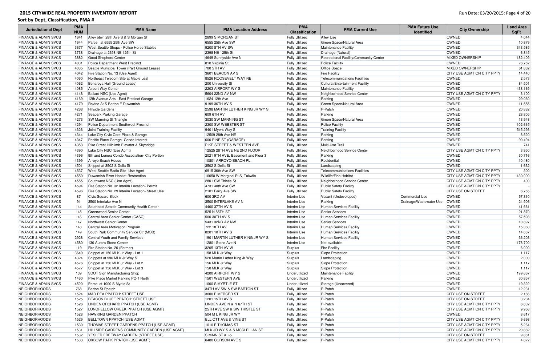| <b>Jurisdictional Dept</b>                                         | <b>PMA</b><br><b>NUM</b> | <b>PMA Name</b>                                                 | <b>PMA Location Address</b>                                 | <b>PMA</b><br><b>Classification</b>            | <b>PMA Current Use</b>                       | <b>PMA Future Use</b><br><b>Identified</b> | <b>City Ownership</b>                      | <b>Land Area</b><br><b>SqFt</b> |
|--------------------------------------------------------------------|--------------------------|-----------------------------------------------------------------|-------------------------------------------------------------|------------------------------------------------|----------------------------------------------|--------------------------------------------|--------------------------------------------|---------------------------------|
| <b>FINANCE &amp; ADMIN SVCS</b>                                    | 1641                     | Alley btwn 28th Ave S & S Morgan St                             | 2899 S MORGAN ST                                            | <b>Fully Utilized</b>                          | <b>Alley Use</b>                             |                                            | <b>OWNED</b>                               | 4,044                           |
| <b>FINANCE &amp; ADMIN SVCS</b>                                    | 1644                     | Parcel at 6555 25th Ave SW                                      | 6555 25th Ave SW                                            | <b>Fully Utilized</b>                          | Green Space/Natural Area                     |                                            | OWNED                                      | 10,879                          |
| <b>FINANCE &amp; ADMIN SVCS</b>                                    | 3677                     | West Seattle Shops - Police Horse Stables                       | 9200 8TH AV SW                                              | <b>Fully Utilized</b>                          | Maintenance Facility                         |                                            | OWNED                                      | 343,585                         |
| <b>FINANCE &amp; ADMIN SVCS</b>                                    | 3738                     | Drainage at 2398 NE 125th St                                    | 2398 NE 125th St                                            | <b>Fully Utilized</b>                          | Drainage (Natural)                           |                                            | OWNED                                      | 6,845                           |
| <b>FINANCE &amp; ADMIN SVCS</b>                                    | 3882                     | Good Shepherd Center                                            | 4649 Sunnyside Ave N                                        | <b>Fully Utilized</b>                          | Recreational Facility/Community Center       |                                            | <b>MIXED OWNERSHIP</b>                     | 182,409                         |
| <b>FINANCE &amp; ADMIN SVCS</b>                                    | 4031                     | <b>Police Department West Precinct</b>                          | 810 Virginia St                                             | <b>Fully Utilized</b>                          | <b>Police Facility</b>                       |                                            | OWNED                                      | 76,752                          |
| <b>FINANCE &amp; ADMIN SVCS</b>                                    | 4035                     | Seattle Municipal Tower (Part Ground Lease)                     | 700 5TH AV                                                  | <b>Fully Utilized</b>                          | Office Space                                 |                                            | <b>MIXED OWNERSHIP</b>                     | 61,882                          |
| <b>FINANCE &amp; ADMIN SVCS</b>                                    | 4042                     | Fire Station No. 13 (Use Agmt)                                  | 3601 BEACON AV S                                            | <b>Fully Utilized</b>                          | <b>Fire Facility</b>                         |                                            | <b>CITY USE AGMT ON CITY PPTY</b>          | 14,440                          |
| <b>FINANCE &amp; ADMIN SVCS</b>                                    | 4060                     | Northeast Telecom Site at Maple Leaf                            | 8526 ROOSEVELT WAY NE                                       | <b>Fully Utilized</b>                          | Telecommunications Facilities                |                                            | OWNED                                      | 2,573                           |
| <b>FINANCE &amp; ADMIN SVCS</b>                                    | 4062                     | Benaroya Hall (Ground Lease)                                    | 200 University St                                           | <b>Fully Utilized</b>                          | Cultural/Entertainment Facility              |                                            | OWNED                                      | 84,501                          |
| <b>FINANCE &amp; ADMIN SVCS</b>                                    | 4085                     | Airport Way Center                                              | 2203 AIRPORT WY S                                           | <b>Fully Utilized</b>                          | Maintenance Facility                         |                                            | OWNED                                      | 438,169                         |
| <b>FINANCE &amp; ADMIN SVCS</b>                                    | 4148                     | Ballard NSC (Use Agmt)                                          | 5604 22ND AV NW                                             | <b>Fully Utilized</b>                          | Neighborhood Service Center                  |                                            | CITY USE AGMT ON CITY PPTY                 | 3,100                           |
| <b>FINANCE &amp; ADMIN SVCS</b>                                    | 4169                     | 12th Avenue Arts - East Precinct Garage                         | 1624 12th Ave                                               | <b>Fully Utilized</b>                          | Parking                                      |                                            | OWNED                                      | 29,060                          |
| <b>FINANCE &amp; ADMIN SVCS</b>                                    | 4179                     | Ravine At S Barton E Duwamish                                   | 9199 36TH AV S                                              | <b>Fully Utilized</b>                          | Green Space/Natural Area                     |                                            | OWNED                                      | 11,555                          |
| <b>FINANCE &amp; ADMIN SVCS</b>                                    | 4268                     | <b>Hillside Gardens</b>                                         | 2598 MARTIN LUTHER KING JR WY S                             | <b>Fully Utilized</b>                          | P-Patch                                      |                                            | OWNED                                      | 20,882                          |
| <b>FINANCE &amp; ADMIN SVCS</b>                                    | 4271                     | Seapark Parking Garage                                          | 609 6TH AV                                                  | <b>Fully Utilized</b>                          | Parking                                      |                                            | OWNED                                      | 28,805                          |
| <b>FINANCE &amp; ADMIN SVCS</b>                                    | 4273                     | <b>SW Manning St Triangle</b>                                   | 3030 SW MANNING ST                                          | <b>Fully Utilized</b>                          | Green Space/Natural Area                     |                                            | OWNED                                      | 13,948                          |
| <b>FINANCE &amp; ADMIN SVCS</b>                                    | 4294                     | <b>Police Department Southwest Precinct</b>                     | 2300 SW WEBSTER ST                                          | <b>Fully Utilized</b>                          | <b>Police Facility</b>                       |                                            | OWNED                                      | 102,615                         |
| <b>FINANCE &amp; ADMIN SVCS</b>                                    | 4326                     | Joint Training Facility                                         | 9401 Myers Way S                                            | <b>Fully Utilized</b>                          | <b>Training Facility</b>                     |                                            | OWNED                                      | 545,293                         |
| <b>FINANCE &amp; ADMIN SVCS</b>                                    | 4344                     | Lake City Civic Core Plaza & Garage                             | 12509 28th Ave NE                                           | <b>Fully Utilized</b>                          | Parking                                      |                                            | OWNED                                      | 8,520                           |
| <b>FINANCE &amp; ADMIN SVCS</b>                                    | 4347                     | Pacific Place Garage- Condo Interest                            | 600 PINE ST (GARAGE)                                        | <b>Fully Utilized</b>                          | Parking                                      |                                            | OWNED                                      | 90,494                          |
| <b>FINANCE &amp; ADMIN SVCS</b>                                    | 4353                     | Pike Street Hillclimb Elevator & Skybridge                      | PIKE STREET & WESTERN AVE                                   | <b>Fully Utilized</b>                          | Multi-Use Trail                              |                                            | OWNED                                      | 741                             |
| <b>FINANCE &amp; ADMIN SVCS</b>                                    | 4390                     | Lake City NSC (Use Agmt)                                        | 12525 28TH AVE NE 2ND FLOOR                                 | <b>Fully Utilized</b>                          | Neighborhood Service Center                  |                                            | <b>CITY USE AGMT ON CITY PPTY</b><br>OWNED | 3,950                           |
| <b>FINANCE &amp; ADMIN SVCS</b><br><b>FINANCE &amp; ADMIN SVCS</b> | 4396                     | 9th and Lenora Condo Association- City Portion                  | 2021 9TH AVE, Basement and Floor 3<br>10801 ARROYO BEACH PL | <b>Fully Utilized</b>                          | Parking<br>Residential                       |                                            | OWNED                                      | 30,716                          |
| <b>FINANCE &amp; ADMIN SVCS</b>                                    | 4399                     | Arroyo Beach House                                              |                                                             | <b>Fully Utilized</b>                          |                                              |                                            | OWNED                                      | 10,480                          |
| <b>FINANCE &amp; ADMIN SVCS</b>                                    | 4501<br>4537             | Snippet at 3502 S Della St<br>West Seattle Radio Site- Use Agmt | 3502 S Della St<br>6915 36th Ave SW                         | <b>Fully Utilized</b><br><b>Fully Utilized</b> | Landscaping<br>Telecommunications Facilities |                                            | <b>CITY USE AGMT ON CITY PPTY</b>          | 1,632<br>300                    |
| <b>FINANCE &amp; ADMIN SVCS</b>                                    | 4550                     | Duwamish River Habitat Restoration                              | 10050 W Marginal PI S, Tukwila                              | <b>Fully Utilized</b>                          | Wildlife/Fish Habitat                        |                                            | <b>CITY USE AGMT ON CITY PPTY</b>          | 130,000                         |
| <b>FINANCE &amp; ADMIN SVCS</b>                                    | 4555                     | Southwest NSC (Use Agmt)                                        | 2801 SW Thistle St                                          | <b>Fully Utilized</b>                          | Neighborhood Service Center                  |                                            | CITY USE AGMT ON CITY PPTY                 | 400                             |
| <b>FINANCE &amp; ADMIN SVCS</b>                                    | 4594                     | Fire Station No. 32 Interim Location- Permit                    | 4731 40th Ave SW                                            | <b>Fully Utilized</b>                          | <b>Public Safety Facility</b>                |                                            | CITY USE AGMT ON CITY PPTY                 |                                 |
| <b>FINANCE &amp; ADMIN SVCS</b>                                    | 4596                     | Fire Station No. 29 Interim Location- Street Use                | 2101 Ferry Ave SW                                           | <b>Fully Utilized</b>                          | <b>Public Safety Facility</b>                |                                            | <b>CITY USE ON STREET</b>                  | 6,755                           |
| <b>FINANCE &amp; ADMIN SVCS</b>                                    | 87                       | Civic Square Block                                              | 600 3RD AV                                                  | Interim Use                                    | Vacant (Undeveloped)                         | Commercial Use                             | OWNED                                      | 57,310                          |
| <b>FINANCE &amp; ADMIN SVCS</b>                                    | 91                       | 3500 Interlake Ave N                                            | 3500 INTERLAKE AV N                                         | Interim Use                                    | Parking                                      | Drainage/Wastewater Use                    | OWNED                                      | 24,906                          |
| <b>FINANCE &amp; ADMIN SVCS</b>                                    | 144                      | Southeast Seattle Community Health Center                       | 4400 37TH AV S                                              | Interim Use                                    | <b>Human Services Facility</b>               |                                            | OWNED                                      | 41,661                          |
| <b>FINANCE &amp; ADMIN SVCS</b>                                    | 145                      | Greenwood Senior Center                                         | 525 N 85TH ST                                               | Interim Use                                    | Senior Services                              |                                            | OWNED                                      | 21,870                          |
| <b>FINANCE &amp; ADMIN SVCS</b>                                    | 146                      | Central Area Senior Center (CASC)                               | 500 30TH AV S                                               | Interim Use                                    | Human Services Facility                      |                                            | OWNED                                      | 57,598                          |
| <b>FINANCE &amp; ADMIN SVCS</b>                                    | 147                      | Northwest Senior Center                                         | 5431 32ND AV NW                                             | Interim Use                                    | Senior Services                              |                                            | OWNED                                      | 10,897                          |
| <b>FINANCE &amp; ADMIN SVCS</b>                                    | 148                      | Central Area Motivation Program                                 | 722 18TH AV                                                 | Interim Use                                    | Human Services Facility                      |                                            | OWNED                                      | 15,360                          |
| <b>FINANCE &amp; ADMIN SVCS</b>                                    | 149                      | South Park Community Service Ctr (MOB)                          | 8201 10TH AV S                                              | Interim Use                                    | Human Services Facility                      |                                            | OWNED                                      | 14,687                          |
| <b>FINANCE &amp; ADMIN SVCS</b>                                    | 2928                     | Central Youth and Family Services                               | 1901 MARTIN LUTHER KING JR WY S                             | Interim Use                                    | Human Services Facility                      |                                            | OWNED                                      | 36,203                          |
| <b>FINANCE &amp; ADMIN SVCS</b>                                    | 4580                     | 130 Aurora Stone Center                                         | 12801 Stone Ave N                                           | Interim Use                                    | Not available                                |                                            | OWNED                                      | 178,700                         |
| <b>FINANCE &amp; ADMIN SVCS</b>                                    | 119                      | Fire Station No. 20 (Former)                                    | 3205 13TH AV W                                              | Surplus                                        | <b>Fire Facility</b>                         |                                            | OWNED                                      | 6,000                           |
| <b>FINANCE &amp; ADMIN SVCS</b>                                    | 3640                     | Snippet at 156 MLK Jr Way - Lot 1                               | 158 MLK Jr Way                                              | Surplus                                        | Slope Protection                             |                                            | OWNED                                      | 1,117                           |
| <b>FINANCE &amp; ADMIN SVCS</b>                                    | 4324                     | Snippets at 596 MLK Jr Way S                                    | 520 Martin Luther King Jr Way                               | Surplus                                        | Landscaping                                  |                                            | OWNED                                      | 2,000                           |
| <b>FINANCE &amp; ADMIN SVCS</b>                                    | 4576                     | Snippet at 156 MLK Jr Way - Lot 2                               | 156 MLK Jr Way                                              | Surplus                                        | Slope Protection                             |                                            | OWNED                                      | 1,117                           |
| <b>FINANCE &amp; ADMIN SVCS</b>                                    | 4577                     | Snippet at 156 MLK Jr Way - Lot 3                               | 150 MLK Jr Way                                              | Surplus                                        | Slope Protection                             |                                            | OWNED                                      | 1,117                           |
| <b>FINANCE &amp; ADMIN SVCS</b>                                    | 139                      | SDOT Sign Manufacturing Shop                                    | 4200 AIRPORT WY S                                           | Underutilized                                  | Maintenance Facility                         |                                            | OWNED                                      | 199,667                         |
| <b>FINANCE &amp; ADMIN SVCS</b>                                    | 1460                     | Pike Place Market Parking PC-1 North                            | 1501 WESTERN AVE                                            | Underutilized                                  | Parking                                      |                                            | OWNED                                      | 30,857                          |
| <b>FINANCE &amp; ADMIN SVCS</b>                                    | 4520                     | Parcel at 1000 S Myrtle St                                      | 1000 S MYRTLE ST                                            | Underutilized                                  | Storage (Uncovered)                          |                                            | OWNED                                      | 19,322                          |
| <b>NEIGHBORHOODS</b>                                               | 768                      | Barton St Ppatch                                                | 34TH AV SW & SW BARTON ST                                   | <b>Fully Utilized</b>                          | P-Patch                                      |                                            | OWNED                                      | 12,231                          |
| <b>NEIGHBORHOODS</b>                                               | 1524                     | MAD PEA PPATCH: STREET USE                                      | 3000 E MERCER ST                                            | <b>Fully Utilized</b>                          | $P-Patch$                                    |                                            | <b>CITY USE ON STREET</b>                  | 2,186                           |
| <b>NEIGHBORHOODS</b>                                               | 1525                     | <b>BEACON BLUFF PPATCH: STREET USE</b>                          | 1201 15TH AV S                                              | <b>Fully Utilized</b>                          | $P-Patch$                                    |                                            | <b>CITY USE ON STREET</b>                  | 3,204                           |
| <b>NEIGHBORHOODS</b>                                               | 1526                     | LINDEN ORCHARD PPATCH (USE AGMT)                                | LINDEN AVE N & N 67TH ST                                    | <b>Fully Utilized</b>                          | P-Patch                                      |                                            | <b>CITY USE AGMT ON CITY PPTY</b>          | 6,832                           |
| NEIGHBORHOODS                                                      | 1527                     | LONGFELLOW CREEK PPATCH (USE AGMT)                              | 25TH AVE SW & SW THISTLE ST                                 | <b>Fully Utilized</b>                          | P-Patch                                      |                                            | CITY USE AGMT ON CITY PPTY                 | 9,958                           |
| NEIGHBORHOODS                                                      | 1528                     | <b>HAWKINS GARDEN PPATCH</b>                                    | 504 M L KING JR WY                                          | <b>Fully Utilized</b>                          | $P-Patch$                                    |                                            | <b>OWNED</b>                               | 8,617                           |
| <b>NEIGHBORHOODS</b>                                               | 1529                     | <b>BELLTOWN PPATCH (USE AGMT)</b>                               | <b>ELLIOTT AVE &amp; VINE ST</b>                            | <b>Fully Utilized</b>                          | $P-Patch$                                    |                                            | CITY USE AGMT ON CITY PPTY                 | 9,698                           |
| <b>NEIGHBORHOODS</b>                                               | 1530                     | THOMAS STREET GARDENS PPATCH (USE AGMT)                         | 1010 E THOMAS ST                                            | <b>Fully Utilized</b>                          | $P-Patch$                                    |                                            | CITY USE AGMT ON CITY PPTY                 | 5,264                           |
| <b>NEIGHBORHOODS</b>                                               | 1531                     | HILLSIDE GARDENS COMMUNITY GARDEN (USE AGMT)                    | MLK JR WY S & S MCCLELLAN ST                                | <b>Fully Utilized</b>                          | $P-Patch$                                    |                                            | <b>CITY USE AGMT ON CITY PPTY</b>          | 20,882                          |
| NEIGHBORHOODS                                                      | 1532                     | <b>YESLER FREEWAY GARDEN (STREET USE)</b>                       | S MAIN ST & I-5                                             | <b>Fully Utilized</b>                          | P-Patch                                      |                                            | <b>CITY USE ON STREET</b>                  | 9,881                           |
| NEIGHBORHOODS                                                      | 1533                     | <b>OXBOW PARK PPATCH (USE AGMT)</b>                             | 6400 CORSON AVE S                                           | <b>Fully Utilized</b>                          | $P-Patch$                                    |                                            | CITY USE AGMT ON CITY PPTY                 | 4,872                           |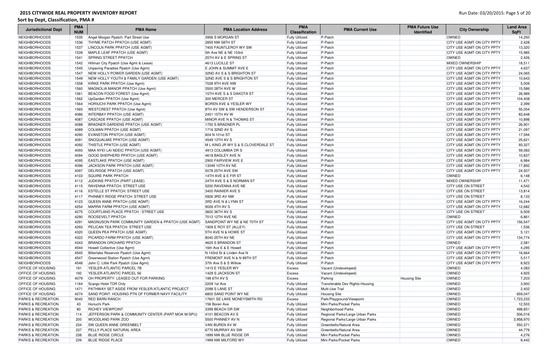| <b>Jurisdictional Dept</b>    | <b>PMA</b><br><b>NUM</b> | <b>PMA Name</b>                                       | <b>PMA Location Address</b>          | <b>PMA</b><br><b>Classification</b> | <b>PMA Current Use</b>           | <b>PMA Future Use</b><br><b>Identified</b> | <b>City Ownership</b>             | <b>Land Area</b><br><b>SqFt</b> |
|-------------------------------|--------------------------|-------------------------------------------------------|--------------------------------------|-------------------------------------|----------------------------------|--------------------------------------------|-----------------------------------|---------------------------------|
| NEIGHBORHOODS                 | 1535                     | Angel Morgan Ppatch: Part Street Use                  | 3956 S MORGAN ST                     | <b>Fully Utilized</b>               | P-Patch                          |                                            | <b>OWNED</b>                      | 14,250                          |
| NEIGHBORHOODS                 | 1536                     | <b>THYME PATCH PPATCH (USE AGMT)</b>                  | 2855 NW 58TH ST                      | <b>Fully Utilized</b>               | P-Patch                          |                                            | <b>CITY USE AGMT ON CITY PPTY</b> | 2,428                           |
| NEIGHBORHOODS                 | 1537                     | LINCOLN PARK PPATCH (USE AGMT)                        | 7400 FAUNTLEROY WY SW                | <b>Fully Utilized</b>               | $P-Patch$                        |                                            | <b>CITY USE AGMT ON CITY PPTY</b> | 13,320                          |
| NEIGHBORHOODS                 | 1539                     | MAPLE LEAF PPATCH (USE AGMT)                          | 5th Ave NE & NE 103rd                | <b>Fully Utilized</b>               | P-Patch                          |                                            | <b>CITY USE AGMT ON CITY PPTY</b> | 15,985                          |
| NEIGHBORHOODS                 | 1541                     | <b>SPRING STREET PPATCH</b>                           | 25TH AV & E SPRING ST                | <b>Fully Utilized</b>               | P-Patch                          |                                            | <b>OWNED</b>                      | 2,426                           |
| NEIGHBORHOODS                 | 1542                     | Hillman City Ppatch (Use Agmt & Lease)                | 4613 LUCILLE ST                      | <b>Fully Utilized</b>               | P-Patch                          |                                            | <b>MIXED OWNERSHIP</b>            | 18,511                          |
| NEIGHBORHOODS                 | 1545                     | Unpaving Paradise Ppatch (Use Agmt)                   | E JOHN & SUMMIT AVE E                | <b>Fully Utilized</b>               | P-Patch                          |                                            | CITY USE AGMT ON CITY PPTY        | 4,637                           |
| NEIGHBORHOODS                 | 1547                     | NEW HOLLY POWER GARDEN (USE AGMT)                     | 32ND AV S & S BRIGHTON ST            | <b>Fully Utilized</b>               | $P-Patch$                        |                                            | <b>CITY USE AGMT ON CITY PPTY</b> | 24,065                          |
| NEIGHBORHOODS                 | 1549                     | NEW HOLLY YOUTH & FAMILY GARDEN (USE AGMT)            | 32ND AVE S & S BRIGHTON ST           | <b>Fully Utilized</b>               | $P-Patch$                        |                                            | <b>CITY USE AGMT ON CITY PPTY</b> | 10,643                          |
| NEIGHBORHOODS                 | 1558                     | KIRKE PARK PPATCH (Use Agmt)                          | 7028 9TH AVE NW                      | <b>Fully Utilized</b>               | P-Patch                          |                                            | CITY USE AGMT ON CITY PPTY        | 5,009                           |
| NEIGHBORHOODS                 | 1560                     | MAGNOLIA MANOR PPATCH (Use Agmt)                      | 3500 28TH AVE W                      | <b>Fully Utilized</b>               | $P-Patch$                        |                                            | <b>CITY USE AGMT ON CITY PPTY</b> | 15,586                          |
| <b>NEIGHBORHOODS</b>          | 1561                     | BEACON FOOD FOREST (Use Agmt)                         | 15TH AVE S & S DAKOTA ST             | <b>Fully Utilized</b>               | $P-Patch$                        |                                            | <b>CITY USE AGMT ON CITY PPTY</b> | 26,989                          |
| NEIGHBORHOODS                 | 1562                     | UpGarden PPATCH (Use Agmt)                            | 300 MERCER ST                        | <b>Fully Utilized</b>               | P-Patch                          |                                            | <b>CITY USE AGMT ON CITY PPTY</b> | 104,408                         |
| NEIGHBORHOODS                 | 1564                     | HORIUCHI PARK PPATCH (Use Agmt)                       | <b>BOREN AVE &amp; YESLER WY</b>     | <b>Fully Utilized</b>               | P-Patch                          |                                            | CITY USE AGMT ON CITY PPTY        | 2,399                           |
| NEIGHBORHOODS                 | 1565                     | <b>WESTCREST PPATCH (Use Agmt)</b>                    | 8TH AV SW & SW HENDERSON ST          | <b>Fully Utilized</b>               | $P-Patch$                        |                                            | CITY USE AGMT ON CITY PPTY        | 55,054                          |
| NEIGHBORHOODS                 | 4086                     | INTERBAY PPATCH (USE AGMT)                            | 2451 15TH AV W                       | <b>Fully Utilized</b>               | P-Patch                          |                                            | <b>CITY USE AGMT ON CITY PPTY</b> | 83,648                          |
| NEIGHBORHOODS                 | 4087                     | CASCADE PPATCH (USE AGMT)                             | MINOR AVE N & THOMAS ST              | <b>Fully Utilized</b>               | P-Patch                          |                                            | <b>CITY USE AGMT ON CITY PPTY</b> | 10,898                          |
| NEIGHBORHOODS                 | 4088                     | <b>BRADNER GARDENS PPATCH (USE AGMT)</b>              | 1750 S BRADNER PL                    | <b>Fully Utilized</b>               | P-Patch                          |                                            | <b>CITY USE AGMT ON CITY PPTY</b> | 26,901                          |
| NEIGHBORHOODS                 | 4089                     | COLMAN PPATCH (USE AGMT)                              | 1716 32ND AV S                       | <b>Fully Utilized</b>               | P-Patch                          |                                            | <b>CITY USE AGMT ON CITY PPTY</b> | 21,097                          |
| NEIGHBORHOODS                 | 4090                     | EVANSTON PPATCH (USE AGMT)                            | 604 N 101st ST                       | <b>Fully Utilized</b>               | P-Patch                          |                                            | <b>CITY USE AGMT ON CITY PPTY</b> | 17,594                          |
| NEIGHBORHOODS                 | 4091                     | SNOQUALMIE PPATCH (USE AGMT)                          | 4549 13TH AV S                       | <b>Fully Utilized</b>               | $P-Patch$                        |                                            | <b>CITY USE AGMT ON CITY PPTY</b> | 25,621                          |
| NEIGHBORHOODS                 | 4092                     | <b>THISTLE PPATCH (USE AGMT)</b>                      | ML KING JR WY S & S CLOVERDALE ST    | <b>Fully Utilized</b>               | $P-Patch$                        |                                            | <b>CITY USE AGMT ON CITY PPTY</b> | 93,327                          |
| NEIGHBORHOODS                 | 4093                     | MAA NYEI LAI NDEIC PPATCH (USE AGMT)                  | 4913 COLUMBIA DR S                   | <b>Fully Utilized</b>               | P-Patch                          |                                            | CITY USE AGMT ON CITY PPTY        | 59,083                          |
| NEIGHBORHOODS                 | 4094                     | GOOD SHEPHERD PPATCH (USE AGMT)                       | 4618 BAGLEY AVE N                    | <b>Fully Utilized</b>               | P-Patch                          |                                            | <b>CITY USE AGMT ON CITY PPTY</b> | 10,837                          |
| NEIGHBORHOODS                 | 4095                     | EASTLAKE PPATCH (USE AGMT)                            | 2900 FAIRVIEW AVE E                  | <b>Fully Utilized</b>               | P-Patch                          |                                            | <b>CITY USE AGMT ON CITY PPTY</b> | 6,984                           |
| NEIGHBORHOODS                 | 4096                     | JACKSON PARK PPATCH (USE AGMT)                        | 13049 10TH AV NE                     | <b>Fully Utilized</b>               | P-Patch                          |                                            | CITY USE AGMT ON CITY PPTY        | 17,892                          |
| NEIGHBORHOODS                 | 4097                     | DELRIDGE PPATCH (USE AGMT)                            | 5078 25TH AVE SW                     | <b>Fully Utilized</b>               | P-Patch                          |                                            | CITY USE AGMT ON CITY PPTY        | 24,507                          |
| NEIGHBORHOODS                 | 4103                     | <b>SQUIRE PARK PPATCH</b>                             | 14TH AVE & E FIR ST                  | <b>Fully Utilized</b>               | $P-Patch$                        |                                            | <b>OWNED</b>                      | 6,148                           |
| NEIGHBORHOODS                 | 4112                     | JUDKINS PPATCH (PART LEASE)                           | 24TH AVE S & S NORMAN ST             | <b>Fully Utilized</b>               | P-Patch                          |                                            | <b>MIXED OWNERSHIP</b>            | 11,471                          |
| NEIGHBORHOODS                 | 4115                     | <b>RAVENNA PPATCH: STREET USE</b>                     | 5200 RAVENNA AVE NE                  | <b>Fully Utilized</b>               | P-Patch                          |                                            | <b>CITY USE ON STREET</b>         | 4,542                           |
| NEIGHBORHOODS                 | 4116                     | <b>ESTELLE ST PPATCH: STREET USE</b>                  | 3400 RAINIER AVE S                   | <b>Fully Utilized</b>               | P-Patch                          |                                            | <b>CITY USE ON STREET</b>         | 13,814                          |
| NEIGHBORHOODS                 | 4117                     | PHINNEY RIDGE PPATCH: STREET USE                      | 5926 3RD AV NW                       | <b>Fully Utilized</b>               | P-Patch                          |                                            | <b>CITY USE ON STREET</b>         | 8,133                           |
| NEIGHBORHOODS                 | 4123                     | QUEEN ANNE PPATCH (USE AGMT)                          | 3RD AVE N & LYNN ST                  | <b>Fully Utilized</b>               | $P-Patch$                        |                                            | <b>CITY USE AGMT ON CITY PPTY</b> | 16,244                          |
| NEIGHBORHOODS                 | 4254                     | MARRA FARM PPATCH (USE AGMT)                          | 9026 4TH AV S                        | <b>Fully Utilized</b>               | P-Patch                          |                                            | <b>CITY USE AGMT ON CITY PPTY</b> | 12,682                          |
| NEIGHBORHOODS                 | 4275                     | COURTLAND PLACE PPATCH : STREET USE                   | 3600 36TH AV S                       | <b>Fully Utilized</b>               | P-Patch                          |                                            | <b>CITY USE ON STREET</b>         | 6,509                           |
| NEIGHBORHOODS                 | 4290                     | <b>ROOSEVELT PPATCH</b>                               | 7012 12TH AVE NE                     | <b>Fully Utilized</b>               | $P-Patch$                        |                                            | <b>OWNED</b>                      | 6,861                           |
| <b>NEIGHBORHOODS</b>          | 4291                     | MAGNUSON PARK COMMUNITY GARDEN & PPATCH (USE AGMT)    | SANDPOINT WY NE & NE 70TH ST         | <b>Fully Utilized</b>               | P-Patch                          |                                            | CITY USE AGMT ON CITY PPTY        | 156,547                         |
| <b>NEIGHBORHOODS</b>          | 4293                     | <b>PELICAN TEA PPATCH: STREET USE</b>                 | 1909 E ROY ST (ALLEY)                | <b>Fully Utilized</b>               | $P-Patch$                        |                                            | <b>CITY USE ON STREET</b>         | 1,536                           |
| NEIGHBORHOODS                 | 4320                     | QUEEN PEA PPATCH (USE AGMT)                           | <b>5TH AVE N &amp; HOWE ST</b>       | <b>Fully Utilized</b>               | $P-Patch$                        |                                            | <b>CITY USE AGMT ON CITY PPTY</b> | 5,121                           |
| <b>NEIGHBORHOODS</b>          | 4322                     | <b>PICARDO FARM PPATCH (USE AGMT)</b>                 | 8040 25TH AV NE                      | <b>Fully Utilized</b>               | P-Patch                          |                                            | <b>CITY USE AGMT ON CITY PPTY</b> | 134,774                         |
| <b>NEIGHBORHOODS</b>          | 4343                     | <b>BRANDON ORCHARD PPATCH</b>                         | 4625 S BRANDON ST                    | <b>Fully Utilized</b>               | P-Patch                          |                                            | <b>OWNED</b>                      | 2,581                           |
| <b>NEIGHBORHOODS</b>          | 4544                     | Howell Collective (Use Agmt)                          | 16th Ave E & E Howell                | <b>Fully Utilized</b>               | P-Patch                          |                                            | <b>CITY USE AGMT ON CITY PPTY</b> | 4,295                           |
| <b>NEIGHBORHOODS</b>          | 4545                     | Bitterlake Reservoir Ppatch (Use Agmt)                | N 143rd St & Linden Ave N            | <b>Fully Utilized</b>               | P-Patch                          |                                            | <b>CITY USE AGMT ON CITY PPTY</b> | 16,664                          |
| <b>NEIGHBORHOODS</b>          | 4547                     | Greenwood Station Ppatch (Use Agmt)                   | <b>FREMONT AVE N &amp; N 89TH ST</b> | <b>Fully Utilized</b>               | $P-Patch$                        |                                            | CITY USE AGMT ON CITY PPTY        | 5,517                           |
| NEIGHBORHOODS                 | 4548                     | John C. Little Park Ppatch (Use Agmt)                 | 37th Ave S & S Willow                | <b>Fully Utilized</b>               | $P-Patch$                        |                                            | <b>CITY USE AGMT ON CITY PPTY</b> | 8,923                           |
| <b>OFFICE OF HOUSING</b>      | 191                      | <b>YESLER-ATLANTIC PARCEL 7B</b>                      | 1415 E YESLER WY                     | Excess                              | Vacant (Undeveloped)             |                                            | <b>OWNED</b>                      | 4,083                           |
| <b>OFFICE OF HOUSING</b>      | 192                      | <b>YESLER-ATLANTIC PARCEL 56</b>                      | 1429 S JACKSON ST                    | <b>Excess</b>                       | Vacant (Undeveloped)             |                                            | OWNED                             | 4,925                           |
| <b>OFFICE OF HOUSING</b>      | 4079                     | OH PROPERTY: LEASED OUT FOR PARKING                   | 199 6TH AV S                         | <b>Excess</b>                       | Parking                          | <b>Housing Site</b>                        | OWNED                             | 7,203                           |
| <b>OFFICE OF HOUSING</b>      | 1164                     | Scargo Hotel TDR Only                                 | 2209 1st Ave                         | <b>Fully Utilized</b>               | Transferable Dev Rights-Housing  |                                            | <b>OWNED</b>                      | 3,900                           |
| <b>OFFICE OF HOUSING</b>      | 1471                     | <b>PATHWAY SET ASIDE FROM YESLER-ATLANTIC PROJECT</b> | 2098 S LANE ST                       | <b>Fully Utilized</b>               | Multi-Use Trail                  |                                            | <b>OWNED</b>                      | 2,402                           |
| <b>OFFICE OF HOUSING</b>      | 4274                     | SAND POINT: HOUSING PTN OF FORMER NAVY FACILITY       | 6800 SAND POINT WY NE                | <b>Fully Utilized</b>               | <b>Housing Site</b>              |                                            | OWNED                             | 659,047                         |
| <b>PARKS &amp; RECREATION</b> | 9040                     | <b>RED BARN RANCH</b>                                 | 17601 SE LAKE MONEYSMITH RD          | Excess                              | Park/Playground/Viewpoint        |                                            | <b>OWNED</b>                      | 1,723,233                       |
| <b>PARKS &amp; RECREATION</b> | 43                       | Horiuchi Park                                         | 156 Boren Ave                        | <b>Fully Utilized</b>               | Mini Parks/Pocket Parks          |                                            | <b>OWNED</b>                      | 12,503                          |
| <b>PARKS &amp; RECREATION</b> | 80                       | <b>RICHEY VIEWPOINT</b>                               | 3399 BEACH DR SW                     | <b>Fully Utilized</b>               | Neighborhood Parks               |                                            | OWNED                             | 498,831                         |
| <b>PARKS &amp; RECREATION</b> | 114                      | JEFFERSON PARK & COMMUNITY CENTER (PART MOA W/SPU)    | 4101 BEACON AV S                     | <b>Fully Utilized</b>               | Regional Parks/Large Urban Parks |                                            | OWNED                             | 506,016                         |
| <b>PARKS &amp; RECREATION</b> | 200                      | <b>WOODLAND PARK ZOO</b>                              | 5500 PHINNEY AV N                    | <b>Fully Utilized</b>               | Regional Parks/Large Urban Parks |                                            | <b>OWNED</b>                      | 3,958,970                       |
| <b>PARKS &amp; RECREATION</b> | 234                      | <b>SW QUEEN ANNE GREENBELT</b>                        | VAN BUREN AV W                       | <b>Fully Utilized</b>               | Greenbelts/Natural Area          |                                            | OWNED                             | 550,371                         |
| <b>PARKS &amp; RECREATION</b> | 237                      | <b>PELLY PLACE NATURAL AREA</b>                       | 6770 MURRAY AV SW                    | <b>Fully Utilized</b>               | Greenbelts/Natural Area          |                                            | OWNED                             | 44,779                          |
| <b>PARKS &amp; RECREATION</b> | 238                      | <b>BLUE RIDGE CIRCLE</b>                              | 1899 NW BLUE RIDGE DR                | <b>Fully Utilized</b>               | Mini Parks/Pocket Parks          |                                            | OWNED                             | 4,276                           |
| <b>PARKS &amp; RECREATION</b> | 239                      | <b>BLUE RIDGE PLACE</b>                               | 1999 NW MILFORD WY                   | <b>Fully Utilized</b>               | Mini Parks/Pocket Parks          |                                            | OWNED                             | 8,442                           |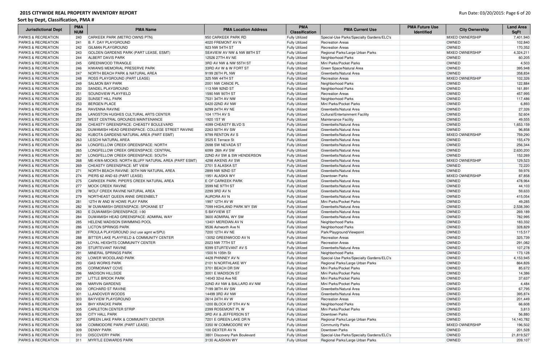| <b>Jurisdictional Dept</b>    | <b>PMA</b><br><b>NUM</b> | <b>PMA Name</b>                                    | <b>PMA Location Address</b>           | <b>PMA</b><br><b>Classification</b> | <b>PMA Current Use</b>                    | <b>PMA Future Use</b><br><b>Identified</b> | <b>City Ownership</b>  | <b>Land Area</b><br><b>SqFt</b> |
|-------------------------------|--------------------------|----------------------------------------------------|---------------------------------------|-------------------------------------|-------------------------------------------|--------------------------------------------|------------------------|---------------------------------|
| <b>PARKS &amp; RECREATION</b> | 240                      | CARKEEK PARK (METRO OWNS PTN)                      | 950 CARKEEK PARK RD                   | <b>Fully Utilized</b>               | Special-Use Parks/Specialty Gardens/ELC's |                                            | <b>MIXED OWNERSHIP</b> | 7,401,940                       |
| <b>PARKS &amp; RECREATION</b> | 241                      | <b>B. F. DAY PLAYGROUND</b>                        | 4020 FREMONT AV N                     | <b>Fully Utilized</b>               | <b>Recreation Areas</b>                   |                                            | <b>OWNED</b>           | 102,840                         |
| <b>PARKS &amp; RECREATION</b> | 242                      | <b>GILMAN PLAYGROUND</b>                           | 923 NW 54TH ST                        | <b>Fully Utilized</b>               | <b>Recreation Areas</b>                   |                                            | <b>OWNED</b>           | 170,352                         |
| <b>PARKS &amp; RECREATION</b> | 243                      | GOLDEN GARDENS PARK (PART LEASE, ESMT)             | <b>SEAVIEW AV NW &amp; NW 88TH ST</b> | <b>Fully Utilized</b>               | Regional Parks/Large Urban Parks          |                                            | <b>MIXED OWNERSHIP</b> | 4,324,211                       |
| <b>PARKS &amp; RECREATION</b> | 244                      | <b>ALBERT DAVIS PARK</b>                           | 12526 27TH AV NE                      | <b>Fully Utilized</b>               | Neighborhood Parks                        |                                            | <b>OWNED</b>           | 60,205                          |
| <b>PARKS &amp; RECREATION</b> | 245                      | GREENWOOD TRIANGLE                                 | 3RD AV NW & NW 55TH ST                | <b>Fully Utilized</b>               | Mini Parks/Pocket Parks                   |                                            | <b>OWNED</b>           | 4,503                           |
| <b>PARKS &amp; RECREATION</b> | 246                      | KIWANIS MEMORIAL PRESERVE PARK                     | 33RD AV W & W FORT ST                 | <b>Fully Utilized</b>               | Green Space/Natural Area                  |                                            | <b>OWNED</b>           | 395,948                         |
| <b>PARKS &amp; RECREATION</b> | 247                      | <b>NORTH BEACH PARK &amp; NATURAL AREA</b>         | 9199 26TH PL NW                       | <b>Fully Utilized</b>               | Greenbelts/Natural Area                   |                                            | OWNED                  | 358,834                         |
| <b>PARKS &amp; RECREATION</b> | 248                      | <b>ROSS PLAYGROUND (PART LEASE)</b>                | 325 NW 44TH ST                        | <b>Fully Utilized</b>               | <b>Recreation Areas</b>                   |                                            | <b>MIXED OWNERSHIP</b> | 102,326                         |
| <b>PARKS &amp; RECREATION</b> | 249                      | <b>SALMON BAY PARK</b>                             | 2001 NW CANOE PL                      | <b>Fully Utilized</b>               | Neighborhood Parks                        |                                            | <b>OWNED</b>           | 122,884                         |
| <b>PARKS &amp; RECREATION</b> | 250                      | <b>SANDEL PLAYGROUND</b>                           | 113 NW 92ND ST                        | <b>Fully Utilized</b>               | Neighborhood Parks                        |                                            | OWNED                  | 161,891                         |
| <b>PARKS &amp; RECREATION</b> | 251                      | <b>SOUNDVIEW PLAYFIELD</b>                         | 1590 NW 90TH ST                       | <b>Fully Utilized</b>               | <b>Recreation Areas</b>                   |                                            | OWNED                  | 457,995                         |
| <b>PARKS &amp; RECREATION</b> | 252                      | <b>SUNSET HILL PARK</b>                            | 7531 34TH AV NW                       | <b>Fully Utilized</b>               | Neighborhood Parks                        |                                            | OWNED                  | 117,486                         |
| <b>PARKS &amp; RECREATION</b> | 253                      | <b>BERGEN PLACE</b>                                | 5420 22ND AV NW                       | <b>Fully Utilized</b>               | Mini Parks/Pocket Parks                   |                                            | OWNED                  | 6,893                           |
| <b>PARKS &amp; RECREATION</b> | 254                      | <b>RAVENNA RAVINE</b>                              | 6299 24TH AV NE                       | <b>Fully Utilized</b>               | Greenbelts/Natural Area                   |                                            | OWNED                  | 27,326                          |
| <b>PARKS &amp; RECREATION</b> | 256                      | LANGSTON HUGHES CULTURAL ARTS CENTER               | 104 17TH AV S                         | <b>Fully Utilized</b>               | Cultural/Entertainment Facility           |                                            | <b>OWNED</b>           | 52,604                          |
| <b>PARKS &amp; RECREATION</b> | 257                      | <b>WEST CENTRAL GROUNDS MAINTENANCE</b>            | 1920 1ST W                            | <b>Fully Utilized</b>               | Maintenance Facility                      |                                            | OWNED                  | 49,555                          |
| <b>PARKS &amp; RECREATION</b> | 258                      | CHEASTY GREENSPACE: CHEASTY BOULEVARD              | 4099 CHEASTY BLVD S                   | <b>Fully Utilized</b>               | Greenbelts/Natural Area                   |                                            | OWNED                  | 1,653,159                       |
| <b>PARKS &amp; RECREATION</b> | 260                      | DUWAMISH HEAD GREENSPACE: COLLEGE STREET RAVINE    | 2263 50TH AV SW                       | <b>Fully Utilized</b>               | Greenbelts/Natural Area                   |                                            | <b>OWNED</b>           | 96,858                          |
| <b>PARKS &amp; RECREATION</b> | 262                      | KUBOTA GARDENS NATURAL AREA (PART ESMT)            | 9799 RENTON AV S                      | <b>Fully Utilized</b>               | Greenbelts/Natural Area                   |                                            | <b>MIXED OWNERSHIP</b> | 759,290                         |
| <b>PARKS &amp; RECREATION</b> | 263                      | <b>LESCHI NATURAL AREA</b>                         | 3525 E Terrace St                     | <b>Fully Utilized</b>               | Greenbelts/Natural Area                   |                                            | OWNED                  | 155,479                         |
| <b>PARKS &amp; RECREATION</b> | 264                      | LONGFELLOW CREEK GREENSPACE: NORTH                 | 2698 SW NEVADA ST                     | <b>Fully Utilized</b>               | Greenbelts/Natural Area                   |                                            | OWNED                  | 256,344                         |
| <b>PARKS &amp; RECREATION</b> | 265                      | LONGFELLOW CREEK GREENSPACE: CENTRAL               | 6099 26th AV SW                       | <b>Fully Utilized</b>               | Greenbelts/Natural Area                   |                                            | OWNED                  | 2,630,200                       |
| <b>PARKS &amp; RECREATION</b> | 267                      | LONGFELLOW CREEK GREENSPACE: SOUTH                 | 22ND AV SW & SW HENDERSON             | <b>Fully Utilized</b>               | Greenbelts/Natural Area                   |                                            | OWNED                  | 152,269                         |
| <b>PARKS &amp; RECREATION</b> | 268                      | ME-KWA-MOOKS: NORTH BLUFF NATURAL AREA (PART ESMT) | 4298 AIKENS AV SW                     | <b>Fully Utilized</b>               | Greenbelts/Natural Area                   |                                            | <b>MIXED OWNERSHIP</b> | 129,523                         |
| <b>PARKS &amp; RECREATION</b> | 269                      | CHEASTY GREENSPACE: MT VIEW                        | 2701 S ALASKA ST                      | <b>Fully Utilized</b>               | Greenbelts/Natural Area                   |                                            | <b>OWNED</b>           | 72,220                          |
| <b>PARKS &amp; RECREATION</b> | 271                      | NORTH BEACH RAVINE: 30TH NW NATURAL AREA           | 2899 NW 92ND ST                       | <b>Fully Utilized</b>               | Greenbelts/Natural Area                   |                                            | <b>OWNED</b>           | 59,976                          |
| <b>PARKS &amp; RECREATION</b> | 274                      | PIERS 62 AND 63 (PART LEASE)                       | 1951 ALASKA WY                        | <b>Fully Utilized</b>               | Downtown Parks                            |                                            | <b>MIXED OWNERSHIP</b> | 87,858                          |
| <b>PARKS &amp; RECREATION</b> | 275                      | CARKEEK PARK: PIPER'S CREEK NATURAL AREA           | <b>E OF CARKEEK PARK</b>              | <b>Fully Utilized</b>               | Greenbelts/Natural Area                   |                                            | <b>OWNED</b>           | 478,964                         |
| <b>PARKS &amp; RECREATION</b> | 277                      | <b>MOCK CREEK RAVINE</b>                           | 3599 NE 97TH ST                       | <b>Fully Utilized</b>               | Greenbelts/Natural Area                   |                                            | <b>OWNED</b>           | 44,103                          |
| <b>PARKS &amp; RECREATION</b> | 278                      | <b>WOLF CREEK RAVINE NATURAL AREA</b>              | 2299 3RD AV N                         | <b>Fully Utilized</b>               | Greenbelts/Natural Area                   |                                            | <b>OWNED</b>           | 59,633                          |
| <b>PARKS &amp; RECREATION</b> | 279                      | NORTHEAST QUEEN ANNE GREENBELT                     | <b>AURORA AV N</b>                    | <b>Fully Utilized</b>               | Greenbelts/Natural Area                   |                                            | <b>OWNED</b>           | 415,054                         |
| <b>PARKS &amp; RECREATION</b> | 281                      | 12TH W AND W HOWE PLAY PARK                        | 1997 12TH AV W                        | <b>Fully Utilized</b>               | Mini Parks/Pocket Parks                   |                                            | OWNED                  | 49,285                          |
| <b>PARKS &amp; RECREATION</b> | 282                      | W DUWAMISH GREENSPACE: SPOKANE ST                  | 7099 HIGHLAND PARK WY SW              | <b>Fully Utilized</b>               | Greenbelts/Natural Area                   |                                            | OWNED                  | 2,538,390                       |
| <b>PARKS &amp; RECREATION</b> | 283                      | E DUWAMISH GREENSPACE: I-90                        | <b>S BAYVIEW ST</b>                   | <b>Fully Utilized</b>               | Greenbelts/Natural Area                   |                                            | OWNED                  | 269,189                         |
| <b>PARKS &amp; RECREATION</b> | 284                      | DUWAMISH HEAD GREENSPACE: ADMIRAL WAY              | 3600 ADMIRAL WY SW                    | <b>Fully Utilized</b>               | Greenbelts/Natural Area                   |                                            | OWNED                  | 782,995                         |
| <b>PARKS &amp; RECREATION</b> | 285                      | <b>HELENE MADISON SWIMMING POOL</b>                | 13401 MERIDIAN AV N                   | <b>Fully Utilized</b>               | Neighborhood Parks                        |                                            | OWNED                  | 183,332                         |
| <b>PARKS &amp; RECREATION</b> | 286                      | <b>LICTON SPRINGS PARK</b>                         | 9536 Ashworth Ave N                   | <b>Fully Utilized</b>               | Neighborhood Parks                        |                                            | OWNED                  | 328,829                         |
| <b>PARKS &amp; RECREATION</b> | 287                      | FROULA PLAYGROUND (incl use agmt w/SPU)            | 7200 12TH AV NE                       | <b>Fully Utilized</b>               | Park/Playground/Viewpoint                 |                                            | OWNED                  | 115,517                         |
| <b>PARKS &amp; RECREATION</b> | 288                      | BITTER LAKE PLAYFIELD & COMMUNITY CENTER           | 13052 GREENWOOD AV N                  | <b>Fully Utilized</b>               | <b>Recreation Areas</b>                   |                                            | OWNED                  | 325,739                         |
| <b>PARKS &amp; RECREATION</b> | 289                      | LOYAL HEIGHTS COMMUNITY CENTER                     | 2023 NW 77TH ST                       | <b>Fully Utilized</b>               | <b>Recreation Areas</b>                   |                                            | OWNED                  | 291,082                         |
| <b>PARKS &amp; RECREATION</b> | 290                      | <b>STURTEVANT RAVINE</b>                           | 9399 STURTEVANT AV S                  | <b>Fully Utilized</b>               | Greenbelts/Natural Area                   |                                            | <b>OWNED</b>           | 107,278                         |
| <b>PARKS &amp; RECREATION</b> | 291                      | MINERAL SPRINGS PARK                               | 1500 N 105th St                       | <b>Fully Utilized</b>               | Neighborhood Parks                        |                                            | OWNED                  | 173,128                         |
| <b>PARKS &amp; RECREATION</b> | 292                      | LOWER WOODLAND PARK                                | 4428 PHINNEY AV N                     | <b>Fully Utilized</b>               | Special-Use Parks/Specialty Gardens/ELC's |                                            | OWNED                  | 4,153,945                       |
| <b>PARKS &amp; RECREATION</b> | 293                      | <b>GAS WORKS PARK</b>                              | 2101 N NORTHLAKE WY                   | <b>Fully Utilized</b>               | Regional Parks/Large Urban Parks          |                                            | OWNED                  | 864,826                         |
| <b>PARKS &amp; RECREATION</b> | 295                      | CORMORANT COVE                                     | 3701 BEACH DR SW                      | <b>Fully Utilized</b>               | Mini Parks/Pocket Parks                   |                                            | OWNED                  | 85,672                          |
| <b>PARKS &amp; RECREATION</b> | 296                      | MADISON HILLSIDE                                   | 3001 E MADISON ST                     | <b>Fully Utilized</b>               | Mini Parks/Pocket Parks                   |                                            | OWNED                  | 14,386                          |
| <b>PARKS &amp; RECREATION</b> | 297                      | <b>LITTLE BROOK PARK</b>                           | 14043 32nd Ave NE                     | <b>Fully Utilized</b>               | Mini Parks/Pocket Parks                   |                                            | OWNED                  | 37,637                          |
| <b>PARKS &amp; RECREATION</b> | 298                      | MARVIN GARDENS                                     | 22ND AV NW & BALLARD AV NW            | <b>Fully Utilized</b>               | Mini Parks/Pocket Parks                   |                                            | OWNED                  | 4,484                           |
| <b>PARKS &amp; RECREATION</b> | 300                      | <b>ORCHARD ST RAVINE</b>                           | 7199 38TH AV SW                       | <b>Fully Utilized</b>               | Greenbelts/Natural Area                   |                                            | OWNED                  | 67,795                          |
| <b>PARKS &amp; RECREATION</b> | 301                      | LLANDOVER WOODS                                    | 14499 3RD AV NW                       | <b>Fully Utilized</b>               | Greenbelts/Natural Area                   |                                            | OWNED                  | 395,874                         |
| <b>PARKS &amp; RECREATION</b> | 303                      | <b>BAYVIEW PLAYGROUND</b>                          | 2614 24TH AV W                        | <b>Fully Utilized</b>               | <b>Recreation Areas</b>                   |                                            | OWNED                  | 201,449                         |
| <b>PARKS &amp; RECREATION</b> | 304                      | <b>BHY KRACKE PARK</b>                             | 1200 BLOCK OF 5TH AV N                | <b>Fully Utilized</b>               | Neighborhood Parks                        |                                            | OWNED                  | 66,608                          |
| <b>PARKS &amp; RECREATION</b> | 305                      | <b>CARLETON CENTER STRIP</b>                       | 2399 ROSEMONT PL W                    | <b>Fully Utilized</b>               | Mini Parks/Pocket Parks                   |                                            | <b>OWNED</b>           | 3,813                           |
| <b>PARKS &amp; RECREATION</b> | 306                      | <b>CITY HALL PARK</b>                              | <b>3RD AV &amp; JEFFERSON ST</b>      | <b>Fully Utilized</b>               | Downtown Parks                            |                                            | <b>OWNED</b>           | 56,880                          |
| <b>PARKS &amp; RECREATION</b> | 307                      | <b>GREEN LAKE PARK &amp; COMMUNITY CENTER</b>      | 7201 E GREEN LAKE DR N                | <b>Fully Utilized</b>               | Regional Parks/Large Urban Parks          |                                            | OWNED                  | 14,140,782                      |
| <b>PARKS &amp; RECREATION</b> | 308                      | COMMODORE PARK (PART LEASE)                        | 3350 W COMMODORE WY                   | <b>Fully Utilized</b>               | <b>Community Parks</b>                    |                                            | <b>MIXED OWNERSHIP</b> | 196,502                         |
| <b>PARKS &amp; RECREATION</b> | 309                      | <b>DENNY PARK</b>                                  | 100 DEXTER AV N                       | <b>Fully Utilized</b>               | Downtown Parks                            |                                            | <b>OWNED</b>           | 201,528                         |
| <b>PARKS &amp; RECREATION</b> | 310                      | <b>DISCOVERY PARK</b>                              | 3801 Discovery Park Boulevard         | <b>Fully Utilized</b>               | Special-Use Parks/Specialty Gardens/ELC's |                                            | OWNED                  | 21,819,527                      |
| <b>PARKS &amp; RECREATION</b> | 311                      | <b>MYRTLE EDWARDS PARK</b>                         | 3130 ALASKAN WY                       | <b>Fully Utilized</b>               | Regional Parks/Large Urban Parks          |                                            | OWNED                  | 209,107                         |
|                               |                          |                                                    |                                       |                                     |                                           |                                            |                        |                                 |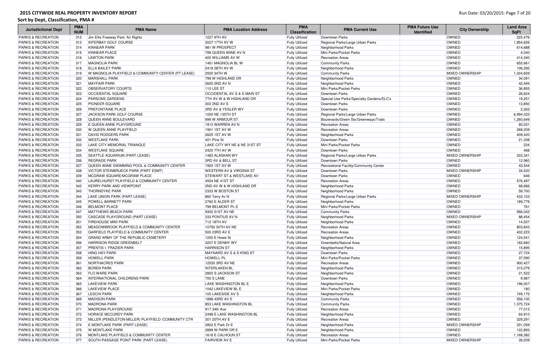| <b>Jurisdictional Dept</b>    | <b>PMA</b><br><b>NUM</b> | <b>PMA Name</b>                                     | <b>PMA Location Address</b>            | <b>PMA</b><br><b>Classification</b> | <b>PMA Current Use</b>                    | <b>PMA Future Use</b><br><b>Identified</b> | <b>City Ownership</b>  | <b>Land Area</b><br><b>SqFt</b> |
|-------------------------------|--------------------------|-----------------------------------------------------|----------------------------------------|-------------------------------------|-------------------------------------------|--------------------------------------------|------------------------|---------------------------------|
| <b>PARKS &amp; RECREATION</b> | 312                      | Jim Ellis Freeway Park: Air Rights                  | 1227 9TH AV                            | <b>Fully Utilized</b>               | Downtown Parks                            |                                            | OWNED                  | 225,476                         |
| <b>PARKS &amp; RECREATION</b> | 313                      | <b>INTERBAY GOLF COURSE</b>                         | 3027 17TH AV W                         | <b>Fully Utilized</b>               | Regional Parks/Large Urban Parks          |                                            | <b>OWNED</b>           | 1,854,626                       |
| <b>PARKS &amp; RECREATION</b> | 314                      | <b>KINNEAR PARK</b>                                 | 981 W PROSPECT                         | <b>Fully Utilized</b>               | Neighborhood Parks                        |                                            | <b>OWNED</b>           | 614,688                         |
| <b>PARKS &amp; RECREATION</b> | 315                      | KINNEAR PLACE                                       | 799 QUEEN ANNE AV N                    | <b>Fully Utilized</b>               | Mini Parks/Pocket Parks                   |                                            | <b>OWNED</b>           | 4,040                           |
| <b>PARKS &amp; RECREATION</b> | 316                      | <b>LAWTON PARK</b>                                  | 400 WILLIAMS AV W                      | <b>Fully Utilized</b>               | <b>Recreation Areas</b>                   |                                            | OWNED                  | 414,340                         |
| <b>PARKS &amp; RECREATION</b> | 317                      | <b>MAGNOLIA PARK</b>                                | 1461 MAGNOLIA BL W                     | <b>Fully Utilized</b>               | <b>Community Parks</b>                    |                                            | OWNED                  | 655,661                         |
| <b>PARKS &amp; RECREATION</b> | 318                      | <b>ELLA BAILEY PARK</b>                             | 2418 28TH AV W                         | <b>Fully Utilized</b>               | Neighborhood Parks                        |                                            | OWNED                  | 106,292                         |
| <b>PARKS &amp; RECREATION</b> | 319                      | W MAGNOLIA PLAYFIELD & COMMUNITY CENTER (PT LEASE)  | 2550 34TH W                            | <b>Fully Utilized</b>               | <b>Community Parks</b>                    |                                            | <b>MIXED OWNERSHIP</b> | 1,024,659                       |
| <b>PARKS &amp; RECREATION</b> | 320                      | <b>MARSHALL PARK</b>                                | 799 W HIGHLAND DR                      | <b>Fully Utilized</b>               | Neighborhood Parks                        |                                            | OWNED                  | 34,091                          |
| <b>PARKS &amp; RECREATION</b> | 321                      | <b>MAYFAIR PARK</b>                                 | 2600 2ND AV N                          | <b>Fully Utilized</b>               | Neighborhood Parks                        |                                            | OWNED                  | 42,494                          |
| <b>PARKS &amp; RECREATION</b> | 322                      | <b>OBSERVATORY COURTS</b>                           | <b>110 LEE ST</b>                      | <b>Fully Utilized</b>               | Mini Parks/Pocket Parks                   |                                            | OWNED                  | 36,855                          |
| <b>PARKS &amp; RECREATION</b> | 323                      | <b>OCCIDENTAL SQUARE</b>                            | <b>OCCIDENTAL AV S &amp; S MAIN ST</b> | <b>Fully Utilized</b>               | Downtown Parks                            |                                            | OWNED                  | 26,624                          |
| <b>PARKS &amp; RECREATION</b> | 324                      | <b>PARSONS GARDENS</b>                              | 7TH AV W & W HIGHLAND DR               | <b>Fully Utilized</b>               | Special-Use Parks/Specialty Gardens/ELC's |                                            | OWNED                  | 19,251                          |
| <b>PARKS &amp; RECREATION</b> | 325                      | <b>PIONEER SQUARE</b>                               | 303 2ND AV S                           | <b>Fully Utilized</b>               | Downtown Parks                            |                                            | OWNED                  | 13,850                          |
| <b>PARKS &amp; RECREATION</b> | 326                      | <b>PREFONTAINE PLACE</b>                            | 3RD AV & YESLER WY                     | <b>Fully Utilized</b>               | Downtown Parks                            |                                            | OWNED                  | 2,263                           |
| <b>PARKS &amp; RECREATION</b> | 327                      | <b>JACKSON PARK GOLF COURSE</b>                     | 1000 NE 135TH ST                       | <b>Fully Utilized</b>               | Regional Parks/Large Urban Parks          |                                            | <b>OWNED</b>           | 6,994,333                       |
| <b>PARKS &amp; RECREATION</b> | 328                      | QUEEN ANNE BOULEVARD                                | 999 W ARMOUR ST                        | <b>Fully Utilized</b>               | Boulevards/Green Sts/Greenways/Trails     |                                            | <b>OWNED</b>           | 1,260,649                       |
| <b>PARKS &amp; RECREATION</b> | 329                      | E QUEEN ANNE PLAYGROUND                             | 1912 WARREN AV N                       | <b>Fully Utilized</b>               | <b>Recreation Areas</b>                   |                                            | <b>OWNED</b>           | 60,031                          |
| <b>PARKS &amp; RECREATION</b> | 330                      | W QUEEN ANNE PLAYFIELD                              | 1901 1ST AV W                          | <b>Fully Utilized</b>               | <b>Recreation Areas</b>                   |                                            | OWNED                  | 268,209                         |
| <b>PARKS &amp; RECREATION</b> | 331                      | <b>DAVID RODGERS PARK</b>                           | 2625 1ST AV W                          | <b>Fully Utilized</b>               | Neighborhood Parks                        |                                            | OWNED                  | 409,420                         |
| <b>PARKS &amp; RECREATION</b> | 332                      | <b>WESTLAKE PARK</b>                                | 401 Pine St                            | <b>Fully Utilized</b>               | Downtown Parks                            |                                            | OWNED                  | 21,338                          |
| <b>PARKS &amp; RECREATION</b> | 333                      | LAKE CITY MEMORIAL TRIANGLE                         | LAKE CITY WY NE & NE 31ST ST           | <b>Fully Utilized</b>               | Mini Parks/Pocket Parks                   |                                            | OWNED                  | 234                             |
| <b>PARKS &amp; RECREATION</b> | 334                      | <b>WESTLAKE SQUARE</b>                              | 2420 7TH AV W                          | <b>Fully Utilized</b>               | Downtown Parks                            |                                            | OWNED                  | 468                             |
| <b>PARKS &amp; RECREATION</b> | 335                      | SEATTLE AQUARIUM (PART LEASE)                       | 1483 ALASKAN WY                        | <b>Fully Utilized</b>               | Regional Parks/Large Urban Parks          |                                            | <b>MIXED OWNERSHIP</b> | 203,341                         |
| <b>PARKS &amp; RECREATION</b> | 336                      | <b>REGRADE PARK</b>                                 | 3RD AV & BELL ST                       | <b>Fully Utilized</b>               | Downtown Parks                            |                                            | <b>OWNED</b>           | 12,960                          |
| <b>PARKS &amp; RECREATION</b> | 337                      | QUEEN ANNE SWIMMING POOL & COMMUNITY CENTER         | 1920 1ST AV W                          | <b>Fully Utilized</b>               | Recreational Facility/Community Center    |                                            | OWNED                  | 43,544                          |
| <b>PARKS &amp; RECREATION</b> | 338                      | <b>VICTOR STEINBRUECK PARK (PART ESMT)</b>          | <b>WESTERN AV &amp; VIRGINIA ST</b>    | <b>Fully Utilized</b>               | Downtown Parks                            |                                            | <b>MIXED OWNERSHIP</b> | 34,520                          |
| <b>PARKS &amp; RECREATION</b> | 339                      | MCGRAW SQUARE/MCGRAW PLACE                          | <b>STEWART ST &amp; WESTLAKE AV</b>    | <b>Fully Utilized</b>               | Downtown Parks                            |                                            | <b>OWNED</b>           | 646                             |
| <b>PARKS &amp; RECREATION</b> | 340                      | LAURELHURST PLAYFIELD & COMMUNITY CENTER            | 4554 NE 41ST ST                        | <b>Fully Utilized</b>               | <b>Recreation Areas</b>                   |                                            | OWNED                  | 576,497                         |
| <b>PARKS &amp; RECREATION</b> | 342                      | <b>KERRY PARK AND VIEWPOINT</b>                     | <b>2ND AV W &amp; W HIGHLAND DR</b>    | <b>Fully Utilized</b>               | Neighborhood Parks                        |                                            | OWNED                  | 68,666                          |
| <b>PARKS &amp; RECREATION</b> | 343                      | <b>THORNDYKE PARK</b>                               | 2333 W BOSTON ST                       | <b>Fully Utilized</b>               | Neighborhood Parks                        |                                            | OWNED                  | 59,700                          |
| <b>PARKS &amp; RECREATION</b> | 344                      | LAKE UNION PARK (PART LEASE)                        | 860 Terry Av N                         | <b>Fully Utilized</b>               | Regional Parks/Large Urban Parks          |                                            | <b>MIXED OWNERSHIP</b> | 433,103                         |
| <b>PARKS &amp; RECREATION</b> | 345                      | <b>POWELL BARNETT PARK</b>                          | 2760 E ALDER ST                        | <b>Fully Utilized</b>               | Neighborhood Parks                        |                                            | OWNED                  | 189,779                         |
| <b>PARKS &amp; RECREATION</b> | 346                      | <b>BELMONT PLACE</b>                                | 799 BELMONT PL E                       | <b>Fully Utilized</b>               | Mini Parks/Pocket Parks                   |                                            | OWNED                  | 761                             |
| <b>PARKS &amp; RECREATION</b> | 347                      | <b>MATTHEWS BEACH PARK</b>                          | 9300 51ST AV NE                        | <b>Fully Utilized</b>               | Community Parks                           |                                            | OWNED                  | 956,042                         |
| <b>PARKS &amp; RECREATION</b> | 350                      | CASCADE PLAYGROUND (PART LEASE)                     | 333 PONTIUS AV N                       | <b>Fully Utilized</b>               | Neighborhood Parks                        |                                            | <b>MIXED OWNERSHIP</b> | 88,454                          |
| PARKS & RECREATION            | 351                      | <b>FIREHOUSE MINI PARK</b>                          | 712 18TH AV                            | <b>Fully Utilized</b>               | Neighborhood Parks                        |                                            | OWNED                  | 14,507                          |
| <b>PARKS &amp; RECREATION</b> | 352                      | MEADOWBROOK PLAYFIELD & COMMUNITY CENTER            | 10750 30TH AV NE                       | <b>Fully Utilized</b>               | <b>Recreation Areas</b>                   |                                            | OWNED                  | 803,843                         |
| <b>PARKS &amp; RECREATION</b> | 353                      | GARFIELD PLAYFIELD & COMMUNITY CENTER               | 500 23RD AV E                          | <b>Fully Utilized</b>               | <b>Recreation Areas</b>                   |                                            | OWNED                  | 402,223                         |
| <b>PARKS &amp; RECREATION</b> | 354                      | GRAND ARMY OF THE REPUBLIC CEMETERY                 | 1200 E Howe St                         | <b>Fully Utilized</b>               | Neighborhood Parks                        |                                            | OWNED                  | 124,541                         |
| <b>PARKS &amp; RECREATION</b> | 356                      | <b>HARRISON RIDGE GREENBELT</b>                     | 3207 E DENNY WY                        | <b>Fully Utilized</b>               | Greenbelts/Natural Area                   |                                            | <b>OWNED</b>           | 162,660                         |
| <b>PARKS &amp; RECREATION</b> | 357                      | <b>PRENTIS I. FRAZIER PARK</b>                      | <b>HARRISON ST</b>                     | <b>Fully Utilized</b>               | Neighborhood Parks                        |                                            | OWNED                  | 15,895                          |
| <b>PARKS &amp; RECREATION</b> | 358                      | <b>HING HAY PARK</b>                                | MAYNARD AV S & S KING ST               | <b>Fully Utilized</b>               | Downtown Parks                            |                                            | OWNED                  | 27,724                          |
| <b>PARKS &amp; RECREATION</b> | 359                      | <b>HOWELL PARK</b>                                  | <b>HOWELL PL</b>                       | <b>Fully Utilized</b>               | Mini Parks/Pocket Parks                   |                                            | OWNED                  | 37,590                          |
| <b>PARKS &amp; RECREATION</b> | 361                      | <b>NORTHACRES PARK</b>                              | 12530 3RD AV NE                        | <b>Fully Utilized</b>               | <b>Recreation Areas</b>                   |                                            | OWNED                  | 900,427                         |
| <b>PARKS &amp; RECREATION</b> | 362                      | <b>BOREN PARK</b>                                   | <b>INTERLAKEN BL</b>                   | <b>Fully Utilized</b>               | Neighborhood Parks                        |                                            | OWNED                  | 315,079                         |
| <b>PARKS &amp; RECREATION</b> | 363                      | <b>FLO WARE PARK</b>                                | 2800 S JACKSON ST                      | <b>Fully Utilized</b>               | Neighborhood Parks                        |                                            | OWNED                  | 21,522                          |
| <b>PARKS &amp; RECREATION</b> | 364                      | <b>INTERNATIONAL CHILDRENS PARK</b>                 | <b>700 S LANE</b>                      | <b>Fully Utilized</b>               | Downtown Parks                            |                                            | OWNED                  | 9,987                           |
| <b>PARKS &amp; RECREATION</b> | 365                      | <b>LAKEVIEW PARK</b>                                | LAKE WASHINGTON BL E                   | <b>Fully Utilized</b>               | Neighborhood Parks                        |                                            | OWNED                  | 196,007                         |
| <b>PARKS &amp; RECREATION</b> | 366                      | <b>LAKEVIEW PLACE</b>                               | 1042 LAKEVIEW BL E                     | <b>Fully Utilized</b>               | Mini Parks/Pocket Parks                   |                                            | OWNED                  | 180                             |
| <b>PARKS &amp; RECREATION</b> | 367                      | <b>LESCHI PARK</b>                                  | 100 LAKESIDE AV S                      | <b>Fully Utilized</b>               | Neighborhood Parks                        |                                            | OWNED                  | 749,175                         |
| <b>PARKS &amp; RECREATION</b> | 369                      | <b>MADISON PARK</b>                                 | 1898 43RD AV E                         | <b>Fully Utilized</b>               | <b>Community Parks</b>                    |                                            | OWNED                  | 556,100                         |
| <b>PARKS &amp; RECREATION</b> | 370                      | <b>MADRONA PARK</b>                                 | 853 LAKE WASHINGTON BL                 | <b>Fully Utilized</b>               | <b>Community Parks</b>                    |                                            | OWNED                  | 1,375,724                       |
| <b>PARKS &amp; RECREATION</b> | 371                      | MADRONA PLAYGROUND                                  | 917 34th Ave                           | <b>Fully Utilized</b>               | <b>Recreation Areas</b>                   |                                            | OWNED                  | 77,013                          |
| <b>PARKS &amp; RECREATION</b> | 372                      | <b>HORACE MCCURDY PARK</b>                          | 2498 E LAKE WASHINGTON BL              | <b>Fully Utilized</b>               | Neighborhood Parks                        |                                            | OWNED                  | 64,910                          |
| <b>PARKS &amp; RECREATION</b> | 373                      | MILLER (PENDLETON-MILLER) PLAYFIELD / COMMUNITY CTR | 301 20TH AV E                          | <b>Fully Utilized</b>               | <b>Recreation Areas</b>                   |                                            | OWNED                  | 329,291                         |
| <b>PARKS &amp; RECREATION</b> | 374                      | E MONTLAKE PARK (PART LEASE)                        | 2802 E Park Dr E                       | <b>Fully Utilized</b>               | Neighborhood Parks                        |                                            | <b>MIXED OWNERSHIP</b> | 331,059                         |
| <b>PARKS &amp; RECREATION</b> | 375                      | W MONTLAKE PARK                                     | 2899 W PARK DR E                       | <b>Fully Utilized</b>               | Neighborhood Parks                        |                                            | OWNED                  | 122,893                         |
| <b>PARKS &amp; RECREATION</b> | 376                      | MONTLAKE PLAYFIELD & COMMUNITY CENTER               | 1618 E CALHOUN ST                      | <b>Fully Utilized</b>               | <b>Recreation Areas</b>                   |                                            | OWNED                  | 1,168,382                       |
| <b>PARKS &amp; RECREATION</b> | 377                      | SOUTH PASSAGE POINT PARK (PART LEASE)               | <b>FAIRVIEW AV E</b>                   | <b>Fully Utilized</b>               | Mini Parks/Pocket Parks                   |                                            | <b>MIXED OWNERSHIP</b> | 39,209                          |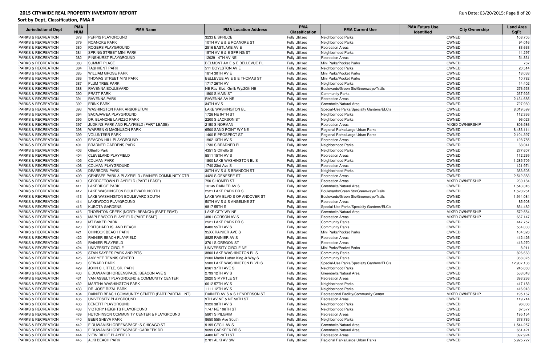| <b>Jurisdictional Dept</b>    | <b>PMA</b><br><b>NUM</b> | <b>PMA Name</b>                                             | <b>PMA Location Address</b>      | <b>PMA</b><br><b>Classification</b>            | <b>PMA Current Use</b>                    | <b>PMA Future Use</b><br><b>Identified</b> | <b>City Ownership</b>  | <b>Land Area</b><br><b>SqFt</b> |
|-------------------------------|--------------------------|-------------------------------------------------------------|----------------------------------|------------------------------------------------|-------------------------------------------|--------------------------------------------|------------------------|---------------------------------|
| <b>PARKS &amp; RECREATION</b> | 378                      | <b>PEPPIS PLAYGROUND</b>                                    | 3233 E SPRUCE                    | <b>Fully Utilized</b>                          | Neighborhood Parks                        |                                            | OWNED                  | 108,705                         |
| <b>PARKS &amp; RECREATION</b> | 379                      | <b>ROANOKE PARK</b>                                         | 10TH AV E & E ROANOKE ST         | <b>Fully Utilized</b>                          | Neighborhood Parks                        |                                            | OWNED                  | 94,016                          |
| <b>PARKS &amp; RECREATION</b> | 380                      | <b>ROGERS PLAYGROUND</b>                                    | 2516 EASTLAKE AV E               | <b>Fully Utilized</b>                          | <b>Recreation Areas</b>                   |                                            | OWNED                  | 83,663                          |
| <b>PARKS &amp; RECREATION</b> | 381                      | <b>SPRING STREET MINI PARK</b>                              | 15TH AV E & E SPRING ST          | <b>Fully Utilized</b>                          | Neighborhood Parks                        |                                            | OWNED                  | 14,297                          |
| <b>PARKS &amp; RECREATION</b> | 382                      | <b>PINEHURST PLAYGROUND</b>                                 | 12029 14TH AV NE                 | <b>Fully Utilized</b>                          | <b>Recreation Areas</b>                   |                                            | OWNED                  | 54,831                          |
| <b>PARKS &amp; RECREATION</b> | 383                      | <b>SUMMIT PLACE</b>                                         | BELMONT AV E & E BELLEVUE PL     | <b>Fully Utilized</b>                          | Mini Parks/Pocket Parks                   |                                            | OWNED                  | 767                             |
| <b>PARKS &amp; RECREATION</b> | 384                      | <b>TASHKENT PARK</b>                                        | 511 BOYLSTON AV E                | <b>Fully Utilized</b>                          | Neighborhood Parks                        |                                            | OWNED                  | 20,514                          |
| <b>PARKS &amp; RECREATION</b> | 385                      | <b>WILLIAM GROSE PARK</b>                                   | 1814 30TH AV E                   | <b>Fully Utilized</b>                          | Mini Parks/Pocket Parks                   |                                            | OWNED                  | 18,038                          |
| <b>PARKS &amp; RECREATION</b> | 386                      | <b>THOMAS STREET MINI PARK</b>                              | BELLEVUE AV E & E THOMAS ST      | <b>Fully Utilized</b>                          | Mini Parks/Pocket Parks                   |                                            | OWNED                  | 10,782                          |
| <b>PARKS &amp; RECREATION</b> | 387                      | <b>PLUM TREE PARK</b>                                       | 1717 26TH AV                     | <b>Fully Utilized</b>                          | Neighborhood Parks                        |                                            | OWNED                  | 14,402                          |
| <b>PARKS &amp; RECREATION</b> | 388                      | <b>RAVENNA BOULEVARD</b>                                    | NE Rav Blvd, Grnlk Wy/20th NE    | <b>Fully Utilized</b>                          | Boulevards/Green Sts/Greenways/Trails     |                                            | OWNED                  | 276,553                         |
| <b>PARKS &amp; RECREATION</b> | 390                      | <b>PRATT PARK</b>                                           | 1800 S MAIN ST                   | <b>Fully Utilized</b>                          | <b>Community Parks</b>                    |                                            | OWNED                  | 237,925                         |
| <b>PARKS &amp; RECREATION</b> | 391                      | <b>RAVENNA PARK</b>                                         | <b>RAVENNA AV NE</b>             | <b>Fully Utilized</b>                          | <b>Recreation Areas</b>                   |                                            | OWNED                  | 2,134,685                       |
| <b>PARKS &amp; RECREATION</b> | 392                      | <b>FRINK PARK</b>                                           | 34TH AV S                        | <b>Fully Utilized</b>                          | Greenbelts/Natural Area                   |                                            | OWNED                  | 727,960                         |
| <b>PARKS &amp; RECREATION</b> | 393                      | <b>WASHINGTON PARK ARBORETUM</b>                            | <b>LAKE WASHINGTON BL</b>        | <b>Fully Utilized</b>                          | Special-Use Parks/Specialty Gardens/ELC's |                                            | OWNED                  | 8,019,599                       |
| <b>PARKS &amp; RECREATION</b> | 394                      | SACAJAWEA PLAYGROUND                                        | 1726 NE 94TH ST                  | <b>Fully Utilized</b>                          | Neighborhood Parks                        |                                            | OWNED                  | 112,336                         |
| <b>PARKS &amp; RECREATION</b> | 395                      | DR. BLANCHE LAVIZZO PARK                                    | 2200 S JACKSON ST                | <b>Fully Utilized</b>                          | Neighborhood Parks                        |                                            | OWNED                  | 96,023                          |
| <b>PARKS &amp; RECREATION</b> | 397                      | JUDKINS PARK AND PLAYFIELD (PART LEASE)                     | 2150 S NORMAN                    | <b>Fully Utilized</b>                          | <b>Recreation Areas</b>                   |                                            | <b>MIXED OWNERSHIP</b> | 806,586                         |
|                               |                          |                                                             |                                  |                                                |                                           |                                            |                        |                                 |
| <b>PARKS &amp; RECREATION</b> | 398                      | <b>WARREN G MAGNUSON PARK</b>                               | 6500 SAND POINT WY NE            | <b>Fully Utilized</b>                          | Regional Parks/Large Urban Parks          |                                            | OWNED                  | 8,483,114                       |
| <b>PARKS &amp; RECREATION</b> | 399                      | <b>VOLUNTEER PARK</b>                                       | 1400 E PROSPECT ST               | <b>Fully Utilized</b>                          | Regional Parks/Large Urban Parks          |                                            | OWNED                  | 2,104,397                       |
| <b>PARKS &amp; RECREATION</b> | 400                      | <b>BEACON HILL PLAYGROUND</b>                               | 1902 13TH AV S                   | <b>Fully Utilized</b>                          | <b>Recreation Areas</b>                   |                                            | OWNED                  | 128,755                         |
| <b>PARKS &amp; RECREATION</b> | 401                      | <b>BRADNER GARDENS PARK</b>                                 | 1730 S BRADNER PL                | <b>Fully Utilized</b>                          | Neighborhood Parks                        |                                            | OWNED                  | 68,041                          |
| <b>PARKS &amp; RECREATION</b> | 403                      | <b>Othello Park</b>                                         | 4351 S Othello St                | <b>Fully Utilized</b>                          | Neighborhood Parks                        |                                            | OWNED                  | 277,607                         |
| <b>PARKS &amp; RECREATION</b> | 404                      | <b>CLEVELAND PLAYFIELD</b>                                  | 5511 15TH AV S                   | <b>Fully Utilized</b>                          | <b>Recreation Areas</b>                   |                                            | OWNED                  | 112,269                         |
| <b>PARKS &amp; RECREATION</b> | 405                      | <b>COLMAN PARK</b>                                          | 1800 LAKE WASHINGTON BL S        | <b>Fully Utilized</b>                          | Neighborhood Parks                        |                                            | OWNED                  | 1,285,709                       |
| <b>PARKS &amp; RECREATION</b> | 406                      | <b>COLMAN PLAYGROUND</b>                                    | 1740 23rd Ave S                  | <b>Fully Utilized</b>                          | <b>Recreation Areas</b>                   |                                            | OWNED                  | 121,974                         |
| <b>PARKS &amp; RECREATION</b> | 408                      | <b>DEARBORN PARK</b>                                        | 30TH AV S & S BRANDON ST         | <b>Fully Utilized</b>                          | Neighborhood Parks                        |                                            | OWNED                  | 383,508                         |
| <b>PARKS &amp; RECREATION</b> | 409                      | <b>GENESEE PARK &amp; PLAYFIELD / RAINIER COMMUNITY CTR</b> | 4420 S GENESEE ST                | <b>Fully Utilized</b>                          | <b>Recreation Areas</b>                   |                                            | OWNED                  | 2,512,383                       |
| <b>PARKS &amp; RECREATION</b> | 410                      | GEORGETOWN PLAYFIELD (PART LEASE)                           | 750 S HOMER ST                   | <b>Fully Utilized</b>                          | <b>Recreation Areas</b>                   |                                            | <b>MIXED OWNERSHIP</b> | 230,184                         |
| <b>PARKS &amp; RECREATION</b> | 411                      | LAKERIDGE PARK                                              | 10145 RAINIER AV S               | <b>Fully Utilized</b>                          | Greenbelts/Natural Area                   |                                            | OWNED                  | 1,543,316                       |
| <b>PARKS &amp; RECREATION</b> | 412                      | LAKE WASHINGTON BOULEVARD NORTH                             | 2521 LAKE PARK DR S              | <b>Fully Utilized</b>                          | Boulevards/Green Sts/Greenways/Trails     |                                            | OWNED                  | 1,520,251                       |
| <b>PARKS &amp; RECREATION</b> | 413                      | LAKE WASHINGTON BOULEVARD SOUTH                             | LAKE WA BLVD S OF ANDOVER ST     | <b>Fully Utilized</b>                          | Boulevards/Green Sts/Greenways/Trails     |                                            | OWNED                  | 1,914,084                       |
| <b>PARKS &amp; RECREATION</b> | 414                      | LAKEWOOD PLAYGROUND                                         | 50TH AV S & S ANGELINE ST        | <b>Fully Utilized</b>                          | <b>Recreation Areas</b>                   |                                            | OWNED                  | 85,908                          |
| <b>PARKS &amp; RECREATION</b> | 415                      | <b>KUBOTA GARDENS</b>                                       | 9817 55TH S                      | <b>Fully Utilized</b>                          | Special-Use Parks/Specialty Gardens/ELC's |                                            | OWNED                  | 854,482                         |
| <b>PARKS &amp; RECREATION</b> | 416                      | THORNTON CREEK (NORTH BRANCH) (PART ESMT)                   | LAKE CITY WY NE                  | <b>Fully Utilized</b>                          | Greenbelts/Natural Area                   |                                            | <b>MIXED OWNERSHIP</b> | 572,554                         |
| <b>PARKS &amp; RECREATION</b> | 418                      | MAPLE WOOD PLAYFIELD (PART ESMT)                            | 4801 CORSON AV S                 | <b>Fully Utilized</b>                          | <b>Recreation Areas</b>                   |                                            | <b>MIXED OWNERSHIP</b> | 687,147                         |
| PARKS & RECREATION            |                          | 419 MT BAKER PARK                                           | 2521 LAKE PARK DR S              | <b>Fully Utilized</b>                          | <b>Community Parks</b>                    |                                            | OWNED                  | 447,757                         |
| <b>PARKS &amp; RECREATION</b> | 420                      | <b>PRITCHARD ISLAND BEACH</b>                               | 8400 55TH AV S                   | <b>Fully Utilized</b>                          | <b>Community Parks</b>                    |                                            | OWNED                  | 584,033                         |
| <b>PARKS &amp; RECREATION</b> | 421                      | <b>CHINOOK BEACH PARK</b>                                   | 95XX RAINIER AVE S               | <b>Fully Utilized</b>                          | Mini Parks/Pocket Parks                   |                                            | OWNED                  | 104,326                         |
| <b>PARKS &amp; RECREATION</b> | 422                      | <b>RAINIER BEACH PLAYFIELD</b>                              | 8825 RAINIER AV S                | <b>Fully Utilized</b>                          | <b>Recreation Areas</b>                   |                                            | OWNED                  | 412,426                         |
| <b>PARKS &amp; RECREATION</b> | 423                      | <b>RAINIER PLAYFIELD</b>                                    | 3701 S OREGON ST                 | <b>Fully Utilized</b>                          | <b>Recreation Areas</b>                   |                                            | OWNED                  | 413,270                         |
| <b>PARKS &amp; RECREATION</b> | 424                      | UNIVERSITY CIRCLE                                           | UNIVERSITY CIRCLE NE             | <b>Fully Utilized</b>                          | Mini Parks/Pocket Parks                   |                                            | OWNED                  | 8,211                           |
| <b>PARKS &amp; RECREATION</b> | 425                      | STAN SAYRES PARK AND PITS                                   | 3800 LAKE WASHINGTON BL S        | <b>Fully Utilized</b>                          | <b>Community Parks</b>                    |                                            | OWNED                  | 826,663                         |
| <b>PARKS &amp; RECREATION</b> | 426                      | <b>AMY YEE TENNIS CENTER</b>                                | 2000 Martin Luther King Jr Way S | <b>Fully Utilized</b>                          | <b>Community Parks</b>                    |                                            | OWNED                  | 368,375                         |
| <b>PARKS &amp; RECREATION</b> | 428                      | <b>SEWARD PARK</b>                                          | 5900 LAKE WASHINGTON BLVD S      | <b>Fully Utilized</b>                          | Special-Use Parks/Specialty Gardens/ELC's |                                            | OWNED                  | 12,907,136                      |
| <b>PARKS &amp; RECREATION</b> | 429                      | JOHN C. LITTLE, SR. PARK                                    | 6961 37TH AVE S                  | <b>Fully Utilized</b>                          | Neighborhood Parks                        |                                            | OWNED                  | 245,863                         |
| <b>PARKS &amp; RECREATION</b> | 430                      | E DUWAMISH GREENSPACE: BEACON AVE S                         | 2799 12TH AV S                   | <b>Fully Utilized</b>                          | Greenbelts/Natural Area                   |                                            | OWNED                  | 553,043                         |
| <b>PARKS &amp; RECREATION</b> | 431                      | VAN ASSELT PLAYGROUND & COMMUNITY CENTER                    | 2820 S MYRTLE ST                 |                                                | <b>Recreation Areas</b>                   |                                            | OWNED                  | 393,236                         |
| <b>PARKS &amp; RECREATION</b> | 432                      | MARTHA WASHINGTON PARK                                      | 6612 57TH AV S                   | <b>Fully Utilized</b><br><b>Fully Utilized</b> | Neighborhood Parks                        |                                            | OWNED                  | 417,183                         |
| <b>PARKS &amp; RECREATION</b> |                          | DR. JOSE RIZAL PARK                                         | 1111 12TH AV S                   |                                                |                                           |                                            | OWNED                  |                                 |
|                               | 433                      |                                                             |                                  | <b>Fully Utilized</b>                          | Neighborhood Parks                        |                                            |                        | 416,913                         |
| <b>PARKS &amp; RECREATION</b> | 434                      | RAINIER BEACH COMMUNITY CENTER (PART PARTIAL INT)           | RAINIER AV S & S HENDERSON ST    | <b>Fully Utilized</b>                          | Recreational Facility/Community Center    |                                            | <b>MIXED OWNERSHIP</b> | 195,167                         |
| <b>PARKS &amp; RECREATION</b> | 435                      | UNIVERSITY PLAYGROUND                                       | 9TH AV NE & NE 50TH ST           | <b>Fully Utilized</b>                          | <b>Recreation Areas</b>                   |                                            | OWNED                  | 119,714                         |
| <b>PARKS &amp; RECREATION</b> | 436                      | <b>BENEFIT PLAYGROUND</b>                                   | 9320 38TH AV S                   | <b>Fully Utilized</b>                          | Neighborhood Parks                        |                                            | OWNED                  | 96,006                          |
| <b>PARKS &amp; RECREATION</b> | 438                      | <b>VICTORY HEIGHTS PLAYGROUND</b>                           | 1747 NE 106TH ST                 | <b>Fully Utilized</b>                          | Neighborhood Parks                        |                                            | OWNED                  | 67,577                          |
| <b>PARKS &amp; RECREATION</b> | 439                      | <b>HUTCHINSON COMMUNITY CENTER &amp; PLAYGROUND</b>         | 5801 S PILGRIM                   | <b>Fully Utilized</b>                          | <b>Recreation Areas</b>                   |                                            | OWNED                  | 195,154                         |
| <b>PARKS &amp; RECREATION</b> | 440                      | <b>BEER SHEVA PARK</b>                                      | 8650 55th Ave South              | <b>Fully Utilized</b>                          | Neighborhood Parks                        |                                            | OWNED                  | 378,785                         |
| <b>PARKS &amp; RECREATION</b> | 442                      | E DUWAMISH GREENSPACE: S CHICAGO ST                         | 9199 CECIL AV S                  | <b>Fully Utilized</b>                          | Greenbelts/Natural Area                   |                                            | OWNED                  | 1,544,257                       |
| <b>PARKS &amp; RECREATION</b> | 443                      | E DUWAMISH GREENSPACE: CARKEEK DR                           | 9099 CARKEEK DR S                | <b>Fully Utilized</b>                          | Greenbelts/Natural Area                   |                                            | OWNED                  | 661,421                         |
| <b>PARKS &amp; RECREATION</b> | 444                      | <b>VIEW RIDGE PLAYFIELD</b>                                 | 4400 NE 70TH ST                  | <b>Fully Utilized</b>                          | <b>Recreation Areas</b>                   |                                            | OWNED                  | 397,924                         |
| <b>PARKS &amp; RECREATION</b> | 445                      | <b>ALKI BEACH PARK</b>                                      | 2701 ALKI AV SW                  | <b>Fully Utilized</b>                          | Regional Parks/Large Urban Parks          |                                            | OWNED                  | 5,925,727                       |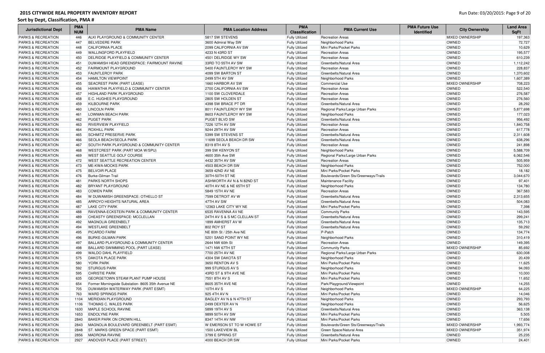| <b>Jurisdictional Dept</b>    | <b>PMA</b><br><b>NUM</b> | <b>PMA Name</b>                                    | <b>PMA Location Address</b> | <b>PMA</b><br><b>Classification</b> | <b>PMA Current Use</b>                | <b>PMA Future Use</b><br><b>Identified</b> | <b>City Ownership</b>  | <b>Land Area</b><br><b>SqFt</b> |
|-------------------------------|--------------------------|----------------------------------------------------|-----------------------------|-------------------------------------|---------------------------------------|--------------------------------------------|------------------------|---------------------------------|
| <b>PARKS &amp; RECREATION</b> | 446                      | ALKI PLAYGROUND & COMMUNITY CENTER                 | 5817 SW STEVENS             | <b>Fully Utilized</b>               | <b>Recreation Areas</b>               |                                            | <b>MIXED OWNERSHIP</b> | 197,363                         |
| <b>PARKS &amp; RECREATION</b> | 447                      | <b>BELVEDERE PARK</b>                              | 3600 Admiral Way SW         | <b>Fully Utilized</b>               | Neighborhood Parks                    |                                            | <b>OWNED</b>           | 72,727                          |
| <b>PARKS &amp; RECREATION</b> | 448                      | <b>CALIFORNIA PLACE</b>                            | 2099 CALIFORNIA AV SW       | <b>Fully Utilized</b>               | Mini Parks/Pocket Parks               |                                            | OWNED                  | 10,629                          |
| <b>PARKS &amp; RECREATION</b> | 449                      | <b>WALLINGFORD PLAYFIELD</b>                       | 4233 N 43RD ST              | <b>Fully Utilized</b>               | <b>Recreation Areas</b>               |                                            | <b>OWNED</b>           | 195,577                         |
| <b>PARKS &amp; RECREATION</b> | 450                      | <b>DELRIDGE PLAYFIELD &amp; COMMUNITY CENTER</b>   | 4501 DELRIDGE WY SW         | <b>Fully Utilized</b>               | <b>Recreation Areas</b>               |                                            | OWNED                  | 610,239                         |
| <b>PARKS &amp; RECREATION</b> | 451                      | DUWAMISH HEAD GREENSPACE: FAIRMOUNT RAVINE         | 33RD TO 55TH AV SW          | <b>Fully Utilized</b>               | Greenbelts/Natural Area               |                                            | <b>OWNED</b>           | 1,112,242                       |
| <b>PARKS &amp; RECREATION</b> | 452                      | <b>FAIRMOUNT PLAYGROUND</b>                        | 5400 FAUNTLEROY WY SW       | <b>Fully Utilized</b>               | <b>Recreation Areas</b>               |                                            | OWNED                  | 228,837                         |
| <b>PARKS &amp; RECREATION</b> | 453                      | <b>FAUNTLEROY PARK</b>                             | 4099 SW BARTON ST           | <b>Fully Utilized</b>               | Greenbelts/Natural Area               |                                            | OWNED                  | 1,370,602                       |
| <b>PARKS &amp; RECREATION</b> | 454                      | <b>HAMILTON VIEWPOINT</b>                          | 2499 5TH AV SW              | <b>Fully Utilized</b>               | Neighborhood Parks                    |                                            | <b>OWNED</b>           | 1,607,389                       |
| <b>PARKS &amp; RECREATION</b> | 455                      | <b>SEACREST PARK (PART LEASE)</b>                  | 1660 HARBOR AV SW           | <b>Fully Utilized</b>               | <b>Commercial Use</b>                 |                                            | <b>MIXED OWNERSHIP</b> | 708,223                         |
| <b>PARKS &amp; RECREATION</b> | 456                      | <b>HIAWATHA PLAYFIELD &amp; COMMUNITY CENTER</b>   | 2700 CALIFORNIA AV SW       | <b>Fully Utilized</b>               | <b>Recreation Areas</b>               |                                            | <b>OWNED</b>           | 522,540                         |
| <b>PARKS &amp; RECREATION</b> | 457                      | <b>HIGHLAND PARK PLAYGROUND</b>                    | 1100 SW CLOVERDALE          | <b>Fully Utilized</b>               | <b>Recreation Areas</b>               |                                            | OWNED                  | 276,587                         |
| <b>PARKS &amp; RECREATION</b> | 458                      | <b>E.C. HUGHES PLAYGROUND</b>                      | 2805 SW HOLDEN ST           | <b>Fully Utilized</b>               | <b>Recreation Areas</b>               |                                            | OWNED                  | 276,560                         |
| <b>PARKS &amp; RECREATION</b> | 459                      | <b>KILBOURNE PARK</b>                              | 4398 SW BRACE PT DR         | <b>Fully Utilized</b>               | Greenbelts/Natural Area               |                                            | OWNED                  | 28,292                          |
| <b>PARKS &amp; RECREATION</b> | 460                      | <b>LINCOLN PARK</b>                                | 8011 FAUNTLEROY WY SW       | <b>Fully Utilized</b>               | Regional Parks/Large Urban Parks      |                                            | OWNED                  | 5,877,698                       |
| <b>PARKS &amp; RECREATION</b> | 461                      | <b>LOWMAN BEACH PARK</b>                           | 8603 FAUNTLEROY WY SW       | <b>Fully Utilized</b>               | Neighborhood Parks                    |                                            | OWNED                  | 177,023                         |
| <b>PARKS &amp; RECREATION</b> | 462                      | <b>PUGET PARK</b>                                  | <b>PUGET BLVD SW</b>        | <b>Fully Utilized</b>               | Greenbelts/Natural Area               |                                            | OWNED                  | 956,492                         |
| <b>PARKS &amp; RECREATION</b> | 463                      | <b>RIVERVIEW PLAYFIELD</b>                         | 7226 12TH AV SW             | <b>Fully Utilized</b>               | <b>Recreation Areas</b>               |                                            | OWNED                  | 1,840,758                       |
| <b>PARKS &amp; RECREATION</b> | 464                      | <b>ROXHILL PARK</b>                                | 9244 29TH AV SW             | <b>Fully Utilized</b>               | <b>Recreation Areas</b>               |                                            | OWNED                  | 617,778                         |
| <b>PARKS &amp; RECREATION</b> | 465                      | <b>SCHMITZ PRESERVE PARK</b>                       | 5399 SW STEVENS ST          | <b>Fully Utilized</b>               | Greenbelts/Natural Area               |                                            | OWNED                  | 2,311,608                       |
| <b>PARKS &amp; RECREATION</b> | 466                      | <b>SEOLA BEACH/SEOLA PARK</b>                      | 11699 SEOLA BEACH DR SW     | <b>Fully Utilized</b>               | Greenbelts/Natural Area               |                                            | OWNED                  | 638,296                         |
| <b>PARKS &amp; RECREATION</b> | 467                      | SOUTH PARK PLAYGROUND & COMMUNITY CENTER           | 8319 8TH AV S               | <b>Fully Utilized</b>               | <b>Recreation Areas</b>               |                                            | OWNED                  | 241,898                         |
| <b>PARKS &amp; RECREATION</b> | 468                      | <b>WESTCREST PARK (PART MOA W/SPU)</b>             | 399 SW KENYON ST            | <b>Fully Utilized</b>               | Neighborhood Parks                    |                                            | OWNED                  | 5,588,709                       |
| <b>PARKS &amp; RECREATION</b> | 469                      | <b>WEST SEATTLE GOLF COURSE</b>                    | 4600 35th Ave SW            | <b>Fully Utilized</b>               | Regional Parks/Large Urban Parks      |                                            | OWNED                  | 6,062,546                       |
| <b>PARKS &amp; RECREATION</b> | 472                      | <b>WEST SEATTLE RECREATION CENTER</b>              | 4432 35TH AV SW             | <b>Fully Utilized</b>               | <b>Recreation Areas</b>               |                                            | OWNED                  | 505,959                         |
| <b>PARKS &amp; RECREATION</b> | 473                      | ME-KWA-MOOKS PARK                                  | 4503 BEACH DR SW            | <b>Fully Utilized</b>               | Neighborhood Parks                    |                                            | OWNED                  | 752,000                         |
| <b>PARKS &amp; RECREATION</b> | 475                      | <b>BELVOIR PLACE</b>                               | 3659 42ND AV NE             | <b>Fully Utilized</b>               | Mini Parks/Pocket Parks               |                                            | OWNED                  | 18,182                          |
| <b>PARKS &amp; RECREATION</b> | 476                      | Burke-Gilman Trail                                 | 30TH-50TH ST NE             | <b>Fully Utilized</b>               | Boulevards/Green Sts/Greenways/Trails |                                            | OWNED                  | 3,044,670                       |
| <b>PARKS &amp; RECREATION</b> | 481                      | <b>PARKS NORTH SHOPS</b>                           | ASHWORTH AV N & N 82ND ST   | <b>Fully Utilized</b>               | Maintenance Facility                  |                                            | <b>OWNED</b>           | 97,401                          |
| <b>PARKS &amp; RECREATION</b> | 482                      | <b>BRYANT PLAYGROUND</b>                           | 40TH AV NE & NE 65TH ST     | <b>Fully Utilized</b>               | Neighborhood Parks                    |                                            | <b>OWNED</b>           | 134,780                         |
| <b>PARKS &amp; RECREATION</b> | 483                      | <b>COWEN PARK</b>                                  | 5849 15TH AV NE             | <b>Fully Utilized</b>               | <b>Recreation Areas</b>               |                                            | <b>OWNED</b>           | 367,583                         |
| <b>PARKS &amp; RECREATION</b> | 484                      | W DUWAMISH GREENSPACE: OTHELLO ST                  | 7599 DETROIT AV W           | <b>Fully Utilized</b>               | Greenbelts/Natural Area               |                                            | OWNED                  | 2,313,655                       |
| <b>PARKS &amp; RECREATION</b> | 485                      | ARROYO HEIGHTS NATURAL AREA                        | 47TH AV SW                  | <b>Fully Utilized</b>               | Greenbelts/Natural Area               |                                            | OWNED                  | 504,083                         |
| <b>PARKS &amp; RECREATION</b> | 487                      | <b>LAKE CITY PARK</b>                              | 12363 LAKE CITY WY NE       | <b>Fully Utilized</b>               | Mini Parks/Pocket Parks               |                                            | OWNED                  | 7,398                           |
| <b>PARKS &amp; RECREATION</b> | 488                      | RAVENNA-ECKSTEIN PARK & COMMUNITY CENTER           | 6535 RAVENNA AV NE          | <b>Fully Utilized</b>               | <b>Community Parks</b>                |                                            | OWNED                  | 143,595                         |
| <b>PARKS &amp; RECREATION</b> | 489                      | CHEASTY GREENSPACE: MCCLELLAN                      | 24TH AV S & S MC CLELLAN ST | <b>Fully Utilized</b>               | Greenbelts/Natural Area               |                                            | OWNED                  | 299,241                         |
| <b>PARKS &amp; RECREATION</b> | 492                      | MAGNOLIA GREENBELT                                 | 1899 AMHERST AV W           | <b>Fully Utilized</b>               | Greenbelts/Natural Area               |                                            | OWNED                  | 135,713                         |
| <b>PARKS &amp; RECREATION</b> | 494                      | <b>WESTLAKE GREENBELT</b>                          | 802 ROY ST                  | <b>Fully Utilized</b>               | Greenbelts/Natural Area               |                                            | OWNED                  | 59,292                          |
| <b>PARKS &amp; RECREATION</b> | 495                      | <b>PICARDO FARM</b>                                | NE 80th St / 25th Ave NE    | <b>Fully Utilized</b>               | P-Patch                               |                                            | OWNED                  | 134,774                         |
| <b>PARKS &amp; RECREATION</b> | 496                      | <b>BURKE-GILMAN PARK</b>                           | 5201 SAND POINT WY NE       | <b>Fully Utilized</b>               | Neighborhood Parks                    |                                            | OWNED                  | 310,419                         |
| <b>PARKS &amp; RECREATION</b> | 497                      | <b>BALLARD PLAYGROUND &amp; COMMUNITY CENTER</b>   | 2644 NW 60th St             | <b>Fully Utilized</b>               | <b>Recreation Areas</b>               |                                            | OWNED                  | 149,395                         |
| <b>PARKS &amp; RECREATION</b> | 498                      | BALLARD SWIMMING POOL (PART LEASE)                 | 1471 NW 67TH ST             | <b>Fully Utilized</b>               | <b>Community Parks</b>                |                                            | <b>MIXED OWNERSHIP</b> | 85,692                          |
| <b>PARKS &amp; RECREATION</b> | 499                      | <b>WALDO DAHL PLAYFIELD</b>                        | 7700 25TH AV NE             | <b>Fully Utilized</b>               | Regional Parks/Large Urban Parks      |                                            | OWNED                  | 630,008                         |
| <b>PARKS &amp; RECREATION</b> | 575                      | <b>DAKOTA PLACE PARK</b>                           | 4304 SW DAKOTA ST           | <b>Fully Utilized</b>               | Neighborhood Parks                    |                                            | OWNED                  | 20,439                          |
| <b>PARKS &amp; RECREATION</b> | 580                      | <b>YORK PARK</b>                                   | 3650 RENTON AV S            | <b>Fully Utilized</b>               | Mini Parks/Pocket Parks               |                                            | OWNED                  | 11,625                          |
| <b>PARKS &amp; RECREATION</b> | 592                      | <b>STURGUS PARK</b>                                | 999 STURGUS AV S            | <b>Fully Utilized</b>               | Neighborhood Parks                    |                                            | OWNED                  | 94,093                          |
| <b>PARKS &amp; RECREATION</b> | 595                      | <b>CHRISTIE PARK</b>                               | 43RD ST & 9TH AVE NE        | <b>Fully Utilized</b>               | Mini Parks/Pocket Parks               |                                            | OWNED                  | 10,000                          |
| <b>PARKS &amp; RECREATION</b> | 635                      | <b>GEORGETOWN STEAM PLANT PUMP HOUSE</b>           | 7551 8TH AV S               | <b>Fully Utilized</b>               | Mini Parks/Pocket Parks               |                                            | OWNED                  | 11,652                          |
| <b>PARKS &amp; RECREATION</b> | 654                      | Former Morningside Substation- 8605 35th Avenue NE | 8605 35TH AVE NE            | <b>Fully Utilized</b>               | Park/Playground/Viewpoint             |                                            | OWNED                  | 14,255                          |
| <b>PARKS &amp; RECREATION</b> | 705                      | DUWAMISH WATERWAY PARK (PART ESMT)                 | 10TH AV S                   | <b>Fully Utilized</b>               | Neighborhood Parks                    |                                            | <b>MIXED OWNERSHIP</b> | 64,225                          |
| <b>PARKS &amp; RECREATION</b> | 763                      | <b>WARD SPRINGS PARK</b>                           | 925 4TH AV N                | <b>Fully Utilized</b>               | Mini Parks/Pocket Parks               |                                            | <b>OWNED</b>           | 14,046                          |
| <b>PARKS &amp; RECREATION</b> | 1104                     | MERIDIAN PLAYGROUND                                | BAGLEY AV N & N 47TH ST     | <b>Fully Utilized</b>               | Neighborhood Parks                    |                                            | OWNED                  | 293,793                         |
| <b>PARKS &amp; RECREATION</b> | 1106                     | <b>THOMAS C. WALES PARK</b>                        | 2499 DEXTER AV N            | <b>Fully Utilized</b>               | Neighborhood Parks                    |                                            | OWNED                  | 56,625                          |
| <b>PARKS &amp; RECREATION</b> | 1630                     | MAPLE SCHOOL RAVINE                                | 5899 19TH AV S              | <b>Fully Utilized</b>               | Greenbelts/Natural Area               |                                            | <b>OWNED</b>           | 363,138                         |
| <b>PARKS &amp; RECREATION</b> | 1653                     | <b>ENDOLYNE PARK</b>                               | 9899 50TH AV SW             | <b>Fully Utilized</b>               | Mini Parks/Pocket Parks               |                                            | <b>OWNED</b>           | 5,505                           |
| <b>PARKS &amp; RECREATION</b> | 2840                     | <b>BAKER PARK ON CROWN HILL</b>                    | 8347 14TH AV NW             | <b>Fully Utilized</b>               | Mini Parks/Pocket Parks               |                                            | OWNED                  | 17,656                          |
| <b>PARKS &amp; RECREATION</b> | 2843                     | MAGNOLIA BOULEVARD GREENBELT (PART ESMT)           | W EMERSON ST TO W HOWE ST   | <b>Fully Utilized</b>               | Boulevards/Green Sts/Greenways/Trails |                                            | <b>MIXED OWNERSHIP</b> | 1,993,774                       |
| <b>PARKS &amp; RECREATION</b> | 2848                     | ST. MARKS GREEN SPACE (PART ESMT)                  | 1500 LAKEVIEW BL            | <b>Fully Utilized</b>               | Green Space/Natural Area              |                                            | <b>MIXED OWNERSHIP</b> | 351,974                         |
| <b>PARKS &amp; RECREATION</b> | 2856                     | MADRONA RAVINE                                     | 3799 E SPRING ST            | <b>Fully Utilized</b>               | Greenbelts/Natural Area               |                                            | OWNED                  | 25,235                          |
| <b>PARKS &amp; RECREATION</b> | 2927                     | ANDOVER PLACE (PART STREET)                        | 4000 BEACH DR SW            | <b>Fully Utilized</b>               | Mini Parks/Pocket Parks               |                                            | OWNED                  | 24,401                          |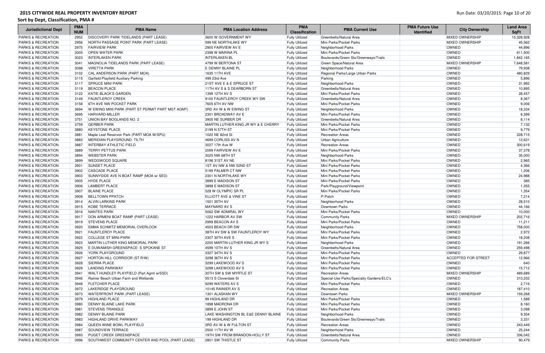#### Sort by Dept, Classification, PMA #

### Run Date: 03/20/2015: Page 10 of 20

| <b>Jurisdictional Dept</b>    | <b>PMA</b><br><b>NUM</b> | <b>PMA Name</b>                                  | <b>PMA Location Address</b>         | <b>PMA</b><br><b>Classification</b> | <b>PMA Current Use</b>                    | <b>PMA Future Use</b><br><b>Identified</b> | <b>City Ownership</b>      | <b>Land Area</b><br><b>SqFt</b> |
|-------------------------------|--------------------------|--------------------------------------------------|-------------------------------------|-------------------------------------|-------------------------------------------|--------------------------------------------|----------------------------|---------------------------------|
| <b>PARKS &amp; RECREATION</b> | 2952                     | <b>DISCOVERY PARK TIDELANDS (PART LEASE)</b>     | 3600 W GOVERNMENT WY                | <b>Fully Utilized</b>               | Greenbelts/Natural Area                   |                                            | <b>MIXED OWNERSHIP</b>     | 15,328,928                      |
| <b>PARKS &amp; RECREATION</b> | 2956                     | NORTH PASSAGE POINT PARK (PART LEASE)            | 599 NE NORTHLAKE WY                 | <b>Fully Utilized</b>               | Mini Parks/Pocket Parks                   |                                            | <b>MIXED OWNERSHIP</b>     | 45,562                          |
| <b>PARKS &amp; RECREATION</b> | 2975                     | <b>FAIRVIEW PARK</b>                             | 2900 FAIRVIEW AV E                  | <b>Fully Utilized</b>               | Neighborhood Parks                        |                                            | <b>OWNED</b>               | 44,896                          |
| <b>PARKS &amp; RECREATION</b> | 3005                     | <b>OPEN WATER PARK</b>                           | 2398 W MARINA PL                    | <b>Fully Utilized</b>               | Mini Parks/Pocket Parks                   |                                            | <b>OWNED</b>               | 611,500                         |
| <b>PARKS &amp; RECREATION</b> | 3023                     | <b>INTERLAKEN PARK</b>                           | <b>INTERLAKEN BL</b>                | <b>Fully Utilized</b>               | Boulevards/Green Sts/Greenways/Trails     |                                            | OWNED                      | 1,842,165                       |
| <b>PARKS &amp; RECREATION</b> | 3041                     | MAGNOLIA TIDELANDS PARK (PART LEASE)             | 4799 W BERTONA ST                   | <b>Fully Utilized</b>               | Green Space/Natural Area                  |                                            | <b>MIXED OWNERSHIP</b>     | 7,648,581                       |
| <b>PARKS &amp; RECREATION</b> | 3098                     | <b>VIRETTA PARK</b>                              | E DENNY BLAINE PL                   | <b>Fully Utilized</b>               | Neighborhood Parks                        |                                            | <b>OWNED</b>               | 79,938                          |
| PARKS & RECREATION            |                          | 3102 CAL ANDERSON PARK (PART MOA)                | 1635 11TH AVE                       | <b>Fully Utilized</b>               | Regional Parks/Large Urban Parks          |                                            | OWNED                      | 480,829                         |
| PARKS & RECREATION            | 3115                     | Garfield Playfield Auxiliary Parking             | 499 23rd Ave                        | <b>Fully Utilized</b>               | Parking                                   |                                            | OWNED                      | 5,896                           |
| <b>PARKS &amp; RECREATION</b> | 3117                     | <b>SPRUCE MINI PARK</b>                          | 21ST AVE E & E SPRUCE ST            | <b>Fully Utilized</b>               | Neighborhood Parks                        |                                            | OWNED                      | 31,992                          |
| <b>PARKS &amp; RECREATION</b> | 3119                     | <b>BEACON PLACE</b>                              | 11TH AV S & S DEARBORN ST           | <b>Fully Utilized</b>               | Greenbelts/Natural Area                   |                                            | OWNED                      | 10,895                          |
| <b>PARKS &amp; RECREATION</b> | 3122                     | <b>KATIE BLACK'S GARDEN</b>                      | 1399 12TH AV S                      | <b>Fully Utilized</b>               | Mini Parks/Pocket Parks                   |                                            | OWNED                      | 28,457                          |
| <b>PARKS &amp; RECREATION</b> | 3149                     | <b>FAUNTLEROY CREEK</b>                          | 9100 FAUNTLEROY CREEK WY SW         | <b>Fully Utilized</b>               | Greenbelts/Natural Area                   |                                            | OWNED                      | 8,367                           |
| <b>PARKS &amp; RECREATION</b> | 3158                     | <b>6TH AVE NW POCKET PARK</b>                    | 7605 6TH AV NW                      | <b>Fully Utilized</b>               | Mini Parks/Pocket Parks                   |                                            | OWNED                      | 9,006                           |
| <b>PARKS &amp; RECREATION</b> | 3694                     | W EWING MINI PARK (PART ST PERMIT PART MGT AGMT) | 3RD AV W & W EWING ST               | <b>Fully Utilized</b>               | Neighborhood Parks                        |                                            | OWNED                      | 18,334                          |
| <b>PARKS &amp; RECREATION</b> | 3695                     | HARVARD-MILLER                                   | 2301 BROADWAY AV E                  | <b>Fully Utilized</b>               | Mini Parks/Pocket Parks                   |                                            | OWNED                      | 6,399                           |
| <b>PARKS &amp; RECREATION</b> | 3751                     | UNION BAY BOGLANDS NO. 2                         | 3905 NE SURBER DR                   | <b>Fully Utilized</b>               | Greenbelts/Natural Area                   |                                            | OWNED                      | 8,114                           |
| <b>PARKS &amp; RECREATION</b> | 3759                     | <b>GERBER PARK</b>                               | MARTIN LUTHER KING JR WY & E CHERRY | <b>Fully Utilized</b>               | Mini Parks/Pocket Parks                   |                                            | OWNED                      | 7,132                           |
| <b>PARKS &amp; RECREATION</b> | 3880                     | <b>KEYSTONE PLACE</b>                            | 2199 N 57TH ST                      | <b>Fully Utilized</b>               | Mini Parks/Pocket Parks                   |                                            | OWNED                      | 9,779                           |
| <b>PARKS &amp; RECREATION</b> | 3881                     | Maple Leaf Reservoir Park (PART MOA W/SPU)       | 1020 NE 82nd St                     | <b>Fully Utilized</b>               | <b>Recreation Areas</b>                   |                                            | <b>OWNED</b>               | 228,715                         |
| <b>PARKS &amp; RECREATION</b> | 3883                     | MERIDIAN PLAYGROUND: TILTH                       | 4699 CORLISS AV N                   | <b>Fully Utilized</b>               | Urban Agriculture                         |                                            | <b>OWNED</b>               | 12,631                          |
| <b>PARKS &amp; RECREATION</b> | 3887                     | <b>INTERBAY ATHLETIC FIELD</b>                   | 3027 17th Ave W                     | <b>Fully Utilized</b>               | <b>Recreation Areas</b>                   |                                            | <b>OWNED</b>               | 300,619                         |
| <b>PARKS &amp; RECREATION</b> | 3889                     | <b>TERRY PETTUS PARK</b>                         | 2099 FAIRVIEW AV E                  | <b>Fully Utilized</b>               | Mini Parks/Pocket Parks                   |                                            | <b>OWNED</b>               | 37,378                          |
| <b>PARKS &amp; RECREATION</b> | 3894                     | <b>WEBSTER PARK</b>                              | 3025 NW 68TH ST                     | <b>Fully Utilized</b>               | Neighborhood Parks                        |                                            | OWNED                      | 35,000                          |
| <b>PARKS &amp; RECREATION</b> | 3899                     | <b>WEDGWOOD SQUARE</b>                           | 8198 31ST AV NE                     | <b>Fully Utilized</b>               | Mini Parks/Pocket Parks                   |                                            | OWNED                      | 2,965                           |
| <b>PARKS &amp; RECREATION</b> | 3901                     | <b>SUNSET PLACE</b>                              | 1ST AV NW & NW 52ND ST              | <b>Fully Utilized</b>               | Mini Parks/Pocket Parks                   |                                            | OWNED                      | 4,366                           |
| PARKS & RECREATION            | 3902                     | <b>CASCADE PLACE</b>                             | 5199 PALMER CT NW                   | <b>Fully Utilized</b>               | Mini Parks/Pocket Parks                   |                                            | OWNED                      | 1,206                           |
| <b>PARKS &amp; RECREATION</b> | 3903                     | SUNNYSIDE AVE N BOAT RAMP (MOA w/ SED)           | 2301 N NORTHLAKE WY                 | <b>Fully Utilized</b>               | Mini Parks/Pocket Parks                   |                                            | OWNED                      | 24,988                          |
| <b>PARKS &amp; RECREATION</b> | 3905                     | <b>HYDE PLACE</b>                                | 3899 E MADISON ST                   | <b>Fully Utilized</b>               | Mini Parks/Pocket Parks                   |                                            | OWNED                      | 385                             |
| <b>PARKS &amp; RECREATION</b> | 3906                     | <b>LAMBERT PLACE</b>                             | 3898 E MADISON ST                   | <b>Fully Utilized</b>               | Park/Playground/Viewpoint                 |                                            | OWNED                      | 1,355                           |
| <b>PARKS &amp; RECREATION</b> | 3907                     | <b>BLAINE PLACE</b>                              | 528 W OLYMPIC SR PL                 | <b>Fully Utilized</b>               | Mini Parks/Pocket Parks                   |                                            | OWNED                      | 1,354                           |
| <b>PARKS &amp; RECREATION</b> | 3908                     | <b>BELLTOWN PPATCH</b>                           | <b>ELLIOTT AVE &amp; VINE ST</b>    | <b>Fully Utilized</b>               | P-Patch                                   |                                            | <b>OWNED</b>               | 7,214                           |
| PARKS & RECREATION            | 3914                     | <b>ALVIN LARKINS PARK</b>                        | 1501 35TH AV                        | <b>Fully Utilized</b>               | Neighborhood Parks                        |                                            | OWNED                      | 28,510                          |
| <b>PARKS &amp; RECREATION</b> | 3915                     | KOBE TERRACE                                     | MAYNARD AV S                        | <b>Fully Utilized</b>               | Downtown Parks                            |                                            | OWNED                      | 44,166                          |
| <b>PARKS &amp; RECREATION</b> |                          | 3916 NANTES PARK                                 | 5062 SW ADMIRAL WY                  | <b>Fully Utilized</b>               | Mini Parks/Pocket Parks                   |                                            | OWNED                      | 10,000                          |
| <b>PARKS &amp; RECREATION</b> |                          | 3917   DON ARMENI BOAT RAMP (PART LEASE)         | 1222 HARBOR AV SW                   | <b>Fully Utilized</b>               | <b>Community Parks</b>                    |                                            | <b>MIXED OWNERSHIP</b>     | 202,716                         |
| PARKS & RECREATION            |                          | 3919 STEVENS PLACE                               | 2999 BEACON AV S                    | <b>Fully Utilized</b>               | Mini Parks/Pocket Parks                   |                                            | OWNED                      | 11,211                          |
| <b>PARKS &amp; RECREATION</b> | 3920                     | EMMA SCHMITZ MEMORIAL OVERLOOK                   | 4503 BEACH DR SW                    | <b>Fully Utilized</b>               | Neighborhood Parks                        |                                            | <b>OWNED</b>               | 758,000                         |
| <b>PARKS &amp; RECREATION</b> | 3921                     | <b>FAUNTLEROY PLACE</b>                          | 38TH AV SW & SW FAUNTLEROY WY       | <b>Fully Utilized</b>               | Mini Parks/Pocket Parks                   |                                            | <b>OWNED</b>               | 2,972                           |
| <b>PARKS &amp; RECREATION</b> | 3922                     | <b>COLLEGE ST MINI-PARK</b>                      | 2307 30TH AVE S                     | <b>Fully Utilized</b>               | Mini Parks/Pocket Parks                   |                                            | OWNED                      | 18,208                          |
| <b>PARKS &amp; RECREATION</b> | 3923                     | MARTIN LUTHER KING MEMORIAL PARK                 | 2200 MARTIN LUTHER KING JR WY S     | <b>Fully Utilized</b>               | Neighborhood Parks                        |                                            | <b>OWNED</b>               | 191,266                         |
| <b>PARKS &amp; RECREATION</b> | 3925                     | E DUWAMISH GREENSPACE: S SPOKANE ST              | 4599 10TH AV S                      | <b>Fully Utilized</b>               | Greenbelts/Natural Area                   |                                            | <b>OWNED</b>               | 259,498                         |
| <b>PARKS &amp; RECREATION</b> | 3926                     | <b>YORK PLAYGROUND</b>                           | 3327 34TH AV S                      | <b>Fully Utilized</b>               | Mini Parks/Pocket Parks                   |                                            | <b>OWNED</b>               | 29,877                          |
| <b>PARKS &amp; RECREATION</b> | 3927                     | HORTON HILL CORRIDOR (ST R/W)                    | 3298 36TH AV S                      | <b>Fully Utilized</b>               | Mini Parks/Pocket Parks                   |                                            | <b>ACCEPTED FOR STREET</b> | 12,966                          |
| <b>PARKS &amp; RECREATION</b> | 3928                     | <b>SIERRA PLACE</b>                              | 3299 LAKEWOOD AV S                  | <b>Fully Utilized</b>               | Mini Parks/Pocket Parks                   |                                            | <b>OWNED</b>               | 640                             |
| <b>PARKS &amp; RECREATION</b> | 3929                     | <b>LANDING PARKWAY</b>                           | 3298 LAKEWOOD AV S                  | <b>Fully Utilized</b>               | Mini Parks/Pocket Parks                   |                                            | <b>OWNED</b>               | 15,712                          |
| <b>PARKS &amp; RECREATION</b> | 3941                     | WALT HUNDLEY PLAYFIELD (Part Agmt w/SSD)         | 30TH SW & SW MYRTLE ST              | <b>Fully Utilized</b>               | <b>Recreation Areas</b>                   |                                            | <b>MIXED OWNERSHIP</b>     | 489,689                         |
| <b>PARKS &amp; RECREATION</b> | 3946                     | Rainier Beach Urban Farm and Wetlands            | 5513 S Cloverdale St                | <b>Fully Utilized</b>               | Special-Use Parks/Specialty Gardens/ELC's |                                            | <b>OWNED</b>               | 310,202                         |
| <b>PARKS &amp; RECREATION</b> | 3948                     | <b>FLETCHER PLACE</b>                            | 9299 WATERS AV S                    | <b>Fully Utilized</b>               | Mini Parks/Pocket Parks                   |                                            | OWNED                      | 2,716                           |
| <b>PARKS &amp; RECREATION</b> | 3972                     | LAKERIDGE PLAYGROUND                             | 10145 RAINIER AV S                  | <b>Fully Utilized</b>               | <b>Recreation Areas</b>                   |                                            | OWNED                      | 187,410                         |
| <b>PARKS &amp; RECREATION</b> | 3973                     | <b>WATERFRONT PARK (PART LEASE)</b>              | 1301 ALASKAN WY                     | <b>Fully Utilized</b>               | Downtown Parks                            |                                            | <b>MIXED OWNERSHIP</b>     | 159,268                         |
| <b>PARKS &amp; RECREATION</b> |                          | 3979 HIGHLAND PLACE                              | 99 HIGHLAND DR                      | <b>Fully Utilized</b>               | Mini Parks/Pocket Parks                   |                                            | OWNED                      | 1,588                           |
| <b>PARKS &amp; RECREATION</b> | 3980                     | <b>DENNY BLAINE LAKE PARK</b>                    | 1898 MADRONA DR                     | <b>Fully Utilized</b>               | Mini Parks/Pocket Parks                   |                                            | OWNED                      | 8,160                           |
| <b>PARKS &amp; RECREATION</b> | 3981                     | <b>STEVENS TRIANGLE</b>                          | 3899 E JOHN ST                      | <b>Fully Utilized</b>               | Mini Parks/Pocket Parks                   |                                            | <b>OWNED</b>               | 3,098                           |
| <b>PARKS &amp; RECREATION</b> | 3982                     | <b>DENNY BLAINE PARK</b>                         | LAKE WASHINGTON BL E&E DENNY BLAINE | <b>Fully Utilized</b>               | Neighborhood Parks                        |                                            | <b>OWNED</b>               | 9,354                           |
| <b>PARKS &amp; RECREATION</b> | 3983                     | <b>HIGHLAND DRIVE PARKWAY</b>                    | 199 HIGHLAND DR                     | <b>Fully Utilized</b>               | Boulevards/Green Sts/Greenways/Trails     |                                            | OWNED                      | 3,331                           |
| <b>PARKS &amp; RECREATION</b> | 3984                     | QUEEN ANNE BOWL PLAYFIELD                        | <b>BRD AV W &amp; W FULTON ST</b>   | <b>Fully Utilized</b>               | <b>Recreation Areas</b>                   |                                            | OWNED                      | 243,449                         |
| <b>PARKS &amp; RECREATION</b> | 3987                     | <b>SOUNDVIEW TERRACE</b>                         | 2500 11TH AV W                      | <b>Fully Utilized</b>               | Neighborhood Parks                        |                                            | <b>OWNED</b>               | 25,244                          |
| <b>PARKS &amp; RECREATION</b> | 3993                     | <b>PUGET CREEK GREENSPACE</b>                    | 19TH SW FROM BRANDON-HOLLY ST       | <b>Fully Utilized</b>               | Greenbelts/Natural Area                   |                                            | <b>OWNED</b>               | 336,042                         |
| <b>PARKS &amp; RECREATION</b> | 3996                     | SOUTHWEST COMMUNITY CENTER AND POOL (PART LEASE) | 2801 SW THISTLE ST                  | <b>Fully Utilized</b>               | <b>Community Parks</b>                    |                                            | <b>MIXED OWNERSHIP</b>     | 90,479                          |
|                               |                          |                                                  |                                     |                                     |                                           |                                            |                            |                                 |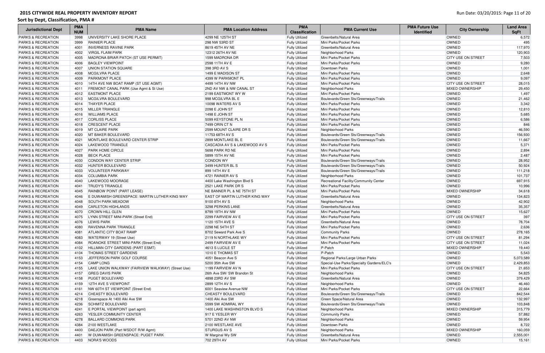| <b>Jurisdictional Dept</b>    | <b>PMA</b><br><b>NUM</b> | <b>PMA Name</b>                                    | <b>PMA Location Address</b>           | <b>PMA</b><br><b>Classification</b> | <b>PMA Current Use</b>                    | <b>PMA Future Use</b><br><b>Identified</b> | <b>City Ownership</b>     | <b>Land Area</b><br><b>SqFt</b> |
|-------------------------------|--------------------------|----------------------------------------------------|---------------------------------------|-------------------------------------|-------------------------------------------|--------------------------------------------|---------------------------|---------------------------------|
| <b>PARKS &amp; RECREATION</b> | 3998                     | UNIVERSITY LAKE SHORE PLACE                        | 4299 NE 125TH ST                      | <b>Fully Utilized</b>               | Greenbelts/Natural Area                   |                                            | OWNED                     | 6,572                           |
| <b>PARKS &amp; RECREATION</b> | 3999                     | <b>RAINIER PLACE</b>                               | 298 NW 53RD ST                        | <b>Fully Utilized</b>               | Mini Parks/Pocket Parks                   |                                            | OWNED                     | 495                             |
| <b>PARKS &amp; RECREATION</b> | 4001                     | <b>INVERNESS RAVINE PARK</b>                       | 8619 45TH AV NE                       | <b>Fully Utilized</b>               | Greenbelts/Natural Area                   |                                            | OWNED                     | 117,970                         |
| <b>PARKS &amp; RECREATION</b> | 4002                     | <b>VIRGIL FLAIM PARK</b>                           | 12312 26TH AV NE                      | <b>Fully Utilized</b>               | Neighborhood Parks                        |                                            | OWNED                     | 120,903                         |
| <b>PARKS &amp; RECREATION</b> | 4005                     | MADRONA BRIAR PATCH (ST USE PERMIT)                | 1599 MADRONA DR                       | <b>Fully Utilized</b>               | Mini Parks/Pocket Parks                   |                                            | <b>CITY USE ON STREET</b> | 7,503                           |
| <b>PARKS &amp; RECREATION</b> | 4006                     | <b>BAGLEY VIEWPOINT</b>                            | 2598 11TH AV E                        | <b>Fully Utilized</b>               | Mini Parks/Pocket Parks                   |                                            | OWNED                     | 9,280                           |
| <b>PARKS &amp; RECREATION</b> | 4007                     | <b>UNION STATION SQUARE</b>                        | 398 3RD AV S                          | <b>Fully Utilized</b>               | Downtown Parks                            |                                            | OWNED                     | 1,001                           |
| <b>PARKS &amp; RECREATION</b> | 4008                     | <b>MCGILVRA PLACE</b>                              | 1499 E MADISON ST                     | <b>Fully Utilized</b>               | Mini Parks/Pocket Parks                   |                                            | OWNED                     | 2,648                           |
| <b>PARKS &amp; RECREATION</b> | 4009                     | <b>PARKMONT PLACE</b>                              | 4399 W PARKMONT PL                    | <b>Fully Utilized</b>               | Mini Parks/Pocket Parks                   |                                            | OWNED                     | 9,097                           |
| <b>PARKS &amp; RECREATION</b> | 4010                     | 14TH AVE NW BOAT RAMP (ST USE AGMT)                | 4499 14TH AV NW                       | <b>Fully Utilized</b>               | Mini Parks/Pocket Parks                   |                                            | <b>CITY USE ON STREET</b> | 28,015                          |
| <b>PARKS &amp; RECREATION</b> | 4011                     | FREMONT CANAL PARK (Use Agmt & St Use)             | <b>2ND AV NW &amp; NW CANAL ST</b>    | <b>Fully Utilized</b>               | Neighborhood Parks                        |                                            | <b>MIXED OWNERSHIP</b>    | 29,450                          |
| <b>PARKS &amp; RECREATION</b> | 4012                     | <b>EASTMONT PLACE</b>                              | 2199 EASTMONT WY W                    | <b>Fully Utilized</b>               | Mini Parks/Pocket Parks                   |                                            | OWNED                     | 1,497                           |
| <b>PARKS &amp; RECREATION</b> | 4013                     | MCGILVRA BOULEVARD                                 | 998 MCGILVRA BL E                     | <b>Fully Utilized</b>               | Boulevards/Green Sts/Greenways/Trails     |                                            | OWNED                     | 21,462                          |
| <b>PARKS &amp; RECREATION</b> | 4014                     | <b>THAYER PLACE</b>                                | 10098 WATERS AV S                     | <b>Fully Utilized</b>               | Mini Parks/Pocket Parks                   |                                            | OWNED                     | 3,342                           |
| <b>PARKS &amp; RECREATION</b> | 4015                     | MILLER TRIANGLE                                    | <b>2098 E JOHN ST</b>                 | <b>Fully Utilized</b>               | Mini Parks/Pocket Parks                   |                                            | OWNED                     | 12,810                          |
| <b>PARKS &amp; RECREATION</b> | 4016                     | <b>WILLIAMS PLACE</b>                              | 1498 E JOHN ST                        | <b>Fully Utilized</b>               | Mini Parks/Pocket Parks                   |                                            | OWNED                     | 5,685                           |
| PARKS & RECREATION            | 4017                     | <b>CORLISS PLACE</b>                               | 5099 KEYSTONE PL N                    | <b>Fully Utilized</b>               | Mini Parks/Pocket Parks                   |                                            | OWNED                     | 6,586                           |
| <b>PARKS &amp; RECREATION</b> | 4018                     | <b>CRESCENT PLACE</b>                              | 7499 ORIN CT N                        | <b>Fully Utilized</b>               | Mini Parks/Pocket Parks                   |                                            | OWNED                     | 846                             |
| <b>PARKS &amp; RECREATION</b> | 4019                     | MT CLAIRE PARK                                     | 2599 MOUNT CLAIRE DR S                | <b>Fully Utilized</b>               | Neighborhood Parks                        |                                            | OWNED                     | 46,590                          |
| <b>PARKS &amp; RECREATION</b> | 4020                     | MT BAKER BOULEVARD                                 | 11753 68TH AV S                       | <b>Fully Utilized</b>               | Boulevards/Green Sts/Greenways/Trails     |                                            | OWNED                     | 156,930                         |
| <b>PARKS &amp; RECREATION</b> | 4021                     | MONTLAKE BOULEVARD CENTER STRIP                    | 2899 MONTLAKE BL E                    | <b>Fully Utilized</b>               | Boulevards/Green Sts/Greenways/Trails     |                                            | OWNED                     | 11,667                          |
| <b>PARKS &amp; RECREATION</b> | 4024                     | <b>LAKEWOOD TRIANGLE</b>                           | CASCADIA AV S & LAKEWOOD AV S         | <b>Fully Utilized</b>               | Mini Parks/Pocket Parks                   |                                            | OWNED                     | 5,371                           |
| <b>PARKS &amp; RECREATION</b> | 4027                     | <b>PARK HOME CIRCLE</b>                            | 5698 PARK RD NE                       | <b>Fully Utilized</b>               | Mini Parks/Pocket Parks                   |                                            | OWNED                     | 2,894                           |
| PARKS & RECREATION            | 4028                     | <b>BECK PLACE</b>                                  | 5899 15TH AV NE                       | <b>Fully Utilized</b>               | Mini Parks/Pocket Parks                   |                                            | OWNED                     | 2,487                           |
| PARKS & RECREATION            | 4030                     | <b>CONDON WAY CENTER STRIP</b>                     | <b>CONDON WY</b>                      | <b>Fully Utilized</b>               | Boulevards/Green Sts/Greenways/Trails     |                                            | OWNED                     | 28,952                          |
| PARKS & RECREATION            | 4032                     | <b>HUNTER BOULEVARD</b>                            | 3499 HUNTER BL S                      | <b>Fully Utilized</b>               | Boulevards/Green Sts/Greenways/Trails     |                                            | OWNED                     | 50,924                          |
| <b>PARKS &amp; RECREATION</b> | 4033                     | <b>VOLUNTEER PARKWAY</b>                           | 899 14TH AV E                         | <b>Fully Utilized</b>               | Boulevards/Green Sts/Greenways/Trails     |                                            | OWNED                     | 111,218                         |
| <b>PARKS &amp; RECREATION</b> | 4034                     | <b>COLUMBIA PARK</b>                               | 4721 RAINIER AV S                     | <b>Fully Utilized</b>               | Neighborhood Parks                        |                                            | OWNED                     | 101,737                         |
| <b>PARKS &amp; RECREATION</b> | 4040                     | LAKEWOOD MOORAGE                                   | 4400 Lake Washington Blvd S           | <b>Fully Utilized</b>               | Recreational Facility/Community Center    |                                            | OWNED                     | 697,915                         |
| <b>PARKS &amp; RECREATION</b> | 4041                     | <b>TRUDY'S TRIANGLE</b>                            | 2521 LAKE PARK DR S                   | <b>Fully Utilized</b>               | Mini Parks/Pocket Parks                   |                                            | OWNED                     | 10,996                          |
| <b>PARKS &amp; RECREATION</b> | 4045                     | <b>RAINBOW POINT (PART LEASE)</b>                  | NE BANNER PL & NE 75TH ST             | <b>Fully Utilized</b>               | Mini Parks/Pocket Parks                   |                                            | <b>MIXED OWNERSHIP</b>    | 34,618                          |
| <b>PARKS &amp; RECREATION</b> | 4046                     | E DUWAMISH GREENSPACE: MARTIN LUTHER KING WAY      | <b>EAST OF MARTIN LUTHER KING WAY</b> | <b>Fully Utilized</b>               | Greenbelts/Natural Area                   |                                            | OWNED                     | 134,823                         |
| <b>PARKS &amp; RECREATION</b> | 4048                     | <b>SOUTH PARK MEADOW</b>                           | 9100 8TH AV S                         | <b>Fully Utilized</b>               | Neighborhood Parks                        |                                            | OWNED                     | 42,902                          |
| <b>PARKS &amp; RECREATION</b> | 4049                     | <b>CARLETON HIGHLANDS</b>                          | 3298 PERKINS LANE                     | <b>Fully Utilized</b>               | Greenbelts/Natural Area                   |                                            | OWNED                     | 35,357                          |
| <b>PARKS &amp; RECREATION</b> | 4070                     | <b>CROWN HILL GLEN</b>                             | 8799 19TH AV NW                       | <b>Fully Utilized</b>               | Mini Parks/Pocket Parks                   |                                            | <b>OWNED</b>              | 15,627                          |
| <b>PARKS &amp; RECREATION</b> | 4075                     | LYNN STREET MINI-PARK (Street End)                 | 2299 FAIRVIEW AV E                    | <b>Fully Utilized</b>               | Mini Parks/Pocket Parks                   |                                            | <b>CITY USE ON STREET</b> | 397                             |
| <b>PARKS &amp; RECREATION</b> |                          | 4076 LEWIS PARK                                    | 1120 15TH AVE S                       | <b>Fully Utilized</b>               | Greenbelts/Natural Area                   |                                            | OWNED                     | 78,704                          |
| PARKS & RECREATION            | 4080                     | <b>RAVENNA PARK TRIANGLE</b>                       | 2298 NE 54TH ST                       | <b>Fully Utilized</b>               | Mini Parks/Pocket Parks                   |                                            | OWNED                     | 2,636                           |
| <b>PARKS &amp; RECREATION</b> | 4081                     | <b>ATLANTIC CITY BOAT RAMP</b>                     | 8702 Seward Park Ave S                | <b>Fully Utilized</b>               | <b>Community Parks</b>                    |                                            | OWNED                     | 278,165                         |
| <b>PARKS &amp; RECREATION</b> | 4083                     | <b>WATERWAY 19 (Street Use)</b>                    | 2119 N NORTHLAKE WY                   | <b>Fully Utilized</b>               | Mini Parks/Pocket Parks                   |                                            | <b>CITY USE ON STREET</b> | 81,294                          |
| <b>PARKS &amp; RECREATION</b> | 4084                     | ROANOKE STREET MINI-PARK (Street End)              | 2499 FAIRVIEW AV E                    | <b>Fully Utilized</b>               | Mini Parks/Pocket Parks                   |                                            | <b>CITY USE ON STREET</b> | 11,024                          |
| <b>PARKS &amp; RECREATION</b> |                          | 4102   HILLMAN CITY GARDENS (PART ESMT)            | 4613 S LUCILE ST                      | <b>Fully Utilized</b>               | P-Patch                                   |                                            | <b>MIXED OWNERSHIP</b>    | 19,440                          |
| PARKS & RECREATION            | 4104                     | <b>THOMAS STREET GARDENS</b>                       | 1010 E THOMAS ST                      | <b>Fully Utilized</b>               | P-Patch                                   |                                            | OWNED                     | 5,543                           |
| <b>PARKS &amp; RECREATION</b> | 4153                     | JEFFERSON PARK GOLF COURSE                         | 4051 Beacon Ave S                     | <b>Fully Utilized</b>               | Regional Parks/Large Urban Parks          |                                            | OWNED                     | 5,073,589                       |
| <b>PARKS &amp; RECREATION</b> | 4154                     | <b>CAMP LONG</b>                                   | 5200 35th Ave SW                      | <b>Fully Utilized</b>               | Special-Use Parks/Specialty Gardens/ELC's |                                            | OWNED                     | 2,429,853                       |
| <b>PARKS &amp; RECREATION</b> | 4155                     | LAKE UNION WALKWAY (FAIRVIEW WALKWAY) (Street Use) | 1199 FAIRVIEW AV N                    | <b>Fully Utilized</b>               | Mini Parks/Pocket Parks                   |                                            | <b>CITY USE ON STREET</b> | 21,653                          |
| <b>PARKS &amp; RECREATION</b> | 4157                     | <b>GREG DAVIS PARK</b>                             | 26th Ave SW/ SW Brandon St            | <b>Fully Utilized</b>               | Neighborhood Parks                        |                                            | OWNED                     | 54,825                          |
| <b>PARKS &amp; RECREATION</b> | 4158                     | <b>PUGET BOULEVARD</b>                             | 4898 23RD AV SW                       | <b>Fully Utilized</b>               | Greenbelts/Natural Area                   |                                            | OWNED                     | 379,429                         |
| PARKS & RECREATION            | 4159                     | 12TH AVE S VIEWPOINT                               | 2899 12TH AV S                        | <b>Fully Utilized</b>               | Neighborhood Parks                        |                                            | OWNED                     | 46,460                          |
| <b>PARKS &amp; RECREATION</b> | 4161                     | NW 60TH ST VIEWPOINT (Street End)                  | 6001 Seaview Avenue NW                | <b>Fully Utilized</b>               | Mini Parks/Pocket Parks                   |                                            | <b>CITY USE ON STREET</b> | 22,664                          |
| <b>PARKS &amp; RECREATION</b> | 4214                     | CHEASTY BOULEVARD                                  | CHEASTY BOULEVARD                     | <b>Fully Utilized</b>               | Boulevards/Green Sts/Greenways/Trails     |                                            | OWNED                     | 842,544                         |
| <b>PARKS &amp; RECREATION</b> | 4218                     | Greenspace At 1400 Alki Ave SW                     | 1400 Alki Ave SW                      | <b>Fully Utilized</b>               | Green Space/Natural Area                  |                                            | OWNED                     | 132,997                         |
| <b>PARKS &amp; RECREATION</b> | 4236                     | <b>SCHMITZ BOULEVARD</b>                           | 5599 SW ADMIRAL WY                    | <b>Fully Utilized</b>               | Boulevards/Green Sts/Greenways/Trails     |                                            | OWNED                     | 103,848                         |
| <b>PARKS &amp; RECREATION</b> | 4241                     | E PORTAL VIEWPOINT (part agmt)                     | 1400 LAKE WASHINGTON BLVD S           | <b>Fully Utilized</b>               | Neighborhood Parks                        |                                            | <b>MIXED OWNERSHIP</b>    | 315,779                         |
| <b>PARKS &amp; RECREATION</b> | 4263                     | <b>YESLER COMMUNITY CENTER</b>                     | 917 E YESLER WY                       | <b>Fully Utilized</b>               | Community Parks                           |                                            | OWNED                     | 57,882                          |
| PARKS & RECREATION            | 4278                     | <b>BALLARD COMMONS PARK</b>                        | 5701 22ND AV NW                       | <b>Fully Utilized</b>               | Neighborhood Parks                        |                                            | OWNED                     | 59,954                          |
| <b>PARKS &amp; RECREATION</b> | 4384                     | 2100 WESTLAKE                                      | 2100 WESTLAKE AVE                     | <b>Fully Utilized</b>               | Downtown Parks                            |                                            | OWNED                     | 8,722                           |
| <b>PARKS &amp; RECREATION</b> | 4400                     | DAEJON PARK (Part WSDOT R/W Agmt)                  | <b>STURGUS AV S</b>                   | <b>Fully Utilized</b>               | Neighborhood Parks                        |                                            | MIXED OWNERSHIP           | 160,059                         |
| <b>PARKS &amp; RECREATION</b> | 4401                     | W DUWAMISH GREENSPACE: PUGET PARK                  | W Marginal Wy SW                      | <b>Fully Utilized</b>               | Greenbelts/Natural Area                   |                                            | OWNED                     | 2,555,001                       |
| <b>PARKS &amp; RECREATION</b> |                          | 4403 NORA'S WOODS                                  | 702 29TH AV                           | <b>Fully Utilized</b>               | Mini Parks/Pocket Parks                   |                                            | OWNED                     | 15,161                          |
|                               |                          |                                                    |                                       |                                     |                                           |                                            |                           |                                 |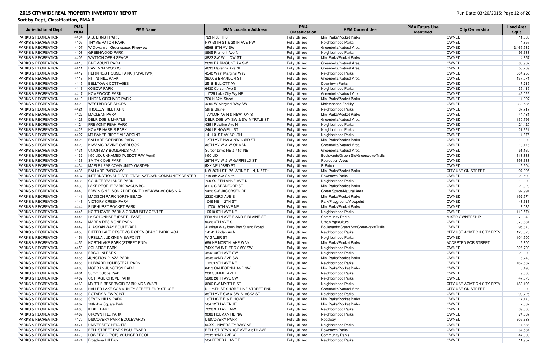| <b>Jurisdictional Dept</b>    | <b>PMA</b><br><b>NUM</b> | <b>PMA Name</b>                                   | <b>PMA Location Address</b>           | <b>PMA</b><br><b>Classification</b> | <b>PMA Current Use</b>                | <b>PMA Future Use</b><br><b>Identified</b> | <b>City Ownership</b>      | <b>Land Area</b><br><b>SqFt</b> |
|-------------------------------|--------------------------|---------------------------------------------------|---------------------------------------|-------------------------------------|---------------------------------------|--------------------------------------------|----------------------------|---------------------------------|
| <b>PARKS &amp; RECREATION</b> | 4404                     | A.B. ERNST PARK                                   | 723 N 35TH ST                         | <b>Fully Utilized</b>               | Mini Parks/Pocket Parks               |                                            | <b>OWNED</b>               | 11,535                          |
| <b>PARKS &amp; RECREATION</b> | 4405                     | <b>THYME PATCH PARK</b>                           | NW 58TH ST & 28TH AVE NW              | <b>Fully Utilized</b>               | Neighborhood Parks                    |                                            | <b>OWNED</b>               | 4,857                           |
| <b>PARKS &amp; RECREATION</b> | 4407                     | W Duwamish Greenspace: Riverview                  | 6598 8TH AV SW                        | <b>Fully Utilized</b>               | Greenbelts/Natural Area               |                                            | <b>OWNED</b>               | 2,469,532                       |
| PARKS & RECREATION            | 4408                     | <b>GREENWOOD PARK</b>                             | 8905 Fremont Ave N                    | <b>Fully Utilized</b>               | Neighborhood Parks                    |                                            | OWNED                      | 96,638                          |
| <b>PARKS &amp; RECREATION</b> | 4409                     | <b>WATTON OPEN SPACE</b>                          | 3823 SW WILLOW ST                     | <b>Fully Utilized</b>               | Mini Parks/Pocket Parks               |                                            | OWNED                      | 4,857                           |
| <b>PARKS &amp; RECREATION</b> | 4410                     | <b>FAIRMOUNT PARK</b>                             | 2699 FAIRMOUNT AV SW                  | <b>Fully Utilized</b>               | Greenbelts/Natural Area               |                                            | OWNED                      | 80,902                          |
| <b>PARKS &amp; RECREATION</b> | 4411                     | <b>RAVENNA WOODS</b>                              | 4633 Ravenna Ave NE                   | <b>Fully Utilized</b>               | Greenbelts/Natural Area               |                                            | OWNED                      | 50,209                          |
| <b>PARKS &amp; RECREATION</b> | 4412                     | HERRINGS HOUSE PARK (T'U'ALTWX)                   | 4540 West Marginal Way                | <b>Fully Utilized</b>               | Neighborhood Parks                    |                                            | OWNED                      | 664,250                         |
| <b>PARKS &amp; RECREATION</b> | 4413                     | <b>HITT'S HILL PARK</b>                           | 39XX S BRANDON ST                     | <b>Fully Utilized</b>               | Greenbelts/Natural Area               |                                            | OWNED                      | 137,071                         |
| <b>PARKS &amp; RECREATION</b> | 4415                     | <b>BELLTOWN COTTAGES</b>                          | 2518 ELLIOTT AV                       | <b>Fully Utilized</b>               | Downtown Parks                        |                                            | OWNED                      | 7,215                           |
| <b>PARKS &amp; RECREATION</b> | 4416                     | <b>OXBOW PARK</b>                                 | 6430 Corson Ave S                     | <b>Fully Utilized</b>               | Neighborhood Parks                    |                                            | OWNED                      | 35,415                          |
| <b>PARKS &amp; RECREATION</b> | 4417                     | <b>HOMEWOOD PARK</b>                              | 11725 Lake City Wy NE                 | <b>Fully Utilized</b>               | Greenbelts/Natural Area               |                                            | OWNED                      | 42,029                          |
| <b>PARKS &amp; RECREATION</b> | 4419                     | <b>LINDEN ORCHARD PARK</b>                        | 720 N 67th Street                     | <b>Fully Utilized</b>               | Mini Parks/Pocket Parks               |                                            | OWNED                      | 14,397                          |
| <b>PARKS &amp; RECREATION</b> | 4420                     | <b>WESTBRIDGE SHOPS</b>                           | 4209 W Marginal Way SW                | <b>Fully Utilized</b>               | Maintenance Facility                  |                                            | OWNED                      | 230,535                         |
| <b>PARKS &amp; RECREATION</b> | 4421                     | <b>TROLLEY HILL PARK</b>                          | 5th & Blaine                          | <b>Fully Utilized</b>               | Neighborhood Parks                    |                                            | <b>OWNED</b>               | 37,717                          |
| <b>PARKS &amp; RECREATION</b> | 4422                     | <b>MACLEAN PARK</b>                               | <b>TAYLOR AV N &amp; NEWTON ST</b>    | <b>Fully Utilized</b>               | Mini Parks/Pocket Parks               |                                            | OWNED                      | 44,431                          |
| <b>PARKS &amp; RECREATION</b> | 4423                     | <b>DELRIDGE &amp; MYRTLE</b>                      | DELRIDGE WY SW & SW MYRTLE ST         | <b>Fully Utilized</b>               | Greenbelts/Natural Area               |                                            | OWNED                      | 130,796                         |
| <b>PARKS &amp; RECREATION</b> | 4424                     | <b>FREMONT PEAK PARK</b>                          | 4351 Palatine Ave N                   | <b>Fully Utilized</b>               | Neighborhood Parks                    |                                            | OWNED                      | 24,420                          |
| <b>PARKS &amp; RECREATION</b> | 4426                     | <b>HOMER HARRIS PARK</b>                          | 2401 E HOWELL ST                      | <b>Fully Utilized</b>               | Neighborhood Parks                    |                                            | OWNED                      | 21,621                          |
| <b>PARKS &amp; RECREATION</b> | 4427                     | MT BAKER RIDGE VIEWPOINT                          | 1411 31ST AV SOUTH                    | <b>Fully Utilized</b>               | Neighborhood Parks                    |                                            | OWNED                      | 4,875                           |
| <b>PARKS &amp; RECREATION</b> | 4428                     | <b>BALLARD CORNERS PARK</b>                       | 17TH AVE NW & NW 63RD ST              | <b>Fully Utilized</b>               | Mini Parks/Pocket Parks               |                                            | OWNED                      | 10,002                          |
| <b>PARKS &amp; RECREATION</b> | 4429                     | KIWANIS RAVINE OVERLOOK                           | 36TH AV W & W OHMAN                   | <b>Fully Utilized</b>               | Greenbelts/Natural Area               |                                            | OWNED                      | 13,176                          |
| <b>PARKS &amp; RECREATION</b> | 4431                     | UNION BAY BOGLANDS NO. 1                          | Surber Drive NE & 41st NE             | <b>Fully Utilized</b>               | Greenbelts/Natural Area               |                                            | OWNED                      | 51,160                          |
| <b>PARKS &amp; RECREATION</b> | 4432                     | I-90 LID: UNNAMED (WSDOT R/W Agmt)                | $I-90$ LID                            | <b>Fully Utilized</b>               | Boulevards/Green Sts/Greenways/Trails |                                            | OWNED                      | 313,888                         |
| <b>PARKS &amp; RECREATION</b> | 4433                     | <b>SMITH COVE PARK</b>                            | 26TH AV W & W GARFIELD ST             | <b>Fully Utilized</b>               | <b>Recreation Areas</b>               |                                            | OWNED                      | 393,688                         |
| <b>PARKS &amp; RECREATION</b> | 4434                     | MAPLE LEAF COMMUNITY GARDEN                       | 5XX NE 103RD ST                       | <b>Fully Utilized</b>               | P-Patch                               |                                            | OWNED                      | 15,904                          |
| <b>PARKS &amp; RECREATION</b> | 4436                     | <b>BALLARD PARKWAY</b>                            | NW 56TH ST, PALATINE PL N, N 57TH     | <b>Fully Utilized</b>               | Mini Parks/Pocket Parks               |                                            | <b>CITY USE ON STREET</b>  | 97,395                          |
| <b>PARKS &amp; RECREATION</b> | 4437                     | INTERNATIONAL DISTRICT/CHINATOWN COMMUNITY CENTER | 719 8th Ave South                     | <b>Fully Utilized</b>               | Downtown Parks                        |                                            | <b>OWNED</b>               | 29,592                          |
| <b>PARKS &amp; RECREATION</b> | 4438                     | COUNTERBALANCE PARK                               | 700 QUEEN ANNE AVE N                  | <b>Fully Utilized</b>               | Neighborhood Parks                    |                                            | OWNED                      | 12,000                          |
| <b>PARKS &amp; RECREATION</b> | 4439                     | LAKE PEOPLE PARK (XACUA'BS)                       | 3110 S BRADFORD ST                    | <b>Fully Utilized</b>               | Mini Parks/Pocket Parks               |                                            | OWNED                      | 22,929                          |
| <b>PARKS &amp; RECREATION</b> | 4440                     | EDWIN S NELSON ADDITION TO ME-KWA-MOOKS N A       | 5426 SW JACOBSEN RD                   | <b>Fully Utilized</b>               | Green Space/Natural Area              |                                            | OWNED                      | 92,991                          |
| <b>PARKS &amp; RECREATION</b> | 4441                     | MADISON PARK NORTH BEACH                          | 2330 43RD AVE E                       | <b>Fully Utilized</b>               | Mini Parks/Pocket Parks               |                                            | OWNED                      | 192,974                         |
| <b>PARKS &amp; RECREATION</b> | 4443                     | <b>VICTORY CREEK PARK</b>                         | 1049 NE 112TH ST                      | <b>Fully Utilized</b>               | Park/Playground/Viewpoint             |                                            | OWNED                      | 43,613                          |
| <b>PARKS &amp; RECREATION</b> | 4444                     | <b>PINEHURST POCKET PARK</b>                      | 11700 19TH AVE NE                     | <b>Fully Utilized</b>               | Mini Parks/Pocket Parks               |                                            | OWNED                      | 8,089                           |
| <b>PARKS &amp; RECREATION</b> | 4445                     | NORTHGATE PARK & COMMUNITY CENTER                 | 10510 5TH AVE NE                      | <b>Fully Utilized</b>               | Neighborhood Parks                    |                                            | OWNED                      | 113,574                         |
| <b>PARKS &amp; RECREATION</b> | 4446                     | 1-5 COLONNADE (PART LEASE)                        | <b>FRANKLIN AVE E AND E BLAINE ST</b> | <b>Fully Utilized</b>               | <b>Community Parks</b>                |                                            | <b>MIXED OWNERSHIP</b>     | 372,349                         |
| PARKS & RECREATION            | 4447                     | MARRA-DESIMONE PARK                               | 9026 4TH AVE S                        | <b>Fully Utilized</b>               | Urban Agriculture                     |                                            | OWNED                      | 379,831                         |
| <b>PARKS &amp; RECREATION</b> | 4449                     | ALLASKAN WAY BOULEVARD                            | Alaskan Way btwn Bay St and Broad     | <b>Fully Utilized</b>               | Boulevards/Green Sts/Greenways/Trails |                                            | <b>OWNED</b>               | 95,870                          |
| <b>PARKS &amp; RECREATION</b> | 4450                     | BITTER LAKE RESERVOIR OPEN SPACE PARK: MOA        | 14141 Linden Av N                     | <b>Fully Utilized</b>               | Neighborhood Parks                    |                                            | CITY USE AGMT ON CITY PPTY | 125,373                         |
| <b>PARKS &amp; RECREATION</b> | 4451                     | URSULA JUDKINS VIEWPOINT                          | <b>W GALER ST</b>                     | <b>Fully Utilized</b>               | Neighborhood Parks                    |                                            | <b>OWNED</b>               | 104,500                         |
| <b>PARKS &amp; RECREATION</b> | 4452                     | NORTHLAKE PARK (STREET END)                       | 699 NE NORTHLAKE WAY                  | <b>Fully Utilized</b>               | Mini Parks/Pocket Parks               |                                            | <b>ACCEPTED FOR STREET</b> | 2,800                           |
| <b>PARKS &amp; RECREATION</b> | 4453                     | <b>SOLSTICE PARK</b>                              | 74XX FAUNTLEROY WY SW                 | <b>Fully Utilized</b>               | Neighborhood Parks                    |                                            | OWNED                      | 326,700                         |
| <b>PARKS &amp; RECREATION</b> | 4454                     | <b>ERCOLINI PARK</b>                              | 4542 48TH AVE SW                      | <b>Fully Utilized</b>               | Neighborhood Parks                    |                                            | OWNED                      | 23,000                          |
| <b>PARKS &amp; RECREATION</b> | 4455                     | <b>JUNCTION PLAZA PARK</b>                        | 4545 42ND AVE SW                      | <b>Fully Utilized</b>               | Mini Parks/Pocket Parks               |                                            | OWNED                      | 6,743                           |
| <b>PARKS &amp; RECREATION</b> | 4456                     | HUBBARD HOMESTEAD PARK                            | 11203 5TH AVE NE                      | <b>Fully Utilized</b>               | Neighborhood Parks                    |                                            | OWNED                      | 162,637                         |
| <b>PARKS &amp; RECREATION</b> | 4460                     | <b>MORGAN JUNCTION PARK</b>                       | 6413 CALIFORNIA AVE SW                | <b>Fully Utilized</b>               | Mini Parks/Pocket Parks               |                                            | OWNED                      | 8,498                           |
| <b>PARKS &amp; RECREATION</b> | 4461                     | Summit Slope Park                                 | 200 SUMMIT AVE E                      | <b>Fully Utilized</b>               | Neighborhood Parks                    |                                            | OWNED                      | 9,600                           |
| <b>PARKS &amp; RECREATION</b> | 4462                     | <b>COTTAGE GROVE PARK</b>                         | 5206 26TH AVE SW                      | <b>Fully Utilized</b>               | Neighborhood Parks                    |                                            | OWNED                      | 47,076                          |
| <b>PARKS &amp; RECREATION</b> | 4463                     | MYRTLE RESERVOIR PARK: MOA W/SPU                  | 3600 SW MYRTLE ST                     | <b>Fully Utilized</b>               | Neighborhood Parks                    |                                            | CITY USE AGMT ON CITY PPTY | 182,198                         |
| <b>PARKS &amp; RECREATION</b> | 4464                     | HALLER LAKE COMMUNITY STREET END: ST USE          | N 125TH ST SHORE LINE STREET END      | <b>Fully Utilized</b>               | Greenbelts/Natural Area               |                                            | <b>CITY USE ON STREET</b>  | 12,000                          |
| <b>PARKS &amp; RECREATION</b> | 4465                     | <b>ROTARY VIEWPOINT</b>                           | 35TH AVE SW & SW ALASKA ST            | <b>Fully Utilized</b>               | Neighborhood Parks                    |                                            | OWNED                      | 90,725                          |
| <b>PARKS &amp; RECREATION</b> | 4466                     | <b>SEVEN HILLS PARK</b>                           | 16TH AVE E & E HOWELL                 | <b>Fully Utilized</b>               | Mini Parks/Pocket Parks               |                                            | OWNED                      | 17,170                          |
| <b>PARKS &amp; RECREATION</b> | 4467                     | 12th Ave Square Park                              | 564 12TH AVENUE                       | <b>Fully Utilized</b>               | Mini Parks/Pocket Parks               |                                            | <b>OWNED</b>               | 7,332                           |
| <b>PARKS &amp; RECREATION</b> | 4468                     | <b>KIRKE PARK</b>                                 | 7028 9TH AVE NW                       | <b>Fully Utilized</b>               | Neighborhood Parks                    |                                            | OWNED                      | 39,000                          |
| <b>PARKS &amp; RECREATION</b> | 4469                     | <b>CROWN HILL PARK</b>                            | 9089 HOLMAN RD NW                     | <b>Fully Utilized</b>               | Neighborhood Parks                    |                                            | OWNED                      | 74,537                          |
| <b>PARKS &amp; RECREATION</b> | 4470                     | <b>DISCOVERY PARK BOULEVARDS</b>                  | <b>DISCOVERY PARK</b>                 | <b>Fully Utilized</b>               | Roadway                               |                                            | <b>OWNED</b>               | 609,688                         |
| <b>PARKS &amp; RECREATION</b> | 4471                     | UNIVERSITY HEIGHTS                                | 50XX UNIVERSITY WAY NE                | <b>Fully Utilized</b>               | Neighborhood Parks                    |                                            | OWNED                      | 14,686                          |
| <b>PARKS &amp; RECREATION</b> | 4472                     | <b>BELL STREET PARK BOULEVARD</b>                 | BELL ST BTWN 1ST AVE & 5TH AVE        | <b>Fully Utilized</b>               | Downtown Parks                        |                                            | OWNED                      | 67,584                          |
| <b>PARKS &amp; RECREATION</b> | 4473                     | LOWERY C (POP) MOUNGER POOL                       | 2535 32ND AVE W                       | <b>Fully Utilized</b>               | <b>Community Parks</b>                |                                            | OWNED                      | 47,000                          |
| <b>PARKS &amp; RECREATION</b> |                          | 4474 Broadway Hill Park                           | 504 FEDERAL AVE E                     | <b>Fully Utilized</b>               | Neighborhood Parks                    |                                            | OWNED                      | 11,957                          |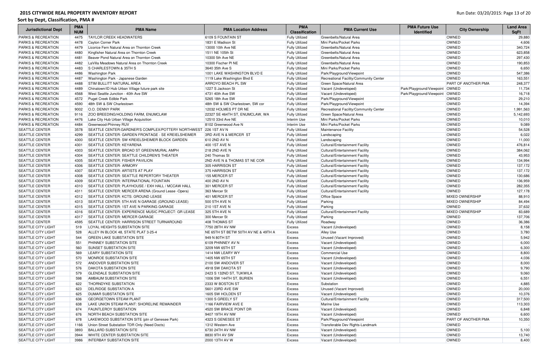| <b>Jurisdictional Dept</b>    | <b>PMA</b><br><b>NUM</b> | <b>PMA Name</b>                                                  | <b>PMA Location Address</b>             | <b>PMA</b><br><b>Classification</b> | <b>PMA Current Use</b>                 | <b>PMA Future Use</b><br><b>Identified</b> | <b>City Ownership</b>  | <b>Land Area</b><br><b>SqFt</b> |
|-------------------------------|--------------------------|------------------------------------------------------------------|-----------------------------------------|-------------------------------------|----------------------------------------|--------------------------------------------|------------------------|---------------------------------|
| <b>PARKS &amp; RECREATION</b> | 4475                     | <b>TAYLOR CREEK HEADWATERS</b>                                   | 6109 S FOUNTAIN ST                      | <b>Fully Utilized</b>               | Greenbelts/Natural Area                |                                            | OWNED                  | 29,880                          |
| <b>PARKS &amp; RECREATION</b> | 4478                     | Cayton Corner Park                                               | 1831 E Madison St                       | <b>Fully Utilized</b>               | Mini Parks/Pocket Parks                |                                            | OWNED                  | 4,606                           |
| <b>PARKS &amp; RECREATION</b> | 4479                     | Licorice Fern Natural Area on Thornton Creek                     | 13000 10th Ave NE                       | <b>Fully Utilized</b>               | Greenbelts/Natural Area                |                                            | OWNED                  | 340,724                         |
| <b>PARKS &amp; RECREATION</b> | 4480                     | Kingfisher Natural Area on Thornton Creek                        | 1511 NE 105th St                        | <b>Fully Utilized</b>               | Greenbelts/Natural Area                |                                            | OWNED                  | 623,858                         |
| <b>PARKS &amp; RECREATION</b> | 4481                     | Beaver Pond Natural Area on Thornton Creek                       | 10300 5th Ave NE                        | <b>Fully Utilized</b>               | Greenbelts/Natural Area                |                                            | OWNED                  | 297,430                         |
| <b>PARKS &amp; RECREATION</b> | 4482                     | LaVilla Meadows Natural Area on Thornton Creek                   | 10300 Fischer PINE                      | <b>Fully Utilized</b>               | Greenbelts/Natural Area                |                                            | OWNED                  | 190,853                         |
| <b>PARKS &amp; RECREATION</b> | 4483                     | <b>S CHARLESTOWN &amp; 35TH S</b>                                | 3640 35th Ave S                         | <b>Fully Utilized</b>               | Mini Parks/Pocket Parks                |                                            | OWNED                  | 6,650                           |
| <b>PARKS &amp; RECREATION</b> | 4486                     | <b>Washington Park</b>                                           | 1001 LAKE WASHINGTON BLVD E             | <b>Fully Utilized</b>               | Park/Playground/Viewpoint              |                                            | OWNED                  | 547,386                         |
| <b>PARKS &amp; RECREATION</b> | 4487                     | Washington Park - Japanese Garden                                | 1119 Lake Washington Blvd E             | <b>Fully Utilized</b>               | Recreational Facility/Community Center |                                            | OWNED                  | 163,551                         |
| <b>PARKS &amp; RECREATION</b> | 4488                     | <b>STIM BULLITT NATURAL AREA</b>                                 | <b>ARROYO BEACH PL SW</b>               | <b>Fully Utilized</b>               | Green Space/Natural Area               |                                            | PART OF ANOTHER PMA    | 248,377                         |
| <b>PARKS &amp; RECREATION</b> | 4489                     | Chinatown/ID Hub Urban Village future park site                  | 1227 S Jackson St                       | <b>Fully Utilized</b>               | Vacant (Undeveloped)                   | Park/Playground/Viewpoint                  | OWNED                  | 11,734                          |
| <b>PARKS &amp; RECREATION</b> | 4568                     | West Seattle Junction - 40th Ave SW                              | 4731 40th Ave SW                        | <b>Fully Utilized</b>               | Vacant (Undeveloped)                   | Park/Playground/Viewpoint                  | OWNED                  | 16,718                          |
| <b>PARKS &amp; RECREATION</b> | 4572                     | Puget Creek Edible Park                                          | 5265 18th Ave SW                        | <b>Fully Utilized</b>               | Park/Playground/Viewpoint              |                                            | OWNED                  | 29,210                          |
| <b>PARKS &amp; RECREATION</b> | 4590                     | 48th SW & SW Charlestown                                         | 48th SW & SW Charlestown, SW cor        | <b>Fully Utilized</b>               | Park/Playground/Viewpoint              |                                            | OWNED                  | 14,394                          |
| <b>PARKS &amp; RECREATION</b> | 9002                     | O.O. DENNY PARK                                                  | 12032 HOLMES PT DR NE                   | <b>Fully Utilized</b>               | Recreational Facility/Community Center |                                            | OWNED                  | 1,991,563                       |
| <b>PARKS &amp; RECREATION</b> | 9116                     | <b>ZOO BREEDING/HOLDING FARM, ENUMCLAW</b>                       | 22327 SE 464TH ST, ENUMCLAW, WA         | <b>Fully Utilized</b>               | Green Space/Natural Area               |                                            | OWNED                  | 5,142,693                       |
| <b>PARKS &amp; RECREATION</b> | 4476                     | Lake City Hub Urban Village Acquisition                          | 12510 33rd Ave NE                       | Interim Use                         | Mini Parks/Pocket Parks                |                                            | OWNED                  | 10,010                          |
| <b>PARKS &amp; RECREATION</b> | 4484                     | Greenwood-Phinney RUV                                            | 8102 Greenwood Ave N                    | Interim Use                         | Mini Parks/Pocket Parks                |                                            | OWNED                  | 9,089                           |
| <b>SEATTLE CENTER</b>         | 3578                     | SEATTLE CENTER: GARDNER'S COMPLEX/POTTERY NORTHWEST 226 1ST AV N |                                         | <b>Fully Utilized</b>               | Maintenance Facility                   |                                            | OWNED                  | 54,528                          |
| <b>SEATTLE CENTER</b>         | 4299                     | SEATTLE CENTER: GARDEN FRONTAGE - SE KREIELSHEIMER               | 3RD AVE N & MERCER ST                   | <b>Fully Utilized</b>               | Landscaping                            |                                            | OWNED                  | 6,022                           |
| <b>SEATTLE CENTER</b>         | 4300                     | SEATTLE CENTER: SW KREIELSHEIMER BLOCK GARDEN                    | 610 2ND AV N                            | <b>Fully Utilized</b>               | Landscaping                            |                                            | OWNED                  | 11,000                          |
| <b>SEATTLE CENTER</b>         | 4301                     | <b>SEATTLE CENTER: KEYARENA</b>                                  | 400 1ST AVE N                           | <b>Fully Utilized</b>               | Cultural/Entertainment Facility        |                                            | OWNED                  | 476,814                         |
| <b>SEATTLE CENTER</b>         | 4303                     | SEATTLE CENTER: BROAD ST GREEN/MURAL AMPH                        | 218 2ND AVE N                           | <b>Fully Utilized</b>               | Cultural/Entertainment Facility        |                                            | OWNED                  | 384,062                         |
| <b>SEATTLE CENTER</b>         | 4304                     | <b>SEATTLE CENTER: SEATTLE CHILDREN'S THEATER</b>                | 240 Thomas St                           | <b>Fully Utilized</b>               | Cultural/Entertainment Facility        |                                            | OWNED                  | 43,953                          |
| <b>SEATTLE CENTER</b>         | 4305                     | <b>SEATTLE CENTER: FISHER PAVILION</b>                           | <b>2ND AVE N &amp; THOMAS ST NE COR</b> | <b>Fully Utilized</b>               | Cultural/Entertainment Facility        |                                            | OWNED                  | 134,994                         |
| <b>SEATTLE CENTER</b>         | 4306                     | <b>SEATTLE CENTER- ARMORY</b>                                    | 305 HARRISON ST                         | <b>Fully Utilized</b>               | Cultural/Entertainment Facility        |                                            | OWNED                  | 137,172                         |
| <b>SEATTLE CENTER</b>         | 4307                     | <b>SEATTLE CENTER: ARTISTS AT PLAY</b>                           | 375 HARRISON ST                         | <b>Fully Utilized</b>               | Cultural/Entertainment Facility        |                                            | OWNED                  | 137,172                         |
| <b>SEATTLE CENTER</b>         | 4308                     | <b>SEATTLE CENTER: SEATTLE REPERTORY THEATER</b>                 | 155 MERCER ST                           | <b>Fully Utilized</b>               | Cultural/Entertainment Facility        |                                            | OWNED                  | 130,686                         |
| <b>SEATTLE CENTER</b>         | 4309                     | <b>SEATTLE CENTER: INTERNATIONAL FOUNTAIN</b>                    | 400 2ND AV N                            | <b>Fully Utilized</b>               | Cultural/Entertainment Facility        |                                            | OWNED                  | 136,959                         |
| <b>SEATTLE CENTER</b>         | 4310                     | SEATTLE CENTER: PLAYHOUSE / EXH HALL / MCCAW HALL                | 301 MERCER ST                           | <b>Fully Utilized</b>               | Cultural/Entertainment Facility        |                                            | OWNED                  | 282,355                         |
| <b>SEATTLE CENTER</b>         | 4311                     | SEATTLE CENTER: MERCER ARENA (Ground Lease -Opera)               | 363 Mercer St                           | <b>Fully Utilized</b>               | Cultural/Entertainment Facility        |                                            | OWNED                  | 127,178                         |
| <b>SEATTLE CENTER</b>         | 4312                     | SEATTLE CENTER: KCTS: GROUND LEASE                               | 401 MERCER ST                           | <b>Fully Utilized</b>               | <b>Office Space</b>                    |                                            | MIXED OWNERSHIP        | 88,910                          |
| <b>SEATTLE CENTER</b>         | 4313                     | SEATTLE CENTER: 5TH AVE N GARAGE (GROUND LEASE)                  | 500 5TH AVE N                           | <b>Fully Utilized</b>               | Parking                                |                                            | MIXED OWNERSHIP        | 84,494                          |
| <b>SEATTLE CENTER</b>         | 4315                     | SEATTLE CENTER: 1ST AVE N PARKING GARAGE                         | <b>210 1ST AVE N</b>                    | <b>Fully Utilized</b>               | Parking                                |                                            | <b>OWNED</b>           | 37,632                          |
| <b>SEATTLE CENTER</b>         | 4316                     | SEATTLE CENTER: EXPERIENCE MUSIC PROJECT: GR LEASE               | 325 5TH AVE N                           | <b>Fully Utilized</b>               | Cultural/Entertainment Facility        |                                            | <b>MIXED OWNERSHIP</b> | 83,689                          |
| <b>SEATTLE CENTER</b>         | 4317                     | SEATTLE CENTER: MERCER GARAGE                                    | 300 Mercer St                           | <b>Fully Utilized</b>               | Parking                                |                                            | OWNED                  | 137,706                         |
| <b>SEATTLE CENTER</b>         | 4595                     | SEATTLE CENTER: HARRISON STREET TURNAROUND                       | 408 THOMAS ST                           | <b>Fully Utilized</b>               | Roadway                                |                                            | OWNED                  | 36,386                          |
| <b>SEATTLE CITY LIGHT</b>     | 519                      | <b>LOYAL HEIGHTS SUBSTATION SITE</b>                             | 7750 28TH AV NW                         | <b>Excess</b>                       | Vacant (Undeveloped)                   |                                            | OWNED                  | 8,158                           |
| <b>SEATTLE CITY LIGHT</b>     | 528                      | ALLEY IN BLOCK 48, STATE PLAT 3-25-4                             | NE 65TH ST BETW 50TH AV NE & 49TH A     | <b>Excess</b>                       | <b>Alley Use</b>                       |                                            | OWNED                  | 3,780                           |
| <b>SEATTLE CITY LIGHT</b>     | 544                      | <b>GREEN LAKE SUBSTATION SITE</b>                                | 949 N 80TH ST                           | <b>Excess</b>                       | Unused (Vacant Improved)               |                                            | OWNED                  | 5,942                           |
| <b>SEATTLE CITY LIGHT</b>     | 551                      | <b>PHINNEY SUBSTATION SITE</b>                                   | 6109 PHINNEY AV N                       | <b>Excess</b>                       | Vacant (Undeveloped)                   |                                            | OWNED                  | 6,000                           |
| <b>SEATTLE CITY LIGHT</b>     | 560                      | SUNSET SUBSTATION SITE                                           | 3209 NW 65TH ST                         | <b>Excess</b>                       | Vacant (Undeveloped)                   |                                            | OWNED                  | 6,300                           |
| <b>SEATTLE CITY LIGHT</b>     | 569                      | LEARY SUBSTATION SITE                                            | 1414 NW LEARY WY                        | <b>Excess</b>                       | Commercial Use                         |                                            | OWNED                  | 8,800                           |
| <b>SEATTLE CITY LIGHT</b>     | 570                      | MONROE SUBSTATION SITE                                           | 1405 NW 65TH ST                         | <b>Excess</b>                       | Vacant (Undeveloped)                   |                                            | OWNED                  | 4,036                           |
| <b>SEATTLE CITY LIGHT</b>     | 572                      | ANDOVER SUBSTATION SITE                                          | 2100 SW ANDOVER ST                      | <b>Excess</b>                       | Vacant (Undeveloped)                   |                                            | OWNED                  | 8,000                           |
| <b>SEATTLE CITY LIGHT</b>     | 576                      | <b>DAKOTA SUBSTATION SITE</b>                                    | 4918 SW DAKOTA ST                       | <b>Excess</b>                       | Vacant (Undeveloped)                   |                                            | OWNED                  | 9,790                           |
| <b>SEATTLE CITY LIGHT</b>     | 579                      | <b>GLENDALE SUBSTATION SITE</b>                                  | 2423 S 132ND ST, TUKWILA                | <b>Excess</b>                       | Vacant (Undeveloped)                   |                                            | OWNED                  | 9,060                           |
| <b>SEATTLE CITY LIGHT</b>     | 598                      | AMBAUM SUBSTATION SITE                                           | 1006 SW 144TH ST, BURIEN                | <b>Excess</b>                       | Vacant (Undeveloped)                   |                                            | OWNED                  | 6,551                           |
| <b>SEATTLE CITY LIGHT</b>     | 622                      | <b>THORNDYKE SUBSTATION</b>                                      | 2333 W BOSTON ST                        | <b>Excess</b>                       | Substation                             |                                            | OWNED                  | 4,885                           |
| <b>SEATTLE CITY LIGHT</b>     | 623                      | <b>DELRIDGE SUBSTATION A</b>                                     | 5601 23RD AVE SW                        | <b>Excess</b>                       | Unused (Vacant Improved)               |                                            | OWNED                  | 20,000                          |
|                               |                          | <b>DUMAR SUBSTATION SITE</b>                                     |                                         |                                     |                                        |                                            | OWNED                  |                                 |
| <b>SEATTLE CITY LIGHT</b>     | 625                      |                                                                  | 1605 SW HOLDEN ST                       | <b>Excess</b>                       | Vacant (Undeveloped)                   |                                            |                        | 10,376                          |
| <b>SEATTLE CITY LIGHT</b>     | 636                      | <b>GEORGETOWN STEAM PLANT</b>                                    | 1300 S GREELY ST                        | <b>Excess</b>                       | Cultural/Entertainment Facility        |                                            | OWNED                  | 317,500                         |
| <b>SEATTLE CITY LIGHT</b>     | 638                      | LAKE UNION STEAM PLANT: SHORELINE REMAINDER                      | 1166 FAIRVIEW AVE E                     | <b>Excess</b>                       | Marine Use                             |                                            | OWNED                  | 113,303                         |
| <b>SEATTLE CITY LIGHT</b>     | 674                      | <b>FAUNTLEROY SUBSTATION</b>                                     | 4520 SW BRACE POINT DR                  | <b>Excess</b>                       | Vacant (Undeveloped)                   |                                            | OWNED                  | 6,848                           |
| <b>SEATTLE CITY LIGHT</b>     | 676                      | NORTH BEACH SUBSTATION SITE                                      | 9407 19TH AV NW                         | <b>Excess</b>                       | Vacant (Undeveloped)                   |                                            | OWNED                  | 6,600                           |
| <b>SEATTLE CITY LIGHT</b>     | 678                      | LAKEWOOD SUBSTATION SITE (ptn of Genesee Park)                   | 4323 S GENESEE ST                       | <b>Excess</b>                       | Park/Playground/Viewpoint              |                                            | PART OF ANOTHER PMA    | 10,350                          |
| <b>SEATTLE CITY LIGHT</b>     | 1166                     | Union Street Substation TDR Only (Need Docts)                    | 1312 Western Ave                        | <b>Excess</b>                       | Transferable Dev Rights-Landmark       |                                            | OWNED                  |                                 |
| <b>SEATTLE CITY LIGHT</b>     | 3893                     | <b>BALLARD SUBSTATION SITE</b>                                   | 6730 24TH AV NW                         | <b>Excess</b>                       | Vacant (Undeveloped)                   |                                            | OWNED                  | 5,100                           |
| <b>SEATTLE CITY LIGHT</b>     | 3944                     | WHITE CENTER SUBSTATION SITE                                     | 8830 9TH AV SW                          | <b>Excess</b>                       | Vacant (Undeveloped)                   |                                            | OWNED                  | 13,740                          |
| <b>SEATTLE CITY LIGHT</b>     | 3986                     | <b>INTERBAY SUBSTATION SITE</b>                                  | 2000 13TH AV W                          | <b>Excess</b>                       | Vacant (Undeveloped)                   |                                            | OWNED                  | 8,400                           |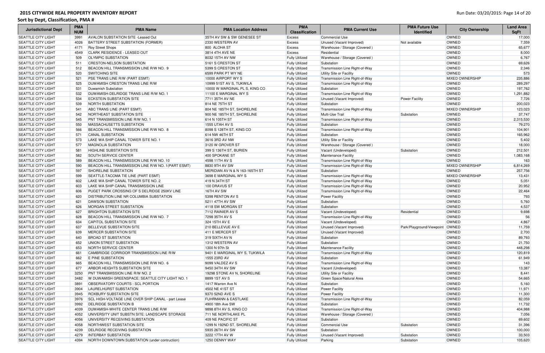| <b>Jurisdictional Dept</b> | <b>PMA</b><br><b>NUM</b> | <b>PMA Name</b>                                     | <b>PMA Location Address</b>    | <b>PMA</b><br><b>Classification</b> | <b>PMA Current Use</b>         | <b>PMA Future Use</b><br><b>Identified</b> | <b>City Ownership</b>  | <b>Land Area</b><br><b>SqFt</b> |
|----------------------------|--------------------------|-----------------------------------------------------|--------------------------------|-------------------------------------|--------------------------------|--------------------------------------------|------------------------|---------------------------------|
| <b>SEATTLE CITY LIGHT</b>  | 3991                     | AVALON SUBSTATION SITE - Leased Out                 | 35TH AV SW & SW GENESEE ST     | Excess                              | <b>Commercial Use</b>          |                                            | <b>OWNED</b>           | 17,000                          |
| <b>SEATTLE CITY LIGHT</b>  | 4026                     | BATTERY STREET SUBSTATION (FORMER)                  | 2330 WESTERN AV                | <b>Excess</b>                       | Unused (Vacant Improved)       | Not available                              | OWNED                  | 7,359                           |
| <b>SEATTLE CITY LIGHT</b>  | 4171                     | <b>Roy Street Shops</b>                             | 800 ALOHA ST                   | <b>Excess</b>                       | Warehouse / Storage (Covered)  |                                            | OWNED                  | 65,677                          |
| <b>SEATTLE CITY LIGHT</b>  | 4549                     | <b>CLARK RESIDENCE - LEASED OUT</b>                 | 3814 4TH AVE NE                | <b>Excess</b>                       | Residential                    |                                            | <b>OWNED</b>           | 8,000                           |
| <b>SEATTLE CITY LIGHT</b>  | 509                      | <b>OLYMPIC SUBSTATION</b>                           | 8032 15TH AV NW                | <b>Fully Utilized</b>               | Warehouse / Storage (Covered)  |                                            | <b>OWNED</b>           | 6,767                           |
| <b>SEATTLE CITY LIGHT</b>  | 511                      | <b>CRESTON-NELSON SUBSTATION</b>                    | 5161 S CRESTON ST              | <b>Fully Utilized</b>               | Substation                     |                                            | <b>OWNED</b>           | 69,626                          |
| <b>SEATTLE CITY LIGHT</b>  | 512                      | BEACON HILL TRANSMISSION LINE R/W NO. 9             | 5399 S CRESTON ST              | <b>Fully Utilized</b>               | Transmission Line Right-of-Way |                                            | <b>OWNED</b>           | 2,346                           |
| <b>SEATTLE CITY LIGHT</b>  | 520                      | SWITCHING SITE                                      | 6599 PARK PT WY NE             | <b>Fully Utilized</b>               | Utility Site or Facility       |                                            | OWNED                  | 573                             |
| <b>SEATTLE CITY LIGHT</b>  | 521                      | PSE TRANS LINE R/W (PART ESMT)                      | 10000 AIRPORT WY S             | <b>Fully Utilized</b>               | Transmission Line Right-of-Way |                                            | <b>MIXED OWNERSHIP</b> | 235,886                         |
| <b>SEATTLE CITY LIGHT</b>  | 525                      | <b>DUWAMISH CRESTON TRANS LINE R/W</b>              | 10999 51ST AV S. TUKWILA       | <b>Fully Utilized</b>               | Transmission Line Right-of-Way |                                            | <b>OWNED</b>           | 289,297                         |
| <b>SEATTLE CITY LIGHT</b>  | 531                      | Duwamish Substation                                 | 10000 W MARGINAL PL S, KING CO | <b>Fully Utilized</b>               | Substation                     |                                            | OWNED                  | 197,762                         |
| <b>SEATTLE CITY LIGHT</b>  | 532                      | DUWAMISH-DELRIDGE TRANS LINE R/W NO.                | 11100 E MARGINAL WY S          | <b>Fully Utilized</b>               | Transmission Line Right-of-Way |                                            | OWNED                  | 1,291,882                       |
| <b>SEATTLE CITY LIGHT</b>  | 534                      | <b>ECKSTEIN SUBSTATION SITE</b>                     | 7711 35TH AV NE                | <b>Fully Utilized</b>               | Unused (Vacant Improved)       | <b>Power Facility</b>                      | OWNED                  | 7,726                           |
| <b>SEATTLE CITY LIGHT</b>  | 539                      | NORTH SUBSTATION                                    | 814 NE 75TH ST                 | <b>Fully Utilized</b>               | Substation                     |                                            | <b>OWNED</b>           | 200,023                         |
| <b>SEATTLE CITY LIGHT</b>  | 541                      | ABC TRANS LINE (PART ESMT)                          | 804 NE 185TH ST, SHORELINE     | <b>Fully Utilized</b>               | Transmission Line Right-of-Way |                                            | <b>MIXED OWNERSHIP</b> | 123,023                         |
| <b>SEATTLE CITY LIGHT</b>  | 542                      | NORTHEAST SUBSTATION SITE                           | 900 NE 185TH ST, SHORELINE     | <b>Fully Utilized</b>               | Multi-Use Trail                | Substation                                 | <b>OWNED</b>           | 37,747                          |
| <b>SEATTLE CITY LIGHT</b>  | 545                      | <b>PNT TRANSMISSION LINE R/W NO. 1</b>              | 614 N 105TH ST                 | <b>Fully Utilized</b>               | Transmission Line Right-of-Way |                                            | <b>OWNED</b>           | 2,315,530                       |
| <b>SEATTLE CITY LIGHT</b>  | 550                      | MASSACHUSETTS SUBSTATION                            | <b>1555 UTAH AV S</b>          | <b>Fully Utilized</b>               | Substation                     |                                            | OWNED                  | 79,270                          |
| <b>SEATTLE CITY LIGHT</b>  | 566                      | BEACON HILL TRANSMISSION LINE R/W NO. 8             | 8098 S 128TH ST, KING CO       | <b>Fully Utilized</b>               | Transmission Line Right-of-Way |                                            | OWNED                  | 104,901                         |
| <b>SEATTLE CITY LIGHT</b>  | 571                      | <b>CANAL SUBSTATION</b>                             | 614 NW 46TH ST                 | <b>Fully Utilized</b>               | Substation                     |                                            | OWNED                  | 165,962                         |
| <b>SEATTLE CITY LIGHT</b>  | 573                      | LAKE WA SHIP CANAL TOWER SITE NO. 1                 | 3616 3RD AV NW                 | <b>Fully Utilized</b>               | Utility Site or Facility       |                                            | OWNED                  | 5,402                           |
| <b>SEATTLE CITY LIGHT</b>  | 577                      | <b>MAGNOLIA SUBSTATION</b>                          | 3120 W GROVER ST               | <b>Fully Utilized</b>               | Warehouse / Storage (Covered)  |                                            | OWNED                  | 18,000                          |
| <b>SEATTLE CITY LIGHT</b>  | 581                      | <b>HIGHLINE SUBSTATION SITE</b>                     | 399 S 136TH ST, BURIEN         | <b>Fully Utilized</b>               | Vacant (Undeveloped)           | Substation                                 | OWNED                  | 212,501                         |
| <b>SEATTLE CITY LIGHT</b>  | 582                      | <b>SOUTH SERVICE CENTER</b>                         | 400 SPOKANE ST                 | <b>Fully Utilized</b>               | Maintenance Facility           |                                            | OWNED                  | 1,083,168                       |
| <b>SEATTLE CITY LIGHT</b>  | 589                      | BEACON HILL TRANSMISSION LINE R/W NO. 10            | 4598 11TH AV S                 | <b>Fully Utilized</b>               | Transmission Line Right-of-Way |                                            | OWNED                  | 163                             |
| <b>SEATTLE CITY LIGHT</b>  | 590                      | BEACON HILL TRANSMISSION LINE R/W NO. 1 (PART ESMT) | 8830 9TH AV SW                 | <b>Fully Utilized</b>               | Transmission Line Right-of-Way |                                            | <b>MIXED OWNERSHIP</b> | 6,814,269                       |
| <b>SEATTLE CITY LIGHT</b>  | 597                      | SHORELINE SUBSTATION                                | MERIDIAN AV N & N 163-165TH ST | <b>Fully Utilized</b>               | Substation                     |                                            | <b>OWNED</b>           | 257,756                         |
| <b>SEATTLE CITY LIGHT</b>  | 599                      | SEATTLE-TACOMA TIE LINE (PART ESMT)                 | 3698 E MARGINAL WY S           | <b>Fully Utilized</b>               | Transmission Line Right-of-Way |                                            | <b>MIXED OWNERSHIP</b> | 13,431                          |
| <b>SEATTLE CITY LIGHT</b>  | 602                      | LAKE WA SHIP CANAL TOWER SITE NO. 2                 | 419 N 34TH ST                  | <b>Fully Utilized</b>               | Transmission Line Right-of-Way |                                            | <b>OWNED</b>           | 5,051                           |
| <b>SEATTLE CITY LIGHT</b>  | 603                      | LAKE WA SHIP CANAL TRANSMISSION LINE                | 100 DRAVUS ST                  | <b>Fully Utilized</b>               | Transmission Line Right-of-Way |                                            | <b>OWNED</b>           | 20,952                          |
| <b>SEATTLE CITY LIGHT</b>  | 606                      | <b>PUGET PARK CROSSING OF S DELRIDGE 250KV LINE</b> | 16TH AV SW                     | <b>Fully Utilized</b>               | Transmission Line Right-of-Way |                                            | <b>OWNED</b>           | 22,464                          |
| <b>SEATTLE CITY LIGHT</b>  | 620                      | <b>DISTRIBUTION LINE NR COLUMBIA SUBSTATION</b>     | 5398 RENTON AV S               | <b>Fully Utilized</b>               | <b>Power Facility</b>          |                                            | <b>OWNED</b>           | 793                             |
| <b>SEATTLE CITY LIGHT</b>  | 621                      | <b>DAWSON SUBSTATION</b>                            | 5211 47TH AV SW                | <b>Fully Utilized</b>               | Substation                     |                                            | OWNED                  | 5,760                           |
| <b>SEATTLE CITY LIGHT</b>  | 626                      | MORGAN STREET SUBSTATION                            | 4118 SW MORGAN ST              | <b>Fully Utilized</b>               | Substation                     |                                            | OWNED                  | 4,537                           |
| <b>SEATTLE CITY LIGHT</b>  | 627                      | <b>BRIGHTON SUBSTATION SITE</b>                     | 7112 RAINIER AV S              | <b>Fully Utilized</b>               | Vacant (Undeveloped)           | Residential                                | OWNED                  | 9,698                           |
| <b>SEATTLE CITY LIGHT</b>  | 628                      | BEACON HILL TRANSMISSION LINE R/W NO. 7             | 7298 35TH AV S                 | <b>Fully Utilized</b>               | Transmission Line Right-of-Way |                                            | OWNED                  | 56                              |
| <b>SEATTLE CITY LIGHT</b>  | 634                      | CAPITOL SUBSTATION SITE                             | 324 15TH AV E                  | <b>Fully Utilized</b>               | Vacant (Undeveloped)           |                                            | <b>OWNED</b>           | 4,867                           |
| <b>SEATTLE CITY LIGHT</b>  | 637                      | <b>BELLEVUE SUBSTATION SITE</b>                     | 210 BELLEVUE AV E              | <b>Fully Utilized</b>               | Unused (Vacant Improved)       | Park/Playground/Viewpoint OWNED            |                        | 11,759                          |
| <b>SEATTLE CITY LIGHT</b>  | 639                      | MERCER SUBSTATION SITE                              | 411 E MERCER ST                | <b>Fully Utilized</b>               | Unused (Vacant Improved)       |                                            | OWNED                  | 2,700                           |
| <b>SEATTLE CITY LIGHT</b>  | 640                      | <b>BROAD ST SUBSTATION</b>                          | 319 SIXTH AV N                 | <b>Fully Utilized</b>               | Substation                     |                                            | OWNED                  | 89,793                          |
| <b>SEATTLE CITY LIGHT</b>  | 652                      | UNION STREET SUBSTATION                             | 1312 WESTERN AV                | <b>Fully Utilized</b>               | Substation                     |                                            | OWNED                  | 21,750                          |
| <b>SEATTLE CITY LIGHT</b>  | 653                      | NORTH SERVICE CENTER                                | 1300 N 97th St                 | <b>Fully Utilized</b>               | Maintenance Facility           |                                            | <b>OWNED</b>           | 448,298                         |
| <b>SEATTLE CITY LIGHT</b>  | 661                      | CAMBRIDGE CORRIDOR TRANSMISSION LINE R/W            | 9401 E MARGINAL WY S, TUKWILA  | <b>Fully Utilized</b>               | Transmission Line Right-of-Way |                                            | OWNED                  | 120,819                         |
| <b>SEATTLE CITY LIGHT</b>  | 662                      | E PINE SUBSTATION                                   | 1555 23RD AV                   | <b>Fully Utilized</b>               | Substation                     |                                            | OWNED                  | 61,949                          |
| <b>SEATTLE CITY LIGHT</b>  | 665                      | BEACON HILL TRANSMISSION LINE R/W NO. 6             | 9099 VALDEZ AV S               | <b>Fully Utilized</b>               | Transmission Line Right-of-Way |                                            | OWNED                  | 143                             |
| <b>SEATTLE CITY LIGHT</b>  | 677                      | ARBOR HEIGHTS SUBSTATION SITE                       | 9450 34TH AV SW                | <b>Fully Utilized</b>               | Vacant (Undeveloped)           |                                            | OWNED                  | 13,387                          |
| <b>SEATTLE CITY LIGHT</b>  | 3250                     | PNT TRANSMISSION LINE R/W NO. 2                     | 19298 STONE AV N, SHORELINE    | <b>Fully Utilized</b>               | Utility Site or Facility       |                                            | OWNED                  | 8,441                           |
| <b>SEATTLE CITY LIGHT</b>  | 3482                     | W DUWAMISH GREENSPACE: SEATTLE CITY LIGHT NO. 1     | 8899 1ST AV S                  | <b>Fully Utilized</b>               | Green Space/Natural Area       |                                            | OWNED                  | 54,665                          |
| <b>SEATTLE CITY LIGHT</b>  | 3891                     | <b>OBSERVATORY COURTS: SCL PORTION</b>              | 1417 Warren Ave N              | <b>Fully Utilized</b>               | Substation                     |                                            | OWNED                  | 5,160                           |
| <b>SEATTLE CITY LIGHT</b>  | 3904                     | LAURELHURST SUBSTATION                              | 4502 NE 41ST ST                | <b>Fully Utilized</b>               | <b>Power Facility</b>          |                                            | OWNED                  | 11,971                          |
| <b>SEATTLE CITY LIGHT</b>  | 3945                     | <b>ROXBURY SUBSTATION SITE</b>                      | 9370 52ND AVE S                | <b>Fully Utilized</b>               | <b>Power Facility</b>          |                                            | <b>OWNED</b>           | 11,300                          |
| <b>SEATTLE CITY LIGHT</b>  | 3976                     | SCL HIGH-VOLTAGE LINE OVER SHIP CANAL - part Lease  | <b>FUHRMANN &amp; EASTLAKE</b> | <b>Fully Utilized</b>               | Transmission Line Right-of-Way |                                            | OWNED                  | 82,059                          |
| <b>SEATTLE CITY LIGHT</b>  | 3992                     | <b>DELRIDGE SUBSTATION B</b>                        | 4900 18th Ave SW               | <b>Fully Utilized</b>               | Substation                     |                                            | OWNED                  | 11,732                          |
| <b>SEATTLE CITY LIGHT</b>  | 4039                     | DUWAMISH-WHITE CENTER TRANS LINE R/W                | 9898 8TH AV S, KING CO         | <b>Fully Utilized</b>               | Transmission Line Right-of-Way |                                            | <b>OWNED</b>           | 404,988                         |
| <b>SEATTLE CITY LIGHT</b>  | 4052                     | UNIVERSITY UNIT SUBSTN SITE: LANDSCAPE STORAGE      | 711 NE NORTHLAKE PL            | <b>Fully Utilized</b>               | Warehouse / Storage (Covered)  |                                            | <b>OWNED</b>           | 7,056                           |
| <b>SEATTLE CITY LIGHT</b>  | 4056                     | UNIVERSITY RECEIVING SUBSTATION                     | 409 NE PACIFIC ST              | <b>Fully Utilized</b>               | Substation                     |                                            | OWNED                  | 69,602                          |
| <b>SEATTLE CITY LIGHT</b>  | 4058                     | NORTHWEST SUBSTATION SITE                           | 1299 N 192ND ST, SHORELINE     | <b>Fully Utilized</b>               | <b>Commercial Use</b>          | Substation                                 | <b>OWNED</b>           | 31,396                          |
| <b>SEATTLE CITY LIGHT</b>  | 4239                     | <b>DELRIDGE RECEIVING SUBSTATION</b>                | 5935 26TH AV SW                | <b>Fully Utilized</b>               | Substation                     |                                            | OWNED                  | 100,000                         |
| <b>SEATTLE CITY LIGHT</b>  | 4279                     | <b>INTERBAY SUBSTATION</b>                          | 3222 17TH AV W                 | <b>Fully Utilized</b>               | Unused (Vacant Improved)       | Substation                                 | OWNED                  | 33,503                          |
| <b>SEATTLE CITY LIGHT</b>  | 4394                     | NORTH DOWNTOWN SUBSTATION (under contruction)       | 1250 DENNY WAY                 | <b>Fully Utilized</b>               | Parking                        | Substation                                 | OWNED                  | 105,620                         |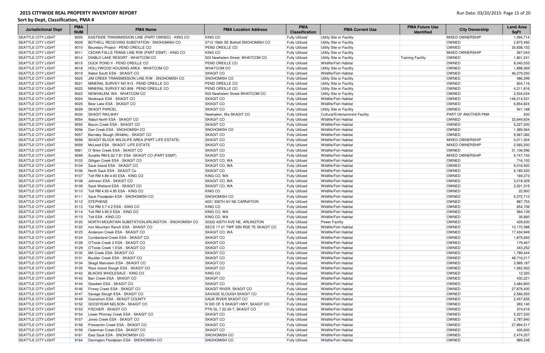| <b>Jurisdictional Dept</b>                             | <b>PMA</b><br><b>NUM</b> | <b>PMA Name</b>                                              | <b>PMA Location Address</b>          | <b>PMA</b><br><b>Classification</b>            | <b>PMA Current Use</b>                         | <b>PMA Future Use</b><br><b>Identified</b> | <b>City Ownership</b>      | <b>Land Area</b><br><b>SqFt</b> |
|--------------------------------------------------------|--------------------------|--------------------------------------------------------------|--------------------------------------|------------------------------------------------|------------------------------------------------|--------------------------------------------|----------------------------|---------------------------------|
| SEATTLE CITY LIGHT                                     | 9005                     | EASTSIDE TRANSMISSION LINE (PART OWNED) - KING CO            | <b>KING CO</b>                       | <b>Fully Utilized</b>                          | Utility Site or Facility                       |                                            | <b>MIXED OWNERSHIP</b>     | 1,094,714                       |
| <b>SEATTLE CITY LIGHT</b>                              | 9009                     | BOTHELL RECEIVING SUBSTATION - SNOHOMISH CO                  | 3712 156th SE Bothell SNOHOMISH CO   | <b>Fully Utilized</b>                          | Utility Site or Facility                       |                                            | <b>OWNED</b>               | 2,873,492                       |
| <b>SEATTLE CITY LIGHT</b>                              | 9010                     | Boundary Project - PEND OREILLE CO                           | <b>PEND OREILLE CO</b>               | <b>Fully Utilized</b>                          | Utility Site or Facility                       |                                            | OWNED                      | 35,838,152                      |
| <b>SEATTLE CITY LIGHT</b>                              | 9011                     | CEDAR FALLS TRANS LINE R/W (PART ESMT) - KING CO             | KING CO                              | <b>Fully Utilized</b>                          | Utility Site or Facility                       |                                            | <b>MIXED OWNERSHIP</b>     | 267,043                         |
| <b>SEATTLE CITY LIGHT</b>                              | 9014                     | <b>DIABLO LAKE RESORT - WHATCOM CO</b>                       | 503 Newhalem Street; WHATCOM CO      | <b>Fully Utilized</b>                          | Utility Site or Facility                       | <b>Training Facility</b>                   | <b>OWNED</b>               | 1,801,241                       |
| <b>SEATTLE CITY LIGHT</b>                              | 9015                     | <b>DUCK POND II - PEND OREILLE CO</b>                        | <b>PEND OREILLE CO</b>               | <b>Fully Utilized</b>                          | Wildlife/Fish Habitat                          |                                            | OWNED                      | 8,040,033                       |
| <b>SEATTLE CITY LIGHT</b>                              | 9018                     | HOLLYWOOD HOUSING AREA - WHATCOM CO                          | <b>WHATCOM CO</b>                    | <b>Fully Utilized</b>                          | Utility Site or Facility                       |                                            | OWNED                      | 1,898,269                       |
| <b>SEATTLE CITY LIGHT</b>                              | 9019                     | Illabot South ESA - SKAGIT CO                                | <b>SKAGIT CO</b>                     | <b>Fully Utilized</b>                          | Wildlife/Fish Habitat                          |                                            | OWNED                      | 46,279,250                      |
| <b>SEATTLE CITY LIGHT</b>                              | 9020                     | JIM CREEK TRANSMISSION LINE R/W - SNOHOMISH CO               | SNOHOMISH CO                         | <b>Fully Utilized</b>                          | Utility Site or Facility                       |                                            | OWNED                      | 486,299                         |
| <b>SEATTLE CITY LIGHT</b>                              | 9021                     | MINERAL SURVEY NO 913 - PEND OREILLE CO                      | <b>PEND OREILLE CO</b>               | <b>Fully Utilized</b>                          | Utility Site or Facility                       |                                            | OWNED                      | 604,116                         |
| <b>SEATTLE CITY LIGHT</b>                              | 9022                     | MINERAL SURVEY NO 808 - PEND OREILLE CO                      | <b>PEND OREILLE CO</b>               | <b>Fully Utilized</b>                          | Utility Site or Facility                       |                                            | OWNED                      | 4,211,816                       |
| <b>SEATTLE CITY LIGHT</b>                              | 9023                     | NEWHALEM, WA - WHATCOM CO                                    | 503 Newhalem Street WHATCOM CO       | <b>Fully Utilized</b>                          | Utility Site or Facility                       |                                            | OWNED                      | 2,504,034                       |
| <b>SEATTLE CITY LIGHT</b>                              | 9024                     | Nooksack ESA - SKAGIT CO                                     | <b>SKAGIT CO</b>                     | <b>Fully Utilized</b>                          | Wildlife/Fish Habitat                          |                                            | OWNED                      | 146,014,531                     |
| <b>SEATTLE CITY LIGHT</b>                              | 9025                     | Bear Lake ESA - SKAGIT CO                                    | <b>SKAGIT CO</b>                     | <b>Fully Utilized</b>                          | Wildlife/Fish Habitat                          |                                            | OWNED                      | 6,854,824                       |
| <b>SEATTLE CITY LIGHT</b>                              | 9029                     | <b>SKAGIT PARCEL</b>                                         | <b>SKAGIT CO</b>                     | <b>Fully Utilized</b>                          | Utility Site or Facility                       |                                            | OWNED                      | 541,168                         |
| <b>SEATTLE CITY LIGHT</b>                              | 9030                     | <b>SKAGIT RAILWAY</b>                                        | Newhalem, Wa SKAGIT CO               | <b>Fully Utilized</b>                          | Cultural/Entertainment Facility                |                                            | <b>PART OF ANOTHER PMA</b> | 200                             |
| <b>SEATTLE CITY LIGHT</b>                              | 9054                     | Illabot North ESA - SKAGIT CO                                | <b>SKAGIT CO</b>                     | <b>Fully Utilized</b>                          | <b>Wildlife/Fish Habitat</b>                   |                                            | <b>OWNED</b>               | 32,649,834                      |
| <b>SEATTLE CITY LIGHT</b>                              | 9055                     | Bacon Creek ESA - SKAGIT CO                                  | <b>SKAGIT CO</b>                     | <b>Fully Utilized</b>                          | Wildlife/Fish Habitat                          |                                            | <b>OWNED</b>               | 5,227,200                       |
| <b>SEATTLE CITY LIGHT</b>                              | 9056                     | Dan Creek ESA - SNOHOMISH CO                                 | SNOHOMISH CO                         | <b>Fully Utilized</b>                          | Wildlife/Fish Habitat                          |                                            | <b>OWNED</b>               | 1,389,564                       |
| <b>SEATTLE CITY LIGHT</b>                              | 9057                     | Barnaby Slough (Wildlife) - SKAGIT CO                        | <b>SKAGIT CO</b>                     | <b>Fully Utilized</b>                          | <b>Wildlife/Fish Habitat</b>                   |                                            | <b>OWNED</b>               | 9,567,082                       |
| <b>SEATTLE CITY LIGHT</b>                              | 9058                     | SKAGIT BLOCK WILDLIFE AREA (PART LIFE ESTATE)                | SKAGIT CO                            | <b>Fully Utilized</b>                          | <b>Wildlife/Fish Habitat</b>                   |                                            | <b>MIXED OWNERSHIP</b>     | 3,011,304                       |
| <b>SEATTLE CITY LIGHT</b>                              | 9059                     | McLeod ESA - SKAGIT: LIFE ESTATE                             | SKAGIT CO                            | <b>Fully Utilized</b>                          | <b>Wildlife/Fish Habitat</b>                   |                                            | <b>MIXED OWNERSHIP</b>     | 2,565,250                       |
| <b>SEATTLE CITY LIGHT</b>                              | 9061                     | O' Brien Creek ESA - SKAGIT CO                               | <b>SKAGIT CO</b>                     | <b>Fully Utilized</b>                          | <b>Wildlife/Fish Habitat</b>                   |                                            | <b>OWNED</b>               | 31,106,596                      |
| <b>SEATTLE CITY LIGHT</b>                              | 9099                     | Suiattle RM 6.32-7.81 ESA -SKAGIT CO (PART ESMT)             | <b>SKAGIT CO</b>                     | <b>Fully Utilized</b>                          | <b>Wildlife/Fish Habitat</b>                   |                                            | <b>MIXED OWNERSHIP</b>     | 5,747,742                       |
| <b>SEATTLE CITY LIGHT</b>                              | 9103                     | Gilligan Creek ESA - SKAGIT CO                               | <b>SKAGIT CO, WA</b>                 | <b>Fully Utilized</b>                          | <b>Wildlife/Fish Habitat</b>                   |                                            | OWNED                      | 716,152                         |
| <b>SEATTLE CITY LIGHT</b>                              | 9104                     | Sauk Island ESA - SKAGIT CO                                  | SKAGIT CO, WA                        | <b>Fully Utilized</b>                          | Wildlife/Fish Habitat                          |                                            | OWNED                      | 9,016,920                       |
| <b>SEATTLE CITY LIGHT</b>                              | 9106                     | North Sauk ESA - SKAGIT Co                                   | <b>SKAGIT CO</b>                     | <b>Fully Utilized</b>                          | Wildlife/Fish Habitat                          |                                            | <b>OWNED</b>               | 6,185,520                       |
| <b>SEATTLE CITY LIGHT</b>                              | 9107                     | Tolt RM 4.89-4.93 ESA - KING CO                              | KING CO, WA                          | <b>Fully Utilized</b>                          | Wildlife/Fish Habitat                          |                                            | OWNED                      | 169,273                         |
| <b>SEATTLE CITY LIGHT</b>                              | 9108                     | Johnson ESA - SKAGIT CO                                      | SKAGIT CO, WA                        | <b>Fully Utilized</b>                          | <b>Wildlife/Fish Habitat</b>                   |                                            | OWNED                      | 3,218,329                       |
| <b>SEATTLE CITY LIGHT</b>                              | 9109                     | Sauk Wetland ESA - SKAGIT CO                                 | SKAGIT CO, WA                        | <b>Fully Utilized</b>                          | <b>Wildlife/Fish Habitat</b>                   |                                            | <b>OWNED</b>               | 3,521,315                       |
| <b>SEATTLE CITY LIGHT</b>                              | 9110                     | Tolt RM 4.93-4.95 ESA - KING CO                              | KING CO                              | <b>Fully Utilized</b>                          | Wildlife/Fish Habitat                          |                                            | OWNED                      | 22,900                          |
| <b>SEATTLE CITY LIGHT</b>                              | 9111                     | Sauk Floodplain ESA - SNOHOMISH CO                           | <b>SNOHOMISH CO</b>                  | <b>Fully Utilized</b>                          | Wildlife/Fish Habitat                          |                                            | OWNED                      | 5,372,710                       |
| <b>SEATTLE CITY LIGHT</b>                              | 9112                     | <b>STEPHENS</b>                                              | 4031 336TH AV NE CARNATION           | <b>Fully Utilized</b>                          | Wildlife/Fish Habitat                          |                                            | OWNED                      | 887,753                         |
| <b>SEATTLE CITY LIGHT</b>                              | 9113                     | Tolt RM 3.7-4.2 ESA - KING CO                                | KING CO                              | <b>Fully Utilized</b>                          | Wildlife/Fish Habitat                          |                                            | OWNED                      | 654,706                         |
| <b>SEATTLE CITY LIGHT</b>                              | 9114                     | Tolt RM 4.95-5 ESA - KING CO                                 | KING CO, WA                          | <b>Fully Utilized</b>                          | Wildlife/Fish Habitat                          |                                            | OWNED                      | 584,139                         |
| <b>SEATTLE CITY LIGHT</b>                              | 9115                     | Tolt ESA - KING CO                                           | KING CO, WA                          | <b>Fully Utilized</b>                          | Wildlife/Fish Habitat                          |                                            | OWNED                      | 35,660                          |
| <b>SEATTLE CITY LIGHT</b>                              |                          | 9120 NORTH MOUNTAIN SUBSTATION, ARLINGTON - SNOHOMISH CO     | 30333 435TH AVE NE, ARLINGTON        | <b>Fully Utilized</b>                          | Power Facility                                 |                                            | OWNED                      | 428,630                         |
| <b>SEATTLE CITY LIGHT</b>                              |                          | 9122   Iron Mountain Ranch ESA - SKAGIT CO                   | SECS 17-21 TWP 35N RGE 7E SKAGIT CO  | <b>Fully Utilized</b>                          | <b>Wildlife/Fish Habitat</b>                   |                                            | OWNED                      | 10,170,388                      |
| <b>SEATTLE CITY LIGHT</b>                              |                          | 9123 Anderson Creek ESA - SKAGIT CO                          | SKAGIT CO, WA                        | <b>Fully Utilized</b>                          | Wildlife/Fish Habitat                          |                                            | OWNED                      | 17,434,949                      |
| <b>SEATTLE CITY LIGHT</b>                              |                          | 9124 Cumberland Creek ESA - SKAGIT CO                        | <b>SKAGIT CO</b>                     | <b>Fully Utilized</b>                          | Wildlife/Fish Habitat                          |                                            | OWNED                      | 1,875,693                       |
| <b>SEATTLE CITY LIGHT</b>                              | 9128                     | O'Toole Creek 2 ESA - SKAGIT CO                              | <b>SKAGIT CO</b>                     | <b>Fully Utilized</b>                          | Wildlife/Fish Habitat                          |                                            | OWNED<br><b>OWNED</b>      | 179,467                         |
| <b>SEATTLE CITY LIGHT</b><br><b>SEATTLE CITY LIGHT</b> | 9129                     | O'Toole Creek 1 ESA - SKAGIT CO<br>Mill Creek ESA- SKAGIT CO | <b>SKAGIT CO</b><br><b>SKAGIT CO</b> | <b>Fully Utilized</b>                          | Wildlife/Fish Habitat<br>Wildlife/Fish Habitat |                                            | OWNED                      | 343,252<br>1,789,444            |
| <b>SEATTLE CITY LIGHT</b>                              | 9130<br>9131             | Boulder Creek ESA - SKAGIT CO                                | <b>SKAGIT CO</b>                     | <b>Fully Utilized</b>                          | <b>Wildlife/Fish Habitat</b>                   |                                            | OWNED                      | 48,716,217                      |
| <b>SEATTLE CITY LIGHT</b>                              | 9134                     | Skagit Mainstem ESA - SKAGIT CO                              | <b>SKAGIT CO</b>                     | <b>Fully Utilized</b>                          | Wildlife/Fish Habitat                          |                                            | OWNED                      | 3,969,187                       |
| <b>SEATTLE CITY LIGHT</b>                              |                          | 9135 Ross Island Slough ESA - SKAGIT CO                      | <b>SKAGIT CO</b>                     | <b>Fully Utilized</b>                          | Wildlife/Fish Habitat                          |                                            | OWNED                      | 1,562,932                       |
| <b>SEATTLE CITY LIGHT</b>                              |                          | 9142 BLACKS WHOLESALE - KING CO                              | KING CO                              | <b>Fully Utilized</b><br><b>Fully Utilized</b> | Wildlife/Fish Habitat                          |                                            | OWNED                      | 12,320                          |
| <b>SEATTLE CITY LIGHT</b>                              |                          | 9143 Barr Creek ESA - SKAGIT CO                              | <b>SKAGIT CO</b>                     | <b>Fully Utilized</b>                          | Wildlife/Fish Habitat                          |                                            | OWNED                      | 430,221                         |
| <b>SEATTLE CITY LIGHT</b>                              | 9144                     | Goodwin ESA - SKAGIT CO                                      | <b>SKAGIT CO</b>                     | <b>Fully Utilized</b>                          | <b>Wildlife/Fish Habitat</b>                   |                                            | <b>OWNED</b>               | 3,484,800                       |
| <b>SEATTLE CITY LIGHT</b>                              | 9146                     | Finney Creek ESA - SKAGIT CO                                 | <b>SKAGIT RIVER, SKAGIT CO</b>       | <b>Fully Utilized</b>                          | Wildlife/Fish Habitat                          |                                            | OWNED                      | 27,878,400                      |
| <b>SEATTLE CITY LIGHT</b>                              | 9147                     | Savage Slough ESA - SKAGIT CO                                | SAVAGE SLOUGH SKAGIT CO              | <b>Fully Utilized</b>                          | Wildlife/Fish Habitat                          |                                            | OWNED                      | 2,566,555                       |
| <b>SEATTLE CITY LIGHT</b>                              | 9149                     | Granstrom ESA - SKAGIT COUNTY                                | <b>SAUK RIVER SKAGIT CO</b>          | <b>Fully Utilized</b>                          | Wildlife/Fish Habitat                          |                                            | OWNED                      | 2,457,655                       |
| <b>SEATTLE CITY LIGHT</b>                              | 9152                     | GOODYEAR NELSON - SKAGIT CO                                  | N SID OF S SKAGIT HWY, SKAGIT CO     | <b>Fully Utilized</b>                          | Wildlife/Fish Habitat                          |                                            | OWNED                      | 283,140                         |
| <b>SEATTLE CITY LIGHT</b>                              | 9153                     | <b>FISCHER - SKAGIT CO</b>                                   | PTN GL 7 22-35-7, SKAGIT CO          | <b>Fully Utilized</b>                          | Wildlife/Fish Habitat                          |                                            | OWNED                      | 374,616                         |
| <b>SEATTLE CITY LIGHT</b>                              | 9154                     | Lower Phinney Creek ESA - SKAGIT CO                          | <b>SKAGIT CO</b>                     | <b>Fully Utilized</b>                          | <b>Wildlife/Fish Habitat</b>                   |                                            | OWNED                      | 5,227,200                       |
| <b>SEATTLE CITY LIGHT</b>                              | 9157                     | Jones Creek ESA - SKAGIT CO                                  | <b>SKAGIT CO</b>                     | <b>Fully Utilized</b>                          | Wildlife/Fish Habitat                          |                                            | OWNED                      | 2,787,840                       |
| <b>SEATTLE CITY LIGHT</b>                              | 9158                     | Pressentin Creek ESA - SKAGIT CO                             | SKAGIT CO                            | <b>Fully Utilized</b>                          | Wildlife/Fish Habitat                          |                                            | OWNED                      | 27,894,517                      |
| <b>SEATTLE CITY LIGHT</b>                              | 9159                     | Osterman Creek ESA - SKAGIT CO                               | <b>SKAGIT CO</b>                     | <b>Fully Utilized</b>                          | Wildlife/Fish Habitat                          |                                            | OWNED                      | 435,600                         |
| <b>SEATTLE CITY LIGHT</b>                              | 9161                     | East Sauk ESA - SNOHOMISH CO                                 | SNOHOMISH CO                         | <b>Fully Utilized</b>                          | Wildlife/Fish Habitat                          |                                            | OWNED                      | 2,474,207                       |
| <b>SEATTLE CITY LIGHT</b>                              | 9164                     | Darrington Floodplain ESA - SNOHOMISH CO                     | <b>SNOHOMISH CO</b>                  | <b>Fully Utilized</b>                          | Wildlife/Fish Habitat                          |                                            | OWNED                      | 989,248                         |
|                                                        |                          |                                                              |                                      |                                                |                                                |                                            |                            |                                 |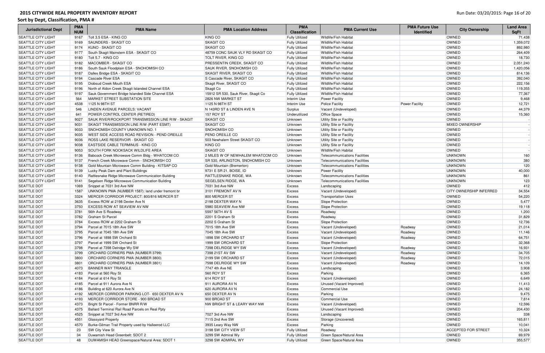| <b>Jurisdictional Dept</b> | <b>PMA</b><br><b>NUM</b> | <b>PMA Name</b>                                    | <b>PMA Location Address</b>         | <b>PMA</b><br><b>Classification</b> | <b>PMA Current Use</b>               | <b>PMA Future Use</b><br><b>Identified</b> | <b>City Ownership</b>          | <b>Land Area</b><br><b>SqFt</b> |
|----------------------------|--------------------------|----------------------------------------------------|-------------------------------------|-------------------------------------|--------------------------------------|--------------------------------------------|--------------------------------|---------------------------------|
| SEATTLE CITY LIGHT         | 9167                     | Tolt 3.5 ESA - KING CO                             | <b>KING CO</b>                      | <b>Fully Utilized</b>               | Wildlife/Fish Habitat                |                                            | <b>OWNED</b>                   | 71,438                          |
| <b>SEATTLE CITY LIGHT</b>  | 9169                     | SAUNDERS - SKAGIT CO                               | <b>SKAGIT CO</b>                    | <b>Fully Utilized</b>               | Wildlife/Fish Habitat                |                                            | OWNED                          | 1,359,072                       |
| <b>SEATTLE CITY LIGHT</b>  | 9174                     | KUNO - SKAGIT CO                                   | <b>SKAGIT CO</b>                    | <b>Fully Utilized</b>               | <b>Wildlife/Fish Habitat</b>         |                                            | OWNED                          | 892,980                         |
| <b>SEATTLE CITY LIGHT</b>  | 9177                     | South Skagit Mainstem ESA - SKAGIT CO              | 48759 CONC SAUK VLY RD SKAGIT CO    | <b>Fully Utilized</b>               | Wildlife/Fish Habitat                |                                            | OWNED                          | 264,409                         |
| <b>SEATTLE CITY LIGHT</b>  | 9180                     | Tolt 5.7 - KING CO                                 | <b>TOLT RIVER, KING CO</b>          | <b>Fully Utilized</b>               | <b>Wildlife/Fish Habitat</b>         |                                            | <b>OWNED</b>                   | 18,730                          |
| <b>SEATTLE CITY LIGHT</b>  | 9182                     | MACOMBER - SKAGIT CO                               | <b>PRESSENTIN CREEK, SKAGIT CO</b>  | <b>Fully Utilized</b>               | Wildlife/Fish Habitat                |                                            | OWNED                          | 2,051,240                       |
| <b>SEATTLE CITY LIGHT</b>  | 9186                     | South Sauk Floodplain ESA - SNOHOMISH CO           | SAUK RIVER, SNOHOMISH CO            | <b>Fully Utilized</b>               | Wildlife/Fish Habitat                |                                            | OWNED                          | 1,420,056                       |
| <b>SEATTLE CITY LIGHT</b>  | 9187                     | Dalles Bridge ESA - SKAGIT CO                      | SKAGIT RIVER, SKAGIT CO             | <b>Fully Utilized</b>               | Wildlife/Fish Habitat                |                                            | OWNED                          | 814,136                         |
| <b>SEATTLE CITY LIGHT</b>  | 9194                     | Cascade River ESA                                  | S Cascade River, SKAGIT CO          | <b>Fully Utilized</b>               | Wildlife/Fish Habitat                |                                            | OWNED                          | 392,040                         |
| <b>SEATTLE CITY LIGHT</b>  | 9195                     | Diobsud Creek Mouth ESA                            | Skagit River, SKAGIT CO             | <b>Fully Utilized</b>               | <b>Wildlife/Fish Habitat</b>         |                                            | OWNED                          | 222,156                         |
| <b>SEATTLE CITY LIGHT</b>  | 9196                     | North of Aldon Creek Skagit Islanded Channel ESA   | Skagit Co                           | <b>Fully Utilized</b>               | <b>Wildlife/Fish Habitat</b>         |                                            | OWNED                          | 119,355                         |
| <b>SEATTLE CITY LIGHT</b>  | 9197                     | Sauk Government Bridge Islanded Side Channel ESA   | 15912 SR 530, Sauk River, Skagit Co | <b>Fully Utilized</b>               | Wildlife/Fish Habitat                |                                            | OWNED                          | 77,367                          |
| <b>SEATTLE CITY LIGHT</b>  | 564                      | MARKET STREET SUBSTATION SITE                      | 2826 NW MARKET ST                   | Interim Use                         | <b>Power Facility</b>                |                                            | OWNED                          | 9,468                           |
| <b>SEATTLE CITY LIGHT</b>  | 4538                     | 1125 N 98TH ST                                     | 1125 N 98TH ST                      | Interim Use                         | <b>Police Facility</b>               | <b>Power Facility</b>                      | OWNED                          | 12,721                          |
| <b>SEATTLE CITY LIGHT</b>  | 546                      | LINDEN AVENUE PARCELS: VACANT                      | N 143RD ST & LINDEN AVE N           | Surplus                             | Vacant (Undeveloped)                 |                                            | OWNED                          | 44,379                          |
| <b>SEATTLE CITY LIGHT</b>  | 641                      | <b>POWER CONTROL CENTER (RETIRED)</b>              | <b>157 ROY ST</b>                   | Underutilized                       | <b>Office Space</b>                  |                                            | OWNED                          | 15,360                          |
| <b>SEATTLE CITY LIGHT</b>  | 9027                     | SAUK RIVER/ROCKPORT TRANSMISSION LINE R/W - SKAGIT | <b>SKAGIT CO</b>                    | Unknown                             | Utility Site or Facility             |                                            | <b>OWNED</b>                   |                                 |
| <b>SEATTLE CITY LIGHT</b>  | 9031                     | SKAGIT TRANSMISSION LINE R/W (PART ESMT)           | <b>SKAGIT CO</b>                    | Unknown                             | Utility Site or Facility             |                                            | <b>MIXED OWNERSHIP</b>         |                                 |
| <b>SEATTLE CITY LIGHT</b>  | 9033                     | SNOHOMISH COUNTY UNKNOWN NO. 1                     | SNOHOMISH CO                        | Unknown                             | Utility Site or Facility             |                                            | OWNED                          |                                 |
| <b>SEATTLE CITY LIGHT</b>  | 9035                     | WEST SIDE ACCESS ROAD REVISION - PEND OREILLE      | <b>PEND OREILLE CO</b>              | Unknown                             | Utility Site or Facility             |                                            | OWNED                          |                                 |
| <b>SEATTLE CITY LIGHT</b>  | 9036                     | <b>ROSS LAKE RESERVOIR - SKAGIT CO</b>             | 503 Newhalem Street SKAGIT CO       | Unknown                             | Utility Site or Facility             |                                            | OWNED                          |                                 |
| <b>SEATTLE CITY LIGHT</b>  | 9038                     | EASTSIDE CABLE TERMINUS - KING CO                  | KING CO                             | Unknown                             | Utility Site or Facility             |                                            | OWNED                          |                                 |
| <b>SEATTLE CITY LIGHT</b>  | 9053                     | <b>SOUTH FORK NOOKSACK WILDLIFE AREA</b>           | <b>SKAGIT CO</b>                    | Unknown                             | Wildlife/Fish Habitat                |                                            | OWNED                          |                                 |
| <b>SEATTLE CITY LIGHT</b>  | 9136                     | Babcock Creek Microwave Comm Bldg - WHATCOM CO     | 2 MILES W OF NEWHALEM WHATCOM CO    | Unknown                             | Telecommunications Facilities        |                                            | <b>UNKNOWN</b>                 | 160                             |
| <b>SEATTLE CITY LIGHT</b>  | 9137                     | French Creek Microwave Comm - SNOHOMISH CO         | SR 530, ARLINGTON, SNOHOMISH CO     | Unknown                             | <b>Telecommunications Facilities</b> |                                            | <b>UNKNOWN</b>                 | 380                             |
| <b>SEATTLE CITY LIGHT</b>  | 9138                     | Gold Mountain Microwave Comm Building - KITSAP CO  | Gold Mountain (Bremerton)           | Unknown                             | <b>Telecommunications Facilities</b> |                                            | <b>UNKNOWN</b>                 | 120                             |
| <b>SEATTLE CITY LIGHT</b>  | 9139                     | Lucky Peak Dam and Plant Buildings                 | 9731 E SR 21, BOISE, ID             | Unknown                             | <b>Power Facility</b>                |                                            | <b>UNKNOWN</b>                 | 40,000                          |
| <b>SEATTLE CITY LIGHT</b>  | 9140                     | Rattlesnake Ridge Microwave Communication Building | RATTLESNAKE RIDGE, WA               | Unknown                             | <b>Telecommunications Facilities</b> |                                            | <b>UNKNOWN</b>                 | 861                             |
| <b>SEATTLE CITY LIGHT</b>  | 9141                     | Segelsen Ridge Microwave Communication Building    | SEGELSEN RIDGE, WA                  | Unknown                             | Telecommunications Facilities        |                                            | <b>UNKNOWN</b>                 | 123                             |
| <b>SEATTLE DOT</b>         | 1069                     | Snippet at 7031 3rd Ave NW                         | 7031 3rd Ave NW                     | <b>Excess</b>                       | Landscaping                          |                                            | <b>OWNED</b>                   | 412                             |
| <b>SEATTLE DOT</b>         | 1587                     | UNKNOWN PMA (NUMBER 1587): land under fremont br   | 3101 FREMONT AV N                   | <b>Excess</b>                       | Vacant (Undeveloped)                 |                                            | <b>CITY OWNERSHIP INFERRED</b> | 34,554                          |
| SEATTLE DOT                | 3324                     | MERCER CORRIDOR PROJECT: 800/816 MERCER ST         | 800 MERCER ST                       | <b>Excess</b>                       | <b>Transportation Uses</b>           |                                            | OWNED                          | 54,220                          |
| SEATTLE DOT                | 3635                     | Excess ROW at 2198 Dexter Ave N                    | 2198 DEXTER WAY N                   | Excess                              | Slope Protection                     |                                            | OWNED                          | 5,477                           |
| SEATTLE DOT                | 3750                     | <b>EXCESS ROW AT SEAVIEW AV NW</b>                 | 5980 SEAVIEW Ave NW                 | Excess                              | Slope Protection                     |                                            | OWNED                          | 19,118                          |
| SEATTLE DOT                | 3781                     | 56th Ave S Roadway                                 | 5597 56TH AV S                      | Excess                              | Roadway                              |                                            | OWNED                          | 1,200                           |
| SEATTLE DOT                | 3782                     | Graham St Parcel                                   | 2201 S Graham St                    | <b>Excess</b>                       | Roadway                              |                                            | OWNED                          | 31,829                          |
| <b>SEATTLE DOT</b>         |                          | 3784 Excess ROW at 2202 Graham St                  | 2202 S Graham St                    | Excess                              | Slope Protection                     |                                            | OWNED                          | 12,736                          |
| <b>SEATTLE DOT</b>         | 3794                     | Parcel at 7015 18th Ave SW                         | 7015 18th Ave SW                    | Excess                              | Vacant (Undeveloped)                 | Roadway                                    | <b>OWNED</b>                   | 21,014                          |
| <b>SEATTLE DOT</b>         | 3795                     | Parcel at 7045 18th Ave SW                         | 7045 18th Ave SW                    | <b>Excess</b>                       | Vacant (Undeveloped)                 | Roadway                                    | OWNED                          | 11,146                          |
| <b>SEATTLE DOT</b>         | 3796                     | Parcel at 1898 SW Orchard St                       | 1898 SW ORCHARD ST                  | Excess                              | Vacant (Undeveloped)                 | Roadway                                    | OWNED                          | 64,751                          |
| <b>SEATTLE DOT</b>         | 3797                     | Parcel at 1999 SW Orchard St                       | 1999 SW ORCHARD ST                  | Excess                              | Slope Protection                     |                                            | OWNED                          | 32,368                          |
| <b>SEATTLE DOT</b>         | 3798                     | Parcel at 7398 Delridge Wy SW                      | 7398 DELRIDGE WY SW                 | Excess                              | Vacant (Undeveloped)                 | Roadway                                    | <b>OWNED</b>                   | 16,931                          |
| <b>SEATTLE DOT</b>         | 3799                     | <b>ORCHARD CORNERS PMA (NUMBER 3799)</b>           | 7398 21ST AV SW                     | Excess                              | Vacant (Undeveloped)                 | Roadway                                    | <b>OWNED</b>                   | 34,705                          |
| <b>SEATTLE DOT</b>         | 3800                     | ORCHARD CORNERS PMA (NUMBER 3800)                  | 2199 SW ORCHARD ST                  | Excess                              | Vacant (Undeveloped)                 | Roadway                                    | OWNED                          | 72,015                          |
| SEATTLE DOT                | 3801                     | <b>ORCHARD CORNERS PMA (NUMBER 3801)</b>           | 7598 DELRIDGE WY SW                 | Excess                              | Vacant (Undeveloped)                 | Roadway                                    | OWNED                          | 14,109                          |
| SEATTLE DOT                | 4073                     | <b>BANNER WAY TRIANGLE</b>                         | 7747 4th Ave NE                     | <b>Excess</b>                       | Landscaping                          |                                            | OWNED                          | 3,908                           |
| SEATTLE DOT                | 4183                     | Parcel at 560 Roy St                               | 560 ROY ST                          | <b>Excess</b>                       | Parking                              |                                            | OWNED                          | 6,365                           |
| SEATTLE DOT                | 4184                     | Parcel at 614 Roy St                               | 614 ROY ST                          | <b>Excess</b>                       | Vacant (Undeveloped)                 |                                            | OWNED                          | 6,649                           |
| SEATTLE DOT                | 4185                     | Parcel at 911 Aurora Ave N                         | 911 AURORA AV N                     | Excess                              | Unused (Vacant Improved)             |                                            | <b>OWNED</b>                   | 11,413                          |
| SEATTLE DOT                | 4186                     | Building at 620 Aurora Ave N                       | 620 AURORA AV N                     | Excess                              | <b>Commercial Use</b>                |                                            | OWNED                          | 24,182                          |
| SEATTLE DOT                | 4192                     | MERCER CORRIDOR PARKING LOT- 650 DEXTER AV N       | 650 DEXTER AV N                     | <b>Excess</b>                       | Parking                              |                                            | OWNED                          | 9,475                           |
| <b>SEATTLE DOT</b>         | 4193                     | MERCER CORRIDOR STORE - 900 BROAD ST               | 900 BROAD ST                        | Excess                              | <b>Commercial Use</b>                |                                            | OWNED                          | 7,814                           |
| <b>SEATTLE DOT</b>         | 4373                     | Bright St Parcel - Former BNRR R/W                 | NW BRIGHT ST & LEARY WAY NW         | Excess                              | Vacant (Undeveloped)                 |                                            | OWNED                          | 12,596                          |
| <b>SEATTLE DOT</b>         | 4375                     | Ballard Terminal Rail Road Parcels on Real Ppty    |                                     | Excess                              | Unused (Vacant Improved)             |                                            | OWNED                          | 204,430                         |
| <b>SEATTLE DOT</b>         | 4525                     | Snippet at 7027 3rd Ave NW                         | 7027 3rd Ave NW                     | Excess                              | Landscaping                          |                                            | <b>OWNED</b>                   | 338                             |
| <b>SEATTLE DOT</b>         | 4551                     | Glassyard Property                                 | 7115 2nd Ave SW                     | Excess                              | Storage (Uncovered)                  |                                            | OWNED                          | 165,811                         |
| <b>SEATTLE DOT</b>         | 4570                     | Burke-Gilman Trail Property used by Halleerod LLC  | 3935 Leary Way NW                   | Excess                              | Parking                              |                                            | <b>OWNED</b>                   | 10,041                          |
| <b>SEATTLE DOT</b>         | 23                       | <b>SW City View St</b>                             | 3198 SW CITY VIEW ST                | <b>Fully Utilized</b>               | Roadway                              |                                            | <b>ACCEPTED FOR STREET</b>     | 10,324                          |
| <b>SEATTLE DOT</b>         | 34                       | Duwamish Head Greenbelt: SDOT 2                    | 3299 SW Admiral Wy                  | <b>Fully Utilized</b>               | Green Space/Natural Area             |                                            | OWNED                          | 69,979                          |
| <b>SEATTLE DOT</b>         | 48                       | DUWAMISH HEAD Greenspace/Natural Area: SDOT 1      | 3298 SW ADMIRAL WY                  | <b>Fully Utilized</b>               | Green Space/Natural Area             |                                            | <b>OWNED</b>                   | 355,577                         |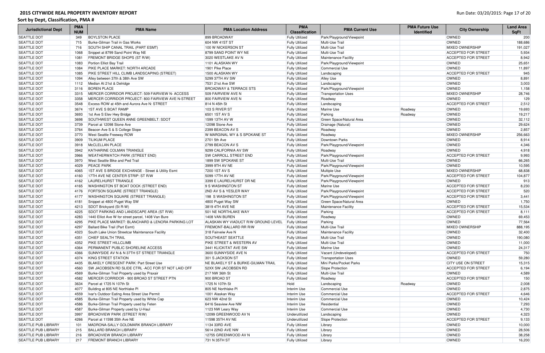| <b>Jurisdictional Dept</b> | <b>PMA</b><br><b>NUM</b> | <b>PMA Name</b>                                         | <b>PMA Location Address</b>          | <b>PMA</b><br><b>Classification</b> | <b>PMA Current Use</b>                           | <b>PMA Future Use</b><br><b>Identified</b> | <b>City Ownership</b>      | <b>Land Area</b><br><b>SqFt</b> |
|----------------------------|--------------------------|---------------------------------------------------------|--------------------------------------|-------------------------------------|--------------------------------------------------|--------------------------------------------|----------------------------|---------------------------------|
| <b>SEATTLE DOT</b>         | 349                      | <b>BOYLSTON PLACE</b>                                   | 899 BROADWAY                         | <b>Fully Utilized</b>               | Park/Playground/Viewpoint                        |                                            | <b>OWNED</b>               | 200                             |
| <b>SEATTLE DOT</b>         | 715                      | Burke-Gilman Trail in Gas Works                         | 604 NW 41ST ST                       | <b>Fully Utilized</b>               | Multi-Use Trail                                  |                                            | <b>OWNED</b>               | 188,686                         |
| <b>SEATTLE DOT</b>         | 716                      | SOUTH SHIP CANAL TRAIL (PART ESMT)                      | 100 W NICKERSON ST                   | <b>Fully Utilized</b>               | Multi-Use Trail                                  |                                            | <b>MIXED OWNERSHIP</b>     | 191,027                         |
| <b>SEATTLE DOT</b>         | 1068                     | Snippet at 8799 Sand Point Way NE                       | 8799 SAND POINT WY NE                | <b>Fully Utilized</b>               | Multi-Use Trail                                  |                                            | <b>ACCEPTED FOR STREET</b> | 5,934                           |
| <b>SEATTLE DOT</b>         | 1081                     | <b>FREMONT BRIDGE SHOPS (ST R/W)</b>                    | 3020 WESTLAKE AV N                   | <b>Fully Utilized</b>               | Maintenance Facility                             |                                            | <b>ACCEPTED FOR STREET</b> | 8,942                           |
| <b>SEATTLE DOT</b>         | 1083                     | Portion Elliot Bay Trail                                | 1101 ALASKAN WY                      | <b>Fully Utilized</b>               | Park/Playground/Viewpoint                        |                                            | <b>OWNED</b>               | 25,651                          |
| SEATTLE DOT                | 1084                     | <b>PIKE PLACE MARKET: NORTH ARCADE</b>                  | 1901 Pike Place                      | <b>Fully Utilized</b>               | Commercial Use                                   |                                            | <b>OWNED</b>               | 11,897                          |
| SEATTLE DOT                | 1085                     | PIKE STREET HILL CLIMB LANDSCAPING (STREET)             | 1500 ALASKAN WY                      | <b>Fully Utilized</b>               | Landscaping                                      |                                            | <b>ACCEPTED FOR STREET</b> | 945                             |
| <b>SEATTLE DOT</b>         | 1094                     | Alley between 37th & 38th Ave SW                        | 5299 37TH AV SW                      | <b>Fully Utilized</b>               | <b>Alley Use</b>                                 |                                            | OWNED                      | 8,891                           |
| <b>SEATTLE DOT</b>         | 1112                     | Median At 21st & Delridge                               | 7531 21st Ave SW                     | <b>Fully Utilized</b>               | Landscaping                                      |                                            | OWNED                      | 3,003                           |
| <b>SEATTLE DOT</b>         | 3116                     | <b>BOREN PLACE</b>                                      | <b>BROADWAY &amp; TERRACE STS</b>    | <b>Fully Utilized</b>               | Park/Playground/Viewpoint                        |                                            | OWNED                      | 1,158                           |
| <b>SEATTLE DOT</b>         | 3315                     | MERCER CORRIDOR PROJECT: 509 FAIRVIEW N- ACCESS         | 509 FAIRVIEW AVE N                   | <b>Fully Utilized</b>               | <b>Transportation Uses</b>                       |                                            | <b>MIXED OWNERSHIP</b>     | 28,746                          |
| <b>SEATTLE DOT</b>         | 3358                     | MERCER CORRIDOR PROJECT: 800 FAIRVIEW AVE N-STREET      | 800 FAIRVIEW AVE N                   | <b>Fully Utilized</b>               | Roadway                                          |                                            | <b>OWNED</b>               | 129                             |
| SEATTLE DOT                | 3548                     | Excess ROW at 45th and Aurora Ave N: STREET             | 814 N 45th St                        | <b>Fully Utilized</b>               | Landscaping                                      |                                            | <b>ACCEPTED FOR STREET</b> | 2,512                           |
| <b>SEATTLE DOT</b>         | 3674                     | 1ST AVE S BOAT RAMP                                     | 103 S RIVER ST                       | <b>Fully Utilized</b>               | Marine Use                                       | Roadway                                    | OWNED                      | 19,693                          |
| <b>SEATTLE DOT</b>         | 3693                     | 1st Ave S Elev Hwy Bridge                               | 6501 1ST AV S                        | <b>Fully Utilized</b>               | Parking                                          | Roadway                                    | <b>OWNED</b>               | 19,217                          |
| <b>SEATTLE DOT</b>         | 3698                     | SOUTHWEST QUEEN ANNE GREENBELT: SDOT                    | 1599 13TH AV W                       | <b>Fully Utilized</b>               | Green Space/Natural Area                         |                                            | <b>OWNED</b>               | 32,112                          |
| <b>SEATTLE DOT</b>         | 3739                     | Parcel at 12098 Stone Ave                               | 12098 Stone Ave                      | <b>Fully Utilized</b>               | Drainage (Natural)                               |                                            | <b>OWNED</b>               | 29,624                          |
| <b>SEATTLE DOT</b>         | 3764                     | Beacon Ave S & S College Slope                          | 2399 BEACON AV S                     | <b>Fully Utilized</b>               | Roadway                                          |                                            | OWNED                      | 2,857                           |
| <b>SEATTLE DOT</b>         | 3770                     | <b>West Seattle Freeway ROW</b>                         | W MARGINAL WY & S SPOKANE ST         | <b>Fully Utilized</b>               | Roadway                                          |                                            | <b>MIXED OWNERSHIP</b>     | 256,663                         |
| <b>SEATTLE DOT</b>         | 3909                     | <b>TILIKUM PLACE</b>                                    | 2701 5th Ave                         | <b>Fully Utilized</b>               | Downtown Parks                                   |                                            | <b>OWNED</b>               | 8,914                           |
| <b>SEATTLE DOT</b>         | 3918                     | McCLELLAN PLACE                                         | 2799 BEACON AV S                     | <b>Fully Utilized</b>               | Park/Playground/Viewpoint                        |                                            | OWNED                      | 4,346                           |
| <b>SEATTLE DOT</b>         | 3942                     | KATHARINE COLMAN TRIANGLE                               | 9299 CALIFORNIA AV SW                | <b>Fully Utilized</b>               | Roadway                                          |                                            | <b>OWNED</b>               | 4,918                           |
| <b>SEATTLE DOT</b>         | 3966                     | <b>WEATHERWATCH PARK (STREET END)</b>                   | <b>SW CARROLL STREET END</b>         | <b>Fully Utilized</b>               | Park/Playground/Viewpoint                        |                                            | <b>ACCEPTED FOR STREET</b> | 9,993                           |
| <b>SEATTLE DOT</b>         | 3970                     | <b>West Seattle Bike and Ped Trail</b>                  | 1899 SW SPOKANE ST                   | <b>Fully Utilized</b>               | Multi-Use Trail                                  |                                            | <b>OWNED</b>               | 66,265                          |
| <b>SEATTLE DOT</b>         | 4029                     | <b>PEACE PARK</b>                                       | 3999 9TH AV NE                       | <b>Fully Utilized</b>               | Park/Playground/Viewpoint                        |                                            | <b>OWNED</b>               | 10,595                          |
| <b>SEATTLE DOT</b>         | 4065                     | 1ST AVE S BRIDGE EXCHANGE - Street & Utility Esmt       | 7200 1ST AV S                        | <b>Fully Utilized</b>               | Multiple Use                                     |                                            | <b>MIXED OWNERSHIP</b>     | 68,838                          |
| <b>SEATTLE DOT</b>         | 4160                     | 17TH AVE NE CENTER STRIP: ST R/W                        | 5099 17TH AV NE                      | <b>Fully Utilized</b>               | Park/Playground/Viewpoint                        |                                            | <b>ACCEPTED FOR STREET</b> | 104,877                         |
| <b>SEATTLE DOT</b>         | 4162                     | LAURELHURST TRIANGLE                                    | 3399 E LAURELHURST DR NE             | <b>Fully Utilized</b>               | Park/Playground/Viewpoint                        |                                            | <b>OWNED</b>               | 913                             |
| <b>SEATTLE DOT</b>         | 4165                     | WASHINGTON ST BOAT DOCK (STREET END)                    | 9 S WASHINGTON ST                    | <b>Fully Utilized</b>               | Marine Use                                       |                                            | <b>ACCEPTED FOR STREET</b> | 8,230                           |
| SEATTLE DOT                | 4176                     | FORTSON SQUARE (STREET TRIANGLE)                        | <b>2ND AV S &amp; YESLER WAY</b>     | <b>Fully Utilized</b>               | Park/Playground/Viewpoint                        |                                            | <b>ACCEPTED FOR STREET</b> | 520                             |
| SEATTLE DOT                | 4177                     | <b>WASHINGTON SQUARE (STREET TRIANGLE)</b>              | 198 S WASHINGTON ST                  |                                     | Park/Playground/Viewpoint                        |                                            | <b>ACCEPTED FOR STREET</b> | 3,441                           |
| SEATTLE DOT                |                          |                                                         |                                      | <b>Fully Utilized</b>               |                                                  |                                            | OWNED                      |                                 |
| SEATTLE DOT                | 4181                     | Snippet at 4800 Puget Way SW<br>SDOT Brickyard (St R-W) | 4800 Puget Way SW<br>3819 4TH AVE NE | <b>Fully Utilized</b>               | Green Space/Natural Area<br>Maintenance Facility |                                            | <b>ACCEPTED FOR STREET</b> | 1,750<br>15,534                 |
| <b>SEATTLE DOT</b>         | 4213                     |                                                         | 501 NE NORTHLAKE WAY                 | <b>Fully Utilized</b>               |                                                  |                                            | <b>ACCEPTED FOR STREET</b> | 8,111                           |
|                            | 4225                     | SDOT PARKING AND LANDSCAPE AREA (ST R/W)                |                                      | <b>Fully Utilized</b>               | Parking                                          |                                            |                            |                                 |
| <b>SEATTLE DOT</b>         | 4283                     | 1440 Elliot Ave W for street parcel, 1408 Van Bure      | 1408 VAN BUREN                       | <b>Fully Utilized</b>               | Roadway                                          |                                            | OWNED                      | 69,453                          |
| <b>SEATTLE DOT</b>         | 4295                     | PIKE PLACE MARKET: BLANCHARD & LENORA PARKING LOT       | ALASKAN WY VIADUCT R/W GROUND LEVEL  | <b>Fully Utilized</b>               | Parking                                          |                                            | OWNED                      | 77,564                          |
| <b>SEATTLE DOT</b>         | 4297                     | Ballard Bike Trail (Part Esmt)                          | <b>FREMONT-BALLARD RR R/W</b>        | <b>Fully Utilized</b>               | Multi-Use Trail                                  |                                            | <b>MIXED OWNERSHIP</b>     | 888,195                         |
| <b>SEATTLE DOT</b>         | 4323                     | South Lake Union Streetcar Maintenance Facility         | 318 Fairveiw Ave N                   | <b>Fully Utilized</b>               | Maintenance Facility                             |                                            | OWNED                      | 32,400                          |
| <b>SEATTLE DOT</b>         | 4351                     | <b>CHIEF SEALTH TRAIL</b>                               | <b>SOUTHEAST SEATTLE</b>             | <b>Fully Utilized</b>               | Multi-Use Trail                                  |                                            | OWNED                      | 190,080                         |
| <b>SEATTLE DOT</b>         | 4352                     | <b>PIKE STREET HILLCLIMB</b>                            | <b>PIKE STREET &amp; WESTERN AV</b>  | <b>Fully Utilized</b>               | Multi-Use Trail                                  |                                            | <b>OWNED</b>               | 11,000                          |
| <b>SEATTLE DOT</b>         | 4364                     | PERMANENT PUBLIC SHORELINE ACCESS                       | 3441 KLICKITAT AVE SW                | <b>Fully Utilized</b>               | Marine Use                                       |                                            | <b>OWNED</b>               | 24,317                          |
| <b>SEATTLE DOT</b>         | 4366                     | SUNNYSIDE AV N & N 37TH ST STREET TRIANGLE              | 3600 SUNNYSIDE AVE N                 | <b>Fully Utilized</b>               | Vacant (Undeveloped)                             |                                            | <b>ACCEPTED FOR STREET</b> | 750                             |
| <b>SEATTLE DOT</b>         | 4374                     | KING STREET STATION                                     | 301 S JACKSON ST                     | <b>Fully Utilized</b>               | <b>Transportation Uses</b>                       |                                            | <b>OWNED</b>               | 59,280                          |
| SEATTLE DOT                | 4435                     | BLAKELY CRESCENT PARK: Part Street Use                  | NE BLAKELY ST & BURKE-GILMAN TRAIL   | <b>Fully Utilized</b>               | Mini Parks/Pocket Parks                          |                                            | <b>CITY USE ON STREET</b>  | 15,315                          |
| SEATTLE DOT                | 4560                     | SW JACOBSEN RD SLIDE CTRL - ACC FOR ST NOT LAID OFF     | 52XX SW JACOBSEN RD                  | <b>Fully Utilized</b>               | Slope Protection                                 |                                            | <b>ACCEPTED FOR STREET</b> | 6,194                           |
| SEATTLE DOT                | 4569                     | Burke-Gilman Trail Property used by Praxair             | 217 NW 36th St                       | <b>Fully Utilized</b>               | Multi-Use Trail                                  |                                            | <b>OWNED</b>               | 4,589                           |
| SEATTLE DOT                | 4582                     | MERCER CORRIDOR - 900 BROAD ST STREET PTN               | 900 BROAD ST                         | <b>Fully Utilized</b>               | Roadway                                          |                                            | <b>ACCEPTED FOR STREET</b> | 150                             |
| SEATTLE DOT                | 3634                     | Parcel at 1725 N 107th St                               | 1725 N 107th St                      | Hold                                | Landscaping                                      | Roadway                                    | OWNED                      | 2,008                           |
| SEATTLE DOT                | 4077                     | Building at 805 NE Northlake PI                         | 805 NE Northlake PI                  | Interim Use                         | <b>Commercial Use</b>                            |                                            | <b>OWNED</b>               | 2,875                           |
| SEATTLE DOT                | 4559                     | Ivar's Outdoor Eating Area Street Use Permit            | 1001 Alaskan Way                     | Interim Use                         | <b>Commercial Use</b>                            |                                            | <b>ACCEPTED FOR STREET</b> | 4,646                           |
| SEATTLE DOT                | 4585                     | Burke-Gilman Trail Property used by White Cap           | 623 NW 42nd St                       | Interim Use                         | <b>Commercial Use</b>                            |                                            | OWNED                      | 10,424                          |
| <b>SEATTLE DOT</b>         | 4586                     | Burke-Gilman Trail Property used by Feten               | 6416 Seaview Ave NW                  | Interim Use                         | Residential                                      |                                            | <b>OWNED</b>               | 7,293                           |
| <b>SEATTLE DOT</b>         | 4587                     | Burke-Gilman Property used by U-Haul                    | 1123 NW Leary Way                    | Interim Use                         | <b>Commercial Use</b>                            |                                            | <b>OWNED</b>               | 4,730                           |
| SEATTLE DOT                | 3997                     | BROADVIEW PARK (STREET R/W)                             | 12099 GREENWOOD AV N                 | Underutilized                       | Landscaping                                      |                                            | OWNED                      | 4,323                           |
| SEATTLE DOT                | 4266                     | Parcel at 11598 35th Ave NE                             | 11598 35TH AV NE                     | Underutilized                       | Slope Protection                                 |                                            | <b>ACCEPTED FOR STREET</b> | 9,133                           |
| <b>SEATTLE PUB LIBRARY</b> | 101                      | MADRONA-SALLY GOLDMARK BRANCH LIBRARY                   | 1134 33RD AVE                        | <b>Fully Utilized</b>               | Library                                          |                                            | OWNED                      | 10,000                          |
| <b>SEATTLE PUB LIBRARY</b> | 215                      | <b>BALLARD BRANCH LIBRARY</b>                           | 5614 22ND AVE NW                     | <b>Fully Utilized</b>               | Library                                          |                                            | OWNED                      | 28,506                          |
| <b>SEATTLE PUB LIBRARY</b> | 216                      | <b>BROADVIEW BRANCH LIBRARY</b>                         | 12755 GREENWOOD AV N                 | <b>Fully Utilized</b>               | Library                                          |                                            | OWNED                      | 38,258                          |
| <b>SEATTLE PUB LIBRARY</b> | 217                      | <b>FREMONT BRANCH LIBRARY</b>                           | 731 N 35TH ST                        | <b>Fully Utilized</b>               | Library                                          |                                            | OWNED                      | 16,200                          |
|                            |                          |                                                         |                                      |                                     |                                                  |                                            |                            |                                 |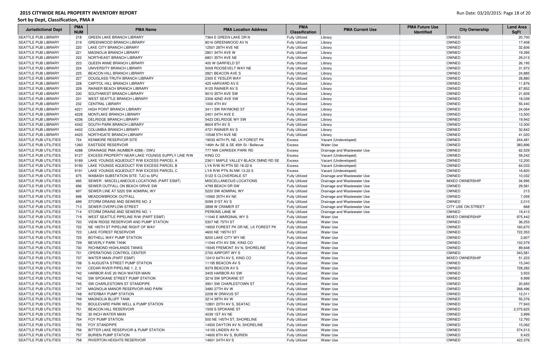| <b>Jurisdictional Dept</b>                                   | <b>PMA</b><br><b>NUM</b> | <b>PMA Name</b>                                                      | <b>PMA Location Address</b>                  | <b>PMA</b><br><b>Classification</b>            | <b>PMA Current Use</b>               | <b>PMA Future Use</b><br><b>Identified</b> | <b>City Ownership</b>     | <b>Land Area</b><br><b>SqFt</b> |
|--------------------------------------------------------------|--------------------------|----------------------------------------------------------------------|----------------------------------------------|------------------------------------------------|--------------------------------------|--------------------------------------------|---------------------------|---------------------------------|
| <b>SEATTLE PUB LIBRARY</b>                                   | 218                      | GREEN LAKE BRANCH LIBRARY                                            | 7364 E GREEN LAKE DR N                       | <b>Fully Utilized</b>                          | Library                              |                                            | <b>OWNED</b>              | 20,700                          |
| <b>SEATTLE PUB LIBRARY</b>                                   | 219                      | <b>GREENWOOD BRANCH LIBRARY</b>                                      | 8016 GREENWOOD AV N                          | <b>Fully Utilized</b>                          | Library                              |                                            | OWNED                     | 17,408                          |
| <b>SEATTLE PUB LIBRARY</b>                                   | 220                      | <b>LAKE CITY BRANCH LIBRARY</b>                                      | 12501 28TH AVE NE                            | <b>Fully Utilized</b>                          | Library                              |                                            | OWNED                     | 32,606                          |
| <b>SEATTLE PUB LIBRARY</b>                                   | 221                      | <b>MAGNOLIA BRANCH LIBRARY</b>                                       | 2801 34TH AVE W                              | <b>Fully Utilized</b>                          | Library                              |                                            | <b>OWNED</b>              | 19,395                          |
| <b>SEATTLE PUB LIBRARY</b>                                   | 222                      | NORTHEAST BRANCH LIBRARY                                             | 6801 35TH AVE NE                             | <b>Fully Utilized</b>                          | Library                              |                                            | OWNED                     | 29,013                          |
| <b>SEATTLE PUB LIBRARY</b>                                   | 223                      | <b>QUEEN ANNE BRANCH LIBRARY</b>                                     | 400 W GARFIELD ST                            | <b>Fully Utilized</b>                          | Library                              |                                            | <b>OWNED</b>              | 26,195                          |
| <b>SEATTLE PUB LIBRARY</b>                                   | 224                      | UNIVERSITY BRANCH LIBRARY                                            | 5009 ROOSEVELT WAY NE                        | <b>Fully Utilized</b>                          | Library                              |                                            | OWNED                     | 31,972                          |
| <b>SEATTLE PUB LIBRARY</b>                                   | 225                      | <b>BEACON HILL BRANCH LIBRARY</b>                                    | 2821 BEACON AVE S                            | <b>Fully Utilized</b>                          | Library                              |                                            | OWNED                     | 24,885                          |
| <b>SEATTLE PUB LIBRARY</b>                                   | 227                      | DOUGLASS-TRUTH BRANCH LIBRARY                                        | 2300 E YESLER WAY                            | <b>Fully Utilized</b>                          | Library                              |                                            | OWNED                     | 28,880                          |
| <b>SEATTLE PUB LIBRARY</b>                                   | 228                      | <b>CAPITOL HILL BRANCH LIBRARY</b>                                   | 425 HARVARD AV E                             | <b>Fully Utilized</b>                          | Library                              |                                            | OWNED                     | 11,876                          |
| <b>SEATTLE PUB LIBRARY</b>                                   | 229                      | <b>RAINIER BEACH BRANCH LIBRARY</b>                                  | 9125 RAINIER AV S                            | <b>Fully Utilized</b>                          | Library                              |                                            | OWNED                     | 67,852                          |
| <b>SEATTLE PUB LIBRARY</b>                                   | 230                      | <b>SOUTHWEST BRANCH LIBRARY</b>                                      | 9010 35TH AVE SW                             | <b>Fully Utilized</b>                          | Library                              |                                            | OWNED                     | 21,609                          |
| <b>SEATTLE PUB LIBRARY</b>                                   | 231                      | <b>WEST SEATTLE BRANCH LIBRARY</b>                                   | 2306 42ND AVE SW                             | <b>Fully Utilized</b>                          | Library                              |                                            | OWNED                     | 18,039                          |
| <b>SEATTLE PUB LIBRARY</b>                                   | 232                      | <b>CENTRAL LIBRARY</b>                                               | 1000 4TH AV                                  | <b>Fully Utilized</b>                          | Library                              |                                            | OWNED                     | 55,440                          |
| <b>SEATTLE PUB LIBRARY</b>                                   | 4221                     | <b>HIGH POINT BRANCH LIBRARY</b>                                     | 3411 SW RAYMOND ST                           | <b>Fully Utilized</b>                          | Library                              |                                            | OWNED                     | 24,064                          |
| <b>SEATTLE PUB LIBRARY</b>                                   | 4228                     | <b>MONTLAKE BRANCH LIBRARY</b>                                       | 2401 24TH AVE E                              | <b>Fully Utilized</b>                          | Library                              |                                            | OWNED                     | 13,500                          |
| <b>SEATTLE PUB LIBRARY</b>                                   | 4336                     | <b>DELRIDGE BRANCH LIBRARY</b>                                       | 5423 DELRIDGE WY SW                          | <b>Fully Utilized</b>                          | Library                              |                                            | OWNED                     | 19,942                          |
| <b>SEATTLE PUB LIBRARY</b>                                   | 4342                     | <b>SOUTH PARK BRANCH LIBRARY</b>                                     | 8604 8TH AV S                                | <b>Fully Utilized</b>                          | Library                              |                                            | OWNED                     | 12,000                          |
| <b>SEATTLE PUB LIBRARY</b>                                   | 4402                     | <b>COLUMBIA BRANCH LIBRARY</b>                                       | 4721 RAINIER AV S                            | <b>Fully Utilized</b>                          | Library                              |                                            | OWNED                     | 32,842                          |
| <b>SEATTLE PUB LIBRARY</b>                                   | 4425                     | NORTHGATE BRANCH LIBRARY                                             | 10548 5TH AVE NE                             | <b>Fully Utilized</b>                          | Library                              |                                            | OWNED                     | 41,020                          |
| <b>SEATTLE PUB UTILITIES</b>                                 | 724                      | KENMORE RESERVOIR SITE                                               | 19033 40TH PL NE, LK FOREST PK               | Excess                                         | Vacant (Undeveloped)                 |                                            | OWNED                     | 244,481                         |
| <b>SEATTLE PUB UTILITIES</b>                                 | 1260                     | <b>EASTSIDE RESERVOIR</b>                                            | 146th Av SE & SE 45th St / Bellevue          | Excess                                         | <b>Water Use</b>                     |                                            | OWNED                     | 383,896                         |
| <b>SEATTLE PUB UTILITIES</b>                                 | 4288                     | DRAINAGE PMA (NUMBER 4288) / DWU                                     | 777 NW CARKEEK PARK RD                       | <b>Excess</b>                                  | Drainage and Wastewater Use          |                                            | OWNED                     | 62,529                          |
| <b>SEATTLE PUB UTILITIES</b>                                 | 9127                     | <b>EXCESS PROPERTY NEAR LAKE YOUNGS SUPPLY LINE R/W</b>              | KING CO                                      | Excess                                         | Vacant (Undeveloped)                 |                                            | OWNED                     | 59,242                          |
| <b>SEATTLE PUB UTILITIES</b>                                 | 9189                     | LAKE YOUNGS AQUEDUCT R/W EXCESS PARCEL A                             | 23611 MAPLE VALLEY-BLACK DMND RD SE          | Excess                                         | Vacant (Undeveloped)                 |                                            | OWNED                     | 12,200                          |
| <b>SEATTLE PUB UTILITIES</b>                                 | 9190                     | LAKE YOUNGS AQUEDUCT R/W EXCESS PARCEL B                             | LYA R/W IN PTN SE-18-22-6                    | Excess                                         | Vacant (Undeveloped)                 |                                            | OWNED                     | 64,033                          |
| <b>SEATTLE PUB UTILITIES</b>                                 | 9191                     | LAKE YOUNGS AQUEDUCT R/W EXCESS PARCEL C                             | LYA R/W PTN IN NW-13-22-5                    | Excess                                         | Vacant (Undeveloped)                 |                                            | OWNED                     | 16,820                          |
| <b>SEATTLE PUB UTILITIES</b>                                 | 675                      | WABASH SUBSTATION SITE: TJO to SPU                                   | 5122 S CLOVERDALE ST                         | <b>Fully Utilized</b>                          | Drainage and Wastewater Use          |                                            | <b>OWNED</b>              | 10,032                          |
| <b>SEATTLE PUB UTILITIES</b>                                 | 695                      | SEWER - MISCELLANEOUS LOCATIONS (PART ESMT)                          | <b>MISCELLANEOUS LOCATIONS</b>               | <b>Fully Utilized</b>                          | Drainage and Wastewater Use          |                                            | <b>MIXED OWNERSHIP</b>    | 34,995                          |
| <b>SEATTLE PUB UTILITIES</b>                                 | 696                      | <b>SEWER OUTFALL ON BEACH DRIVE SW</b>                               | 4799 BEACH DR SW                             | <b>Fully Utilized</b>                          | Drainage and Wastewater Use          |                                            | <b>OWNED</b>              | 29,581                          |
| <b>SEATTLE PUB UTILITIES</b>                                 | 697                      | SEWER LINE AT 5220 SW ADMIRAL WY                                     | 5220 SW ADMIRAL WY                           | <b>Fully Utilized</b>                          | Drainage and Wastewater Use          |                                            | <b>OWNED</b>              | 213                             |
| <b>SEATTLE PUB UTILITIES</b>                                 | 698                      | <b>MEADOWBROOK OUTFALL</b>                                           | 10560 35TH AV NE                             | <b>Fully Utilized</b>                          | Drainage and Wastewater Use          |                                            | OWNED                     | 7,059                           |
| <b>SEATTLE PUB UTILITIES</b>                                 | 699                      | <b>STORM DRAINS AND SEWERS NO. 2</b>                                 | 5099 31ST AV S                               | <b>Fully Utilized</b>                          | Drainage and Wastewater Use          |                                            | <b>OWNED</b>              | 2,010                           |
| <b>SEATTLE PUB UTILITIES</b>                                 | 713                      | <b>SEWER OVERFLOW-STREET</b>                                         | 3898 W CRAMER ST                             | <b>Fully Utilized</b>                          | Drainage and Wastewater Use          |                                            | <b>CITY USE ON STREET</b> | 668                             |
| <b>SEATTLE PUB UTILITIES</b>                                 | 714                      | <b>STORM DRAINS AND SEWERS NO. 1</b>                                 | <b>PERKINS LANE W</b>                        | <b>Fully Utilized</b>                          | Drainage and Wastewater Use          |                                            | <b>OWNED</b>              | 19,413                          |
| <b>SEATTLE PUB UTILITIES</b>                                 | 719                      | <b>WEST SEATTLE PIPELINE R/W (PART ESMT)</b>                         | 11040 E MARGINAL WY S                        | <b>Fully Utilized</b>                          | <b>Water Use</b>                     |                                            | <b>MIXED OWNERSHIP</b>    | 975,442                         |
| <b>SEATTLE PUB UTILITIES</b>                                 | 720                      | VIEW RIDGE RESERVOIR AND PUMP STATION                                | 5307 NE 75TH ST                              | <b>Fully Utilized</b>                          | Water Use                            |                                            | <b>OWNED</b>              | 36,253                          |
| <b>SEATTLE PUB UTILITIES</b>                                 |                          | <b>NE 195TH ST PIPELINE RIGHT OF WAY</b>                             | 19500 FOREST PK DR NE. LK FOREST PK          | <b>Fully Utilized</b>                          | Water Use                            |                                            | <b>OWNED</b>              | 160,670                         |
| <b>SEATTLE PUB UTILITIES</b>                                 | 723                      | LAKE FOREST RESERVOIR                                                | 4600 NE 195TH ST                             | <b>Fully Utilized</b>                          | <b>Water Use</b>                     |                                            | <b>OWNED</b>              | 722,353                         |
| <b>SEATTLE PUB UTILITIES</b>                                 | 725                      | <b>BOTHELL WAY PUMP STATION</b>                                      | 8200 LAKE CITY WY NE                         | <b>Fully Utilized</b>                          | <b>Water Use</b>                     |                                            | OWNED                     | 2,607                           |
| <b>SEATTLE PUB UTILITIES</b>                                 | 729                      | <b>BEVERLY PARK TANK</b>                                             | 11044 4TH AV SW, KING CO                     | <b>Fully Utilized</b>                          | <b>Water Use</b>                     |                                            | <b>OWNED</b>              | 102,579                         |
| <b>SEATTLE PUB UTILITIES</b>                                 | 730                      | <b>RICHMOND HIGHLANDS TANKS</b>                                      | 19345 FREMONT AV N, SHORELINE                | <b>Fully Utilized</b>                          | <b>Water Use</b>                     |                                            | <b>OWNED</b>              | 89,648                          |
| <b>SEATTLE PUB UTILITIES</b>                                 | 731                      | <b>OPERATIONS CONTROL CENTER</b>                                     | 2700 AIRPORT WY S                            | <b>Fully Utilized</b>                          | <b>Water Use</b>                     |                                            | <b>OWNED</b>              | 343,581                         |
| <b>SEATTLE PUB UTILITIES</b>                                 | 737<br>738               | <b>WATER MAIN (PART ESMT)</b>                                        | 12412 64TH AV S, KING CO                     | <b>Fully Utilized</b>                          | <b>Water Use</b>                     |                                            | <b>MIXED OWNERSHIP</b>    | 51,223                          |
| <b>SEATTLE PUB UTILITIES</b>                                 |                          | S AUGUSTA STREET PUMP STATION                                        | 11195 BEACON AV S                            | <b>Fully Utilized</b>                          | <b>Water Use</b>                     |                                            | OWNED                     | 15,340                          |
| <b>SEATTLE PUB UTILITIES</b>                                 | 741                      | CEDAR RIVER PIPELINE 1, 2, 3<br>HARBOR AVE 20 INCH WATER MAIN        | 9379 BEACON AV S                             | <b>Fully Utilized</b>                          | <b>Water Use</b>                     |                                            | OWNED                     | 728,282                         |
| <b>SEATTLE PUB UTILITIES</b><br><b>SEATTLE PUB UTILITIES</b> | 742                      | <b>SW SPOKANE STREET PUMP STATION</b>                                | 3405 HARBOR AV SW                            | <b>Fully Utilized</b>                          | <b>Water Use</b>                     |                                            | OWNED<br><b>OWNED</b>     | 3,933                           |
| <b>SEATTLE PUB UTILITIES</b>                                 | 743<br>745               | SW CHARLESTOWN ST STANDPIPE                                          | 3216 SW SPOKANE ST<br>3901 SW CHARLESTOWN ST | <b>Fully Utilized</b>                          | <b>Water Use</b><br><b>Water Use</b> |                                            | OWNED                     | 9,999<br>20,693                 |
|                                                              |                          | MAGNOLIA MANOR RESERVOIR AND PARK                                    |                                              | <b>Fully Utilized</b>                          |                                      |                                            |                           |                                 |
| <b>SEATTLE PUB UTILITIES</b>                                 | 747                      |                                                                      | 3480 27TH AV W                               | <b>Fully Utilized</b>                          | <b>Water Use</b>                     |                                            | OWNED<br><b>OWNED</b>     | 268,496                         |
| <b>SEATTLE PUB UTILITIES</b>                                 | 748                      | <b>INTERBAY PUMP STATION</b>                                         | 2208 W DRAVUS ST                             | <b>Fully Utilized</b>                          | <b>Water Use</b>                     |                                            |                           | 12,011                          |
| <b>SEATTLE PUB UTILITIES</b><br><b>SEATTLE PUB UTILITIES</b> | 749<br>750               | MAGNOLIA BLUFF TANK<br><b>BOULEVARD PARK WELL &amp; PUMP STATION</b> | 3214 39TH AV W<br>12801 20TH AV S, SEATAC    | <b>Fully Utilized</b>                          | <b>Water Use</b><br><b>Water Use</b> |                                            | OWNED<br>OWNED            | 55,376<br>77,943                |
| <b>SEATTLE PUB UTILITIES</b>                                 |                          |                                                                      |                                              | <b>Fully Utilized</b>                          |                                      |                                            | <b>OWNED</b>              |                                 |
|                                                              | 751                      | <b>BEACON HILL RESERVOIR</b>                                         | 1509 S SPOKANE ST                            | <b>Fully Utilized</b>                          | <b>Water Use</b>                     |                                            | <b>OWNED</b>              | 2,075,625                       |
| <b>SEATTLE PUB UTILITIES</b><br><b>SEATTLE PUB UTILITIES</b> | 752<br>754               | 30 INCH WATER MAIN<br><b>FOY PUMP STATION</b>                        | 4039 1ST AV NE<br>500 NE 145TH ST, SHORELINE | <b>Fully Utilized</b>                          | <b>Water Use</b><br><b>Water Use</b> |                                            | OWNED                     | 3,999<br>12,793                 |
| <b>SEATTLE PUB UTILITIES</b>                                 | 755                      | <b>FOY STANDPIPE</b>                                                 | 14500 DAYTON AV N, SHORELINE                 | <b>Fully Utilized</b>                          | <b>Water Use</b>                     |                                            | <b>OWNED</b>              | 15,062                          |
| <b>SEATTLE PUB UTILITIES</b>                                 | 756                      | BITTER LAKE RESERVOIR & PUMP STATION                                 | 14100 LINDEN AV N                            | <b>Fully Utilized</b>                          |                                      |                                            | <b>OWNED</b>              | 574,513                         |
| <b>SEATTLE PUB UTILITIES</b>                                 | 757                      | <b>BURIEN PUMP STATION</b>                                           | 14600 8TH AV S, BURIEN                       | <b>Fully Utilized</b><br><b>Fully Utilized</b> | <b>Water Use</b><br><b>Water Use</b> |                                            | OWNED                     | 9,425                           |
| <b>SEATTLE PUB UTILITIES</b>                                 | 758                      | <b>RIVERTON HEIGHTS RESERVOIR</b>                                    | 14601 24TH AV S                              | <b>Fully Utilized</b>                          | <b>Water Use</b>                     |                                            | <b>OWNED</b>              | 422,376                         |
|                                                              |                          |                                                                      |                                              |                                                |                                      |                                            |                           |                                 |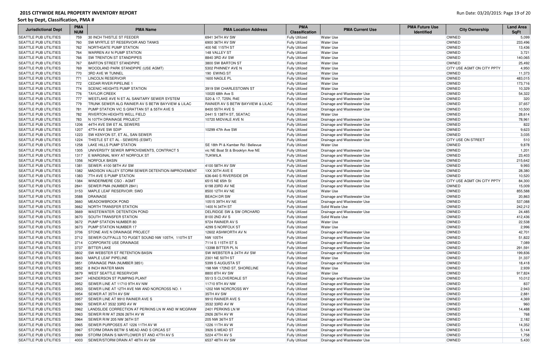| <b>Jurisdictional Dept</b>   | <b>PMA</b><br><b>NUM</b> | <b>PMA Name</b>                                   | <b>PMA Location Address</b>         | <b>PMA</b><br><b>Classification</b> | <b>PMA Current Use</b>      | <b>PMA Future Use</b><br><b>Identified</b> | <b>City Ownership</b>      | <b>Land Area</b><br><b>SqFt</b> |
|------------------------------|--------------------------|---------------------------------------------------|-------------------------------------|-------------------------------------|-----------------------------|--------------------------------------------|----------------------------|---------------------------------|
| <b>SEATTLE PUB UTILITIES</b> | 759                      | 30 INCH THISTLE ST FEEDER                         | 6941 34TH AV SW                     | <b>Fully Utilized</b>               | <b>Water Use</b>            |                                            | <b>OWNED</b>               | 5,099                           |
| <b>SEATTLE PUB UTILITIES</b> | 760                      | SW MYRTLE ST RESERVOIR AND TANKS                  | 6900 36TH AV SW                     | <b>Fully Utilized</b>               | <b>Water Use</b>            |                                            | <b>OWNED</b>               | 233,496                         |
| <b>SEATTLE PUB UTILITIES</b> | 762                      | NORTHGATE PUMP STATION                            | 400 NE 115TH ST                     | <b>Fully Utilized</b>               | <b>Water Use</b>            |                                            | OWNED                      | 13,436                          |
| <b>SEATTLE PUB UTILITIES</b> | 764                      | <b>WARREN AV N PUMP STATION</b>                   | 148 VALLEY ST                       | <b>Fully Utilized</b>               | <b>Water Use</b>            |                                            | OWNED                      | 3,721                           |
| <b>SEATTLE PUB UTILITIES</b> | 766                      | <b>SW TRENTON ST STANDPIPES</b>                   | 8840 3RD AV SW                      | <b>Fully Utilized</b>               | <b>Water Use</b>            |                                            | OWNED                      | 140,065                         |
| <b>SEATTLE PUB UTILITIES</b> | 767                      | <b>BARTON STREET STANDPIPE</b>                    | 3800 SW BARTON ST                   | <b>Fully Utilized</b>               | <b>Water Use</b>            |                                            | OWNED                      | 25,492                          |
| <b>SEATTLE PUB UTILITIES</b> | 769                      | WOODLAND PARK STANDPIPE (USE AGMT)                | 5302 PHINNEY AVE N                  | <b>Fully Utilized</b>               | <b>Water Use</b>            |                                            | CITY USE AGMT ON CITY PPTY | 4,950                           |
| <b>SEATTLE PUB UTILITIES</b> | 770                      | <b>3RD AVE W TUNNEL</b>                           | 190 EWING ST                        | <b>Fully Utilized</b>               | <b>Water Use</b>            |                                            | OWNED                      | 11,373                          |
| <b>SEATTLE PUB UTILITIES</b> | 771                      | <b>LINCOLN RESERVOIR</b>                          | 1600 NAGLE PL                       | <b>Fully Utilized</b>               | <b>Water Use</b>            |                                            | OWNED                      | 483,015                         |
| <b>SEATTLE PUB UTILITIES</b> | 772                      | <b>CEDAR RIVER PIPELINE 1</b>                     |                                     | <b>Fully Utilized</b>               | <b>Water Use</b>            |                                            | OWNED                      | 173,716                         |
| <b>SEATTLE PUB UTILITIES</b> | 774                      | <b>SCENIC HEIGHTS PUMP STATION</b>                | 3919 SW CHARLESTOWN ST              | <b>Fully Utilized</b>               | <b>Water Use</b>            |                                            | OWNED                      | 10,329                          |
| <b>SEATTLE PUB UTILITIES</b> | 776                      | <b>TAYLOR CREEK</b>                               | 10020 68th Ave S                    | <b>Fully Utilized</b>               | Drainage and Wastewater Use |                                            | OWNED                      | 54,322                          |
| <b>SEATTLE PUB UTILITIES</b> | 777                      | <b>WESTLAKE AVE N ET AL SANITARY SEWER SYSTEM</b> | S20 & 17, T25N, R4E                 | <b>Fully Utilized</b>               | Drainage and Wastewater Use |                                            | OWNED                      | 320                             |
| <b>SEATTLE PUB UTILITIES</b> | 779                      | TRUNK SEWER ALG RAINIER AV S BETW BAYVIEW & LILAC | RAINIER AV S BETW BAYVIEW & LILAC   | <b>Fully Utilized</b>               | Drainage and Wastewater Use |                                            | OWNED                      | 37,657                          |
| <b>SEATTLE PUB UTILITIES</b> | 781                      | PUMP STATION VIC S GRATTAN ST & 55TH AVE S        | 8400 55TH AVE S                     | <b>Fully Utilized</b>               | Drainage and Wastewater Use |                                            | <b>OWNED</b>               | 10,500                          |
| <b>SEATTLE PUB UTILITIES</b> | 782                      | <b>RIVERTON HEIGHTS WELL FIELD</b>                | 2441 S 138TH ST, SEATAC             | <b>Fully Utilized</b>               | <b>Water Use</b>            |                                            | OWNED                      | 28,614                          |
| <b>SEATTLE PUB UTILITIES</b> | 783                      | N 107TH DRAINAGE PROJECT                          | 10720 MIDVALE AVE N                 | <b>Fully Utilized</b>               | Drainage and Wastewater Use |                                            | OWNED                      | 78,961                          |
| <b>SEATTLE PUB UTILITIES</b> | 1206                     | 44TH AVE SW ET AL SEWERS                          |                                     | <b>Fully Utilized</b>               | Drainage and Wastewater Use |                                            | OWNED                      | 822                             |
| <b>SEATTLE PUB UTILITIES</b> | 1207                     | 47TH AVE SW SDIP                                  | 10299 47th Ave SW                   | <b>Fully Utilized</b>               | Drainage and Wastewater Use |                                            | OWNED                      | 9,623                           |
| <b>SEATTLE PUB UTILITIES</b> | 1223                     | SW KENYON ST, ET AL, SAN SEWER                    |                                     | <b>Fully Utilized</b>               | Drainage and Wastewater Use |                                            | OWNED                      | 3,035                           |
| <b>SEATTLE PUB UTILITIES</b> | 1224                     | THISTLE ST ET AL - SEWERS (ESMT)                  |                                     | <b>Fully Utilized</b>               | Drainage and Wastewater Use |                                            | <b>CITY USE ON STREET</b>  | 510                             |
| <b>SEATTLE PUB UTILITIES</b> | 1258                     | <b>LAKE HILLS PUMP STATION</b>                    | SE 18th PI & Kamber Rd / Bellevue   | <b>Fully Utilized</b>               | <b>Water Use</b>            |                                            | OWNED                      | 9,878                           |
| <b>SEATTLE PUB UTILITIES</b> | 1305                     | UNIVERSITY SEWER IMPROVEMENTS, CONTRACT 5         | vic NE Boat St & Brooklyn Ave NE    | <b>Fully Utilized</b>               | Drainage and Wastewater Use |                                            | OWNED                      | 1,201                           |
| <b>SEATTLE PUB UTILITIES</b> | 1317                     | E MARGINAL WAY AT NORFOLK ST                      | <b>TUKWILA</b>                      | <b>Fully Utilized</b>               | Drainage and Wastewater Use |                                            | OWNED                      | 23,403                          |
| <b>SEATTLE PUB UTILITIES</b> | 1356                     | <b>NORFOLK BASIN</b>                              |                                     | <b>Fully Utilized</b>               | Drainage and Wastewater Use |                                            | OWNED                      | 215,642                         |
| <b>SEATTLE PUB UTILITIES</b> | 1381                     | SEWER: 4100 58TH AV SW                            | 4100 58TH AV SW                     | <b>Fully Utilized</b>               | Drainage and Wastewater Use |                                            | OWNED                      | 9,993                           |
| <b>SEATTLE PUB UTILITIES</b> | 1382                     | MADISON VALLEY STORM SEWER DETENTION IMPROVEMENT  | 1XX 30TH AVE E                      | <b>Fully Utilized</b>               | Drainage and Wastewater Use |                                            | <b>OWNED</b>               | 28,380                          |
| <b>SEATTLE PUB UTILITIES</b> | 1383                     | <b>7TH AVE S PUMP STATION</b>                     | 636-640 S RIVERSIDE DR              | <b>Fully Utilized</b>               | Drainage and Wastewater Use |                                            | OWNED                      | 10,520                          |
| <b>SEATTLE PUB UTILITIES</b> | 1384                     | <b>WINDERMERE CSO - AGMT</b>                      | 6515 NE 65th St                     | <b>Fully Utilized</b>               | Drainage and Wastewater Use |                                            | CITY USE AGMT ON CITY PPTY | 84,300                          |
| <b>SEATTLE PUB UTILITIES</b> | 2841                     | SEWER PMA (NUMBER 2841)                           | 6198 23RD AV NE                     | <b>Fully Utilized</b>               | Drainage and Wastewater Use |                                            | OWNED                      | 15,009                          |
| <b>SEATTLE PUB UTILITIES</b> | 3153                     | MAPLE LEAF RESERVOIR: SWD                         | 8500 12TH AV NE                     | <b>Fully Utilized</b>               | Water Use                   |                                            | OWNED                      | 855,588                         |
| <b>SEATTLE PUB UTILITIES</b> | 3588                     | DRAINAGE                                          | <b>BEACH DR SW</b>                  | <b>Fully Utilized</b>               | Drainage and Wastewater Use |                                            | OWNED                      | 20,863                          |
| <b>SEATTLE PUB UTILITIES</b> | 3660                     | MEADOWBROOK POND                                  | 10515 39TH AV NE                    | <b>Fully Utilized</b>               | Drainage and Wastewater Use |                                            | OWNED                      | 537,088                         |
| <b>SEATTLE PUB UTILITIES</b> | 3662                     | NORTH TRANSFER STATION                            | 1400 N 34TH ST                      | <b>Fully Utilized</b>               | Solid Waste Use             |                                            | OWNED                      | 242,212                         |
| <b>SEATTLE PUB UTILITIES</b> | 3669                     | <b>WASTEWATER: DETENTION POND</b>                 | <b>DELRIDGE SW &amp; SW ORCHARD</b> | <b>Fully Utilized</b>               | Drainage and Wastewater Use |                                            | OWNED                      | 24,485                          |
| <b>SEATTLE PUB UTILITIES</b> | 3670                     | <b>SOUTH TRANSFER STATION</b>                     | 8100 2ND AV S                       | <b>Fully Utilized</b>               | Solid Waste Use             |                                            | OWNED                      | 412,436                         |
| <b>SEATTLE PUB UTILITIES</b> | 3672                     | PUMP STATION NUMBER 80                            | 9724 RAINIER AV S                   | <b>Fully Utilized</b>               | <b>Water Use</b>            |                                            | <b>OWNED</b>               | 22,538                          |
| <b>SEATTLE PUB UTILITIES</b> | 3673                     | PUMP STATION NUMBER 17                            | 4299 S NORFOLK ST                   | <b>Fully Utilized</b>               | <b>Water Use</b>            |                                            | OWNED                      | 2,996                           |
| <b>SEATTLE PUB UTILITIES</b> | 3706                     | <b>STONE AVE N DRAINAGE PROJECT</b>               | 12602 ASHWORTH AV N                 | <b>Fully Utilized</b>               | Drainage and Wastewater Use |                                            | OWNED                      | 42,701                          |
| <b>SEATTLE PUB UTILITIES</b> | 3712                     | SEWER OUTFALLS TO PUGET SOUND NW 105TH, 110TH ST  | <b>NW 105TH</b>                     | <b>Fully Utilized</b>               | Drainage and Wastewater Use |                                            | OWNED                      | 51,822                          |
| <b>SEATTLE PUB UTILITIES</b> | 3714                     | CORPORATE USE DRAINAGE                            | 7114 S 115TH ST S                   | <b>Fully Utilized</b>               | Drainage and Wastewater Use |                                            | OWNED                      | 7,089                           |
| <b>SEATTLE PUB UTILITIES</b> | 3737                     | <b>BITTER LAKE</b>                                | 13398 BITTER PL N                   | <b>Fully Utilized</b>               | Drainage and Wastewater Use |                                            | OWNED                      | 291,591                         |
| <b>SEATTLE PUB UTILITIES</b> | 3802                     | <b>SW WEBSTER ST RETENTION BASIN</b>              | <b>SW WEBSTER &amp; 24TH AV SW</b>  | <b>Fully Utilized</b>               | Drainage and Wastewater Use |                                            | OWNED                      | 199,836                         |
| <b>SEATTLE PUB UTILITIES</b> | 3843                     | MAPLE LEAF PIPELINE                               | 2301 NE 50TH ST                     | <b>Fully Utilized</b>               | <b>Water Use</b>            |                                            | OWNED                      | 31,337                          |
| <b>SEATTLE PUB UTILITIES</b> | 3851                     | DRAINAGE PMA (NUMBER 3851)                        | 5399 S AUGUSTA ST                   | <b>Fully Utilized</b>               | Drainage and Wastewater Use |                                            | OWNED                      | 18,418                          |
| <b>SEATTLE PUB UTILITIES</b> | 3852                     | 8 INCH WATER MAIN                                 | 198 NW 172ND ST, SHORELINE          | <b>Fully Utilized</b>               | <b>Water Use</b>            |                                            | OWNED                      | 2,939                           |
| <b>SEATTLE PUB UTILITIES</b> | 3879                     | <b>WEST SEATTLE RESERVOIR</b>                     | 8800 8TH AV SW                      | <b>Fully Utilized</b>               | <b>Water Use</b>            |                                            | OWNED                      | 917,824                         |
| <b>SEATTLE PUB UTILITIES</b> | 3947                     | <b>HENDERSON ST PUMPING PLANT</b>                 | 5513 S CLOVERDALE ST                | <b>Fully Utilized</b>               | Drainage and Wastewater Use |                                            | OWNED                      | 10,012                          |
| <b>SEATTLE PUB UTILITIES</b> | 3952                     | SEWER LINE AT 11710 9TH AV NW                     | 11710 9TH AV NW                     | <b>Fully Utilized</b>               | Drainage and Wastewater Use |                                            | OWNED                      | 837                             |
| <b>SEATTLE PUB UTILITIES</b> | 3953                     | SEWER LINE AT 12TH AVE NW AND NORCROSS NO. 1      | 1202 NW NORCROSS WY                 | <b>Fully Utilized</b>               | Drainage and Wastewater Use |                                            | OWNED                      | 2,943                           |
| <b>SEATTLE PUB UTILITIES</b> | 3954                     | SEWER AT 35TH AV SW                               | 35TH AV SW                          | <b>Fully Utilized</b>               | Drainage and Wastewater Use |                                            | OWNED                      | 2,881                           |
| <b>SEATTLE PUB UTILITIES</b> | 3957                     | SEWER LINE AT 9910 RAINIER AVE S                  | 9910 RAINIER AVE S                  | <b>Fully Utilized</b>               | Drainage and Wastewater Use |                                            | OWNED                      | 4,369                           |
| <b>SEATTLE PUB UTILITIES</b> | 3960                     | SEWER AT 3532 33RD AV W                           | 3532 33RD AV W                      | <b>Fully Utilized</b>               | Drainage and Wastewater Use |                                            | <b>OWNED</b>               | 960                             |
| <b>SEATTLE PUB UTILITIES</b> | 3962                     | LANDSLIDE CORRECTION AT PERKINS LN W AND W MCGRAW | 2401 PERKINS LN W                   | <b>Fully Utilized</b>               | Drainage and Wastewater Use |                                            | OWNED                      | 14,488                          |
| <b>SEATTLE PUB UTILITIES</b> | 3963                     | SEWER R/W AT 2926 26TH AV W                       | 2926 26TH AV W                      | <b>Fully Utilized</b>               | Drainage and Wastewater Use |                                            | OWNED                      | 768                             |
| <b>SEATTLE PUB UTILITIES</b> | 3964                     | SEWER R/W 205 NW 36TH ST                          | <b>205 NW 36TH ST</b>               | <b>Fully Utilized</b>               | Drainage and Wastewater Use |                                            | OWNED                      | 2,182                           |
| <b>SEATTLE PUB UTILITIES</b> | 3965                     | SEWER PURPOSES AT 1226 11TH AV W                  | 1226 11TH AV W                      | <b>Fully Utilized</b>               | Drainage and Wastewater Use |                                            | OWNED                      | 14,352                          |
| <b>SEATTLE PUB UTILITIES</b> | 3967                     | STORM DRAIN BETW S MEAD AND S ORCAS ST            | 3926 S MEAD ST                      | <b>Fully Utilized</b>               | Drainage and Wastewater Use |                                            | OWNED                      | 5,144                           |
| <b>SEATTLE PUB UTILITIES</b> | 3969                     | STORM DRAIN S MAYFLOWER ST AND 47TH AV S          | 5224 47TH AV S                      | <b>Fully Utilized</b>               | Drainage and Wastewater Use |                                            | OWNED                      | 1,758                           |
| <b>SEATTLE PUB UTILITIES</b> | 4003                     | SEWER/STORM DRAIN AT 48TH AV SW                   | 6537 48TH AV SW                     | <b>Fully Utilized</b>               | Drainage and Wastewater Use |                                            | OWNED                      | 5,430                           |
|                              |                          |                                                   |                                     |                                     |                             |                                            |                            |                                 |